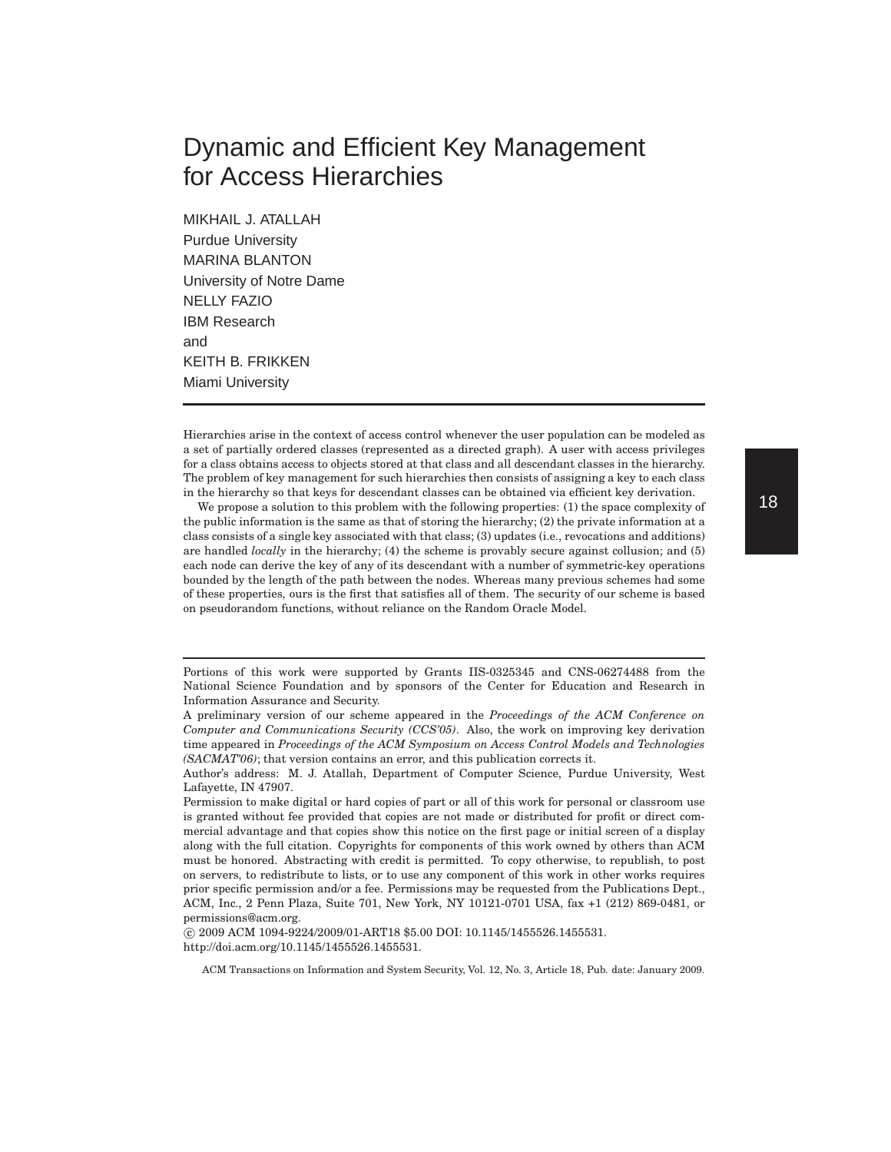# Dynamic and Efficient Key Management for Access Hierarchies

MIKHAIL J. ATALLAH Purdue University MARINA BLANTON University of Notre Dame NELLY FAZIO IBM Research and KEITH B. FRIKKEN Miami University

Hierarchies arise in the context of access control whenever the user population can be modeled as a set of partially ordered classes (represented as a directed graph). A user with access privileges for a class obtains access to objects stored at that class and all descendant classes in the hierarchy. The problem of key management for such hierarchies then consists of assigning a key to each class in the hierarchy so that keys for descendant classes can be obtained via efficient key derivation.

We propose a solution to this problem with the following properties: (1) the space complexity of the public information is the same as that of storing the hierarchy; (2) the private information at a class consists of a single key associated with that class; (3) updates (i.e., revocations and additions) are handled *locally* in the hierarchy; (4) the scheme is provably secure against collusion; and (5) each node can derive the key of any of its descendant with a number of symmetric-key operations bounded by the length of the path between the nodes. Whereas many previous schemes had some of these properties, ours is the first that satisfies all of them. The security of our scheme is based on pseudorandom functions, without reliance on the Random Oracle Model.

Portions of this work were supported by Grants IIS-0325345 and CNS-06274488 from the National Science Foundation and by sponsors of the Center for Education and Research in Information Assurance and Security.

 c 2009 ACM 1094-9224/2009/01-ART18 \$5.00 DOI: 10.1145/1455526.1455531. http://doi.acm.org/10.1145/1455526.1455531.

A preliminary version of our scheme appeared in the *Proceedings of the ACM Conference on Computer and Communications Security (CCS'05)*. Also, the work on improving key derivation time appeared in *Proceedings of the ACM Symposium on Access Control Models and Technologies (SACMAT'06)*; that version contains an error, and this publication corrects it.

Author's address: M. J. Atallah, Department of Computer Science, Purdue University, West Lafayette, IN 47907.

Permission to make digital or hard copies of part or all of this work for personal or classroom use is granted without fee provided that copies are not made or distributed for profit or direct commercial advantage and that copies show this notice on the first page or initial screen of a display along with the full citation. Copyrights for components of this work owned by others than ACM must be honored. Abstracting with credit is permitted. To copy otherwise, to republish, to post on servers, to redistribute to lists, or to use any component of this work in other works requires prior specific permission and/or a fee. Permissions may be requested from the Publications Dept., ACM, Inc., 2 Penn Plaza, Suite 701, New York, NY 10121-0701 USA, fax +1 (212) 869-0481, or permissions@acm.org.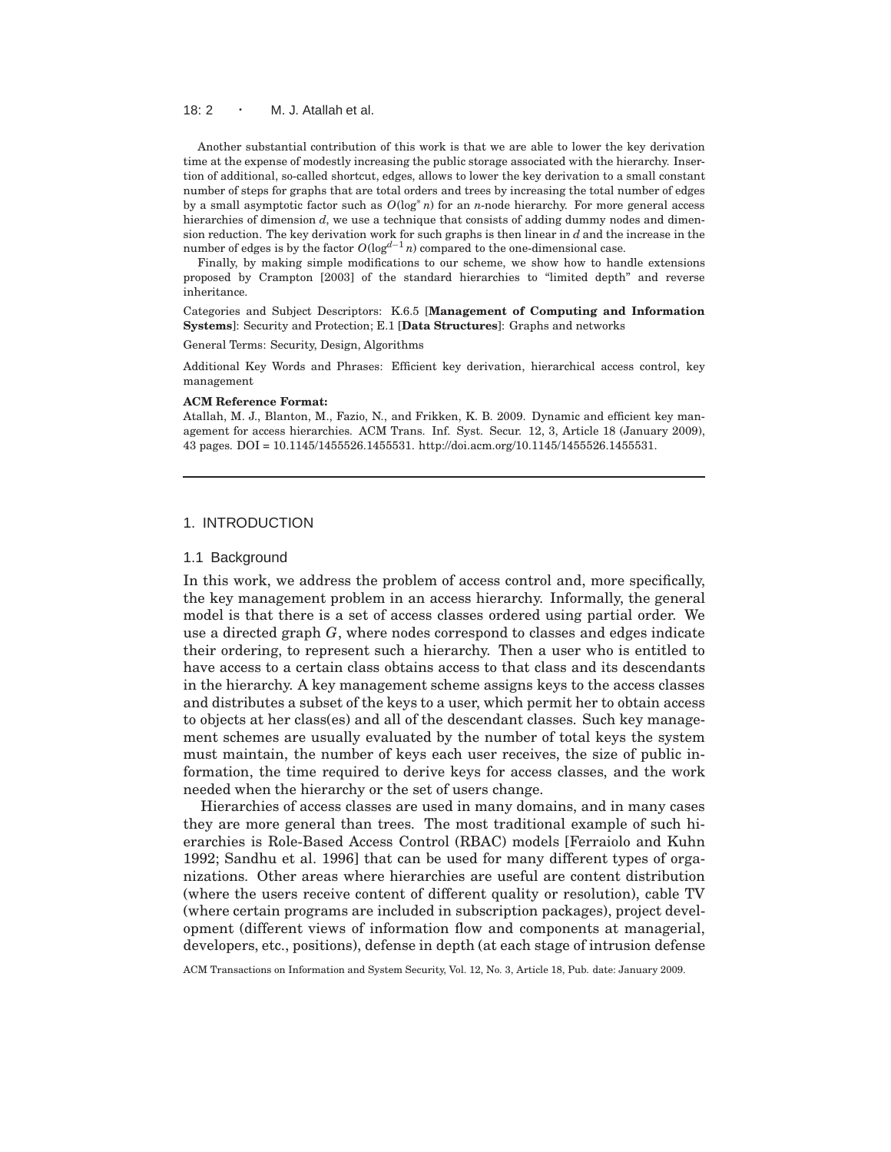#### 18: 2 · M. J. Atallah et al.

Another substantial contribution of this work is that we are able to lower the key derivation time at the expense of modestly increasing the public storage associated with the hierarchy. Insertion of additional, so-called shortcut, edges, allows to lower the key derivation to a small constant number of steps for graphs that are total orders and trees by increasing the total number of edges by a small asymptotic factor such as *O*(log∗ *n*) for an *n*-node hierarchy. For more general access hierarchies of dimension *d*, we use a technique that consists of adding dummy nodes and dimension reduction. The key derivation work for such graphs is then linear in *d* and the increase in the number of edges is by the factor  $O(\log^{d-1} n)$  compared to the one-dimensional case.

Finally, by making simple modifications to our scheme, we show how to handle extensions proposed by Crampton [2003] of the standard hierarchies to "limited depth" and reverse inheritance.

Categories and Subject Descriptors: K.6.5 [**Management of Computing and Information Systems**]: Security and Protection; E.1 [**Data Structures**]: Graphs and networks

General Terms: Security, Design, Algorithms

Additional Key Words and Phrases: Efficient key derivation, hierarchical access control, key management

#### **ACM Reference Format:**

Atallah, M. J., Blanton, M., Fazio, N., and Frikken, K. B. 2009. Dynamic and efficient key management for access hierarchies. ACM Trans. Inf. Syst. Secur. 12, 3, Article 18 (January 2009), 43 pages. DOI = 10.1145/1455526.1455531. http://doi.acm.org/10.1145/1455526.1455531.

## 1. INTRODUCTION

## 1.1 Background

In this work, we address the problem of access control and, more specifically, the key management problem in an access hierarchy. Informally, the general model is that there is a set of access classes ordered using partial order. We use a directed graph *G*, where nodes correspond to classes and edges indicate their ordering, to represent such a hierarchy. Then a user who is entitled to have access to a certain class obtains access to that class and its descendants in the hierarchy. A key management scheme assigns keys to the access classes and distributes a subset of the keys to a user, which permit her to obtain access to objects at her class(es) and all of the descendant classes. Such key management schemes are usually evaluated by the number of total keys the system must maintain, the number of keys each user receives, the size of public information, the time required to derive keys for access classes, and the work needed when the hierarchy or the set of users change.

Hierarchies of access classes are used in many domains, and in many cases they are more general than trees. The most traditional example of such hierarchies is Role-Based Access Control (RBAC) models [Ferraiolo and Kuhn 1992; Sandhu et al. 1996] that can be used for many different types of organizations. Other areas where hierarchies are useful are content distribution (where the users receive content of different quality or resolution), cable TV (where certain programs are included in subscription packages), project development (different views of information flow and components at managerial, developers, etc., positions), defense in depth (at each stage of intrusion defense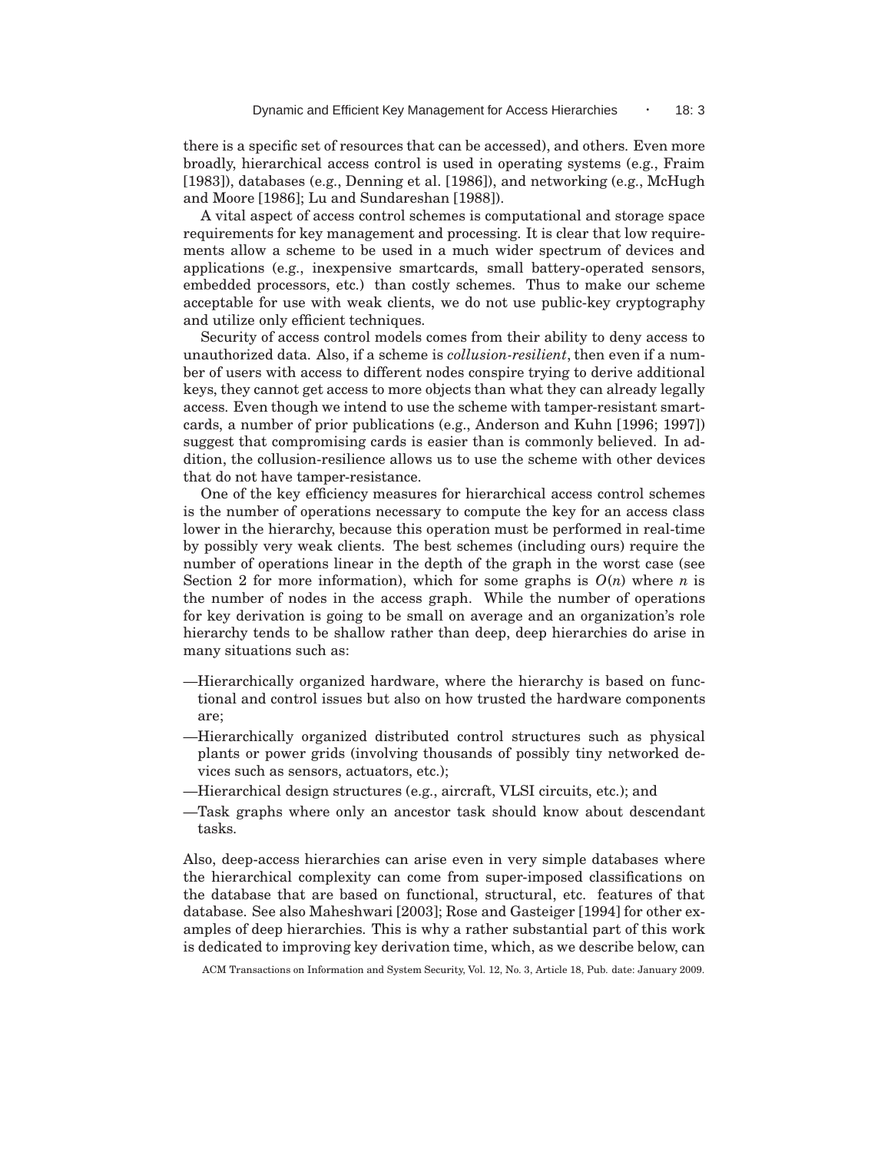there is a specific set of resources that can be accessed), and others. Even more broadly, hierarchical access control is used in operating systems (e.g., Fraim [1983]), databases (e.g., Denning et al. [1986]), and networking (e.g., McHugh and Moore [1986]; Lu and Sundareshan [1988]).

A vital aspect of access control schemes is computational and storage space requirements for key management and processing. It is clear that low requirements allow a scheme to be used in a much wider spectrum of devices and applications (e.g., inexpensive smartcards, small battery-operated sensors, embedded processors, etc.) than costly schemes. Thus to make our scheme acceptable for use with weak clients, we do not use public-key cryptography and utilize only efficient techniques.

Security of access control models comes from their ability to deny access to unauthorized data. Also, if a scheme is *collusion-resilient*, then even if a number of users with access to different nodes conspire trying to derive additional keys, they cannot get access to more objects than what they can already legally access. Even though we intend to use the scheme with tamper-resistant smartcards, a number of prior publications (e.g., Anderson and Kuhn [1996; 1997]) suggest that compromising cards is easier than is commonly believed. In addition, the collusion-resilience allows us to use the scheme with other devices that do not have tamper-resistance.

One of the key efficiency measures for hierarchical access control schemes is the number of operations necessary to compute the key for an access class lower in the hierarchy, because this operation must be performed in real-time by possibly very weak clients. The best schemes (including ours) require the number of operations linear in the depth of the graph in the worst case (see Section 2 for more information), which for some graphs is  $O(n)$  where *n* is the number of nodes in the access graph. While the number of operations for key derivation is going to be small on average and an organization's role hierarchy tends to be shallow rather than deep, deep hierarchies do arise in many situations such as:

- —Hierarchically organized hardware, where the hierarchy is based on functional and control issues but also on how trusted the hardware components are;
- —Hierarchically organized distributed control structures such as physical plants or power grids (involving thousands of possibly tiny networked devices such as sensors, actuators, etc.);
- —Hierarchical design structures (e.g., aircraft, VLSI circuits, etc.); and
- —Task graphs where only an ancestor task should know about descendant tasks.

Also, deep-access hierarchies can arise even in very simple databases where the hierarchical complexity can come from super-imposed classifications on the database that are based on functional, structural, etc. features of that database. See also Maheshwari [2003]; Rose and Gasteiger [1994] for other examples of deep hierarchies. This is why a rather substantial part of this work is dedicated to improving key derivation time, which, as we describe below, can

ACM Transactions on Information and System Security, Vol. 12, No. 3, Article 18, Pub. date: January 2009.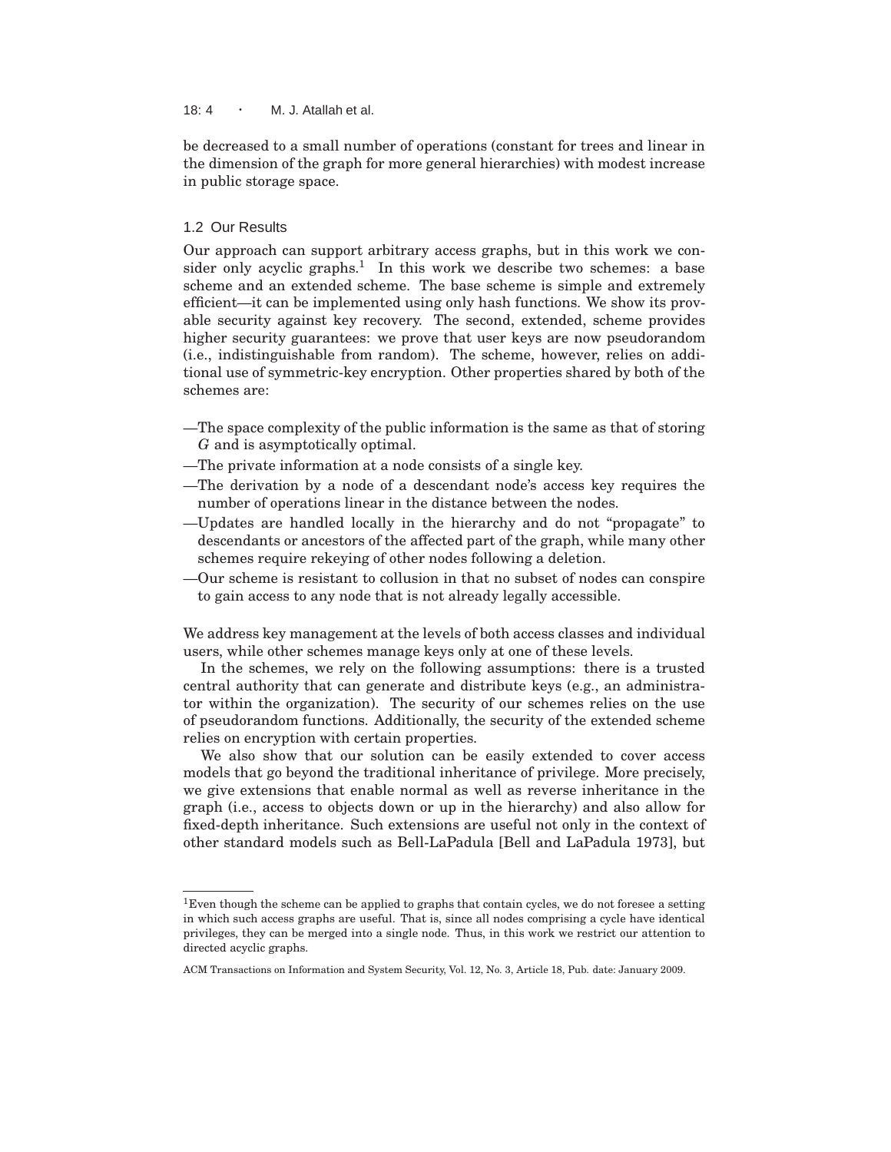## 18:  $4 \cdot M$ . J. Atallah et al.

be decreased to a small number of operations (constant for trees and linear in the dimension of the graph for more general hierarchies) with modest increase in public storage space.

## 1.2 Our Results

Our approach can support arbitrary access graphs, but in this work we consider only acyclic graphs.<sup>1</sup> In this work we describe two schemes: a base scheme and an extended scheme. The base scheme is simple and extremely efficient—it can be implemented using only hash functions. We show its provable security against key recovery. The second, extended, scheme provides higher security guarantees: we prove that user keys are now pseudorandom (i.e., indistinguishable from random). The scheme, however, relies on additional use of symmetric-key encryption. Other properties shared by both of the schemes are:

- —The space complexity of the public information is the same as that of storing *G* and is asymptotically optimal.
- —The private information at a node consists of a single key.
- —The derivation by a node of a descendant node's access key requires the number of operations linear in the distance between the nodes.
- —Updates are handled locally in the hierarchy and do not "propagate" to descendants or ancestors of the affected part of the graph, while many other schemes require rekeying of other nodes following a deletion.
- —Our scheme is resistant to collusion in that no subset of nodes can conspire to gain access to any node that is not already legally accessible.

We address key management at the levels of both access classes and individual users, while other schemes manage keys only at one of these levels.

In the schemes, we rely on the following assumptions: there is a trusted central authority that can generate and distribute keys (e.g., an administrator within the organization). The security of our schemes relies on the use of pseudorandom functions. Additionally, the security of the extended scheme relies on encryption with certain properties.

We also show that our solution can be easily extended to cover access models that go beyond the traditional inheritance of privilege. More precisely, we give extensions that enable normal as well as reverse inheritance in the graph (i.e., access to objects down or up in the hierarchy) and also allow for fixed-depth inheritance. Such extensions are useful not only in the context of other standard models such as Bell-LaPadula [Bell and LaPadula 1973], but

 $1$ Even though the scheme can be applied to graphs that contain cycles, we do not foresee a setting in which such access graphs are useful. That is, since all nodes comprising a cycle have identical privileges, they can be merged into a single node. Thus, in this work we restrict our attention to directed acyclic graphs.

ACM Transactions on Information and System Security, Vol. 12, No. 3, Article 18, Pub. date: January 2009.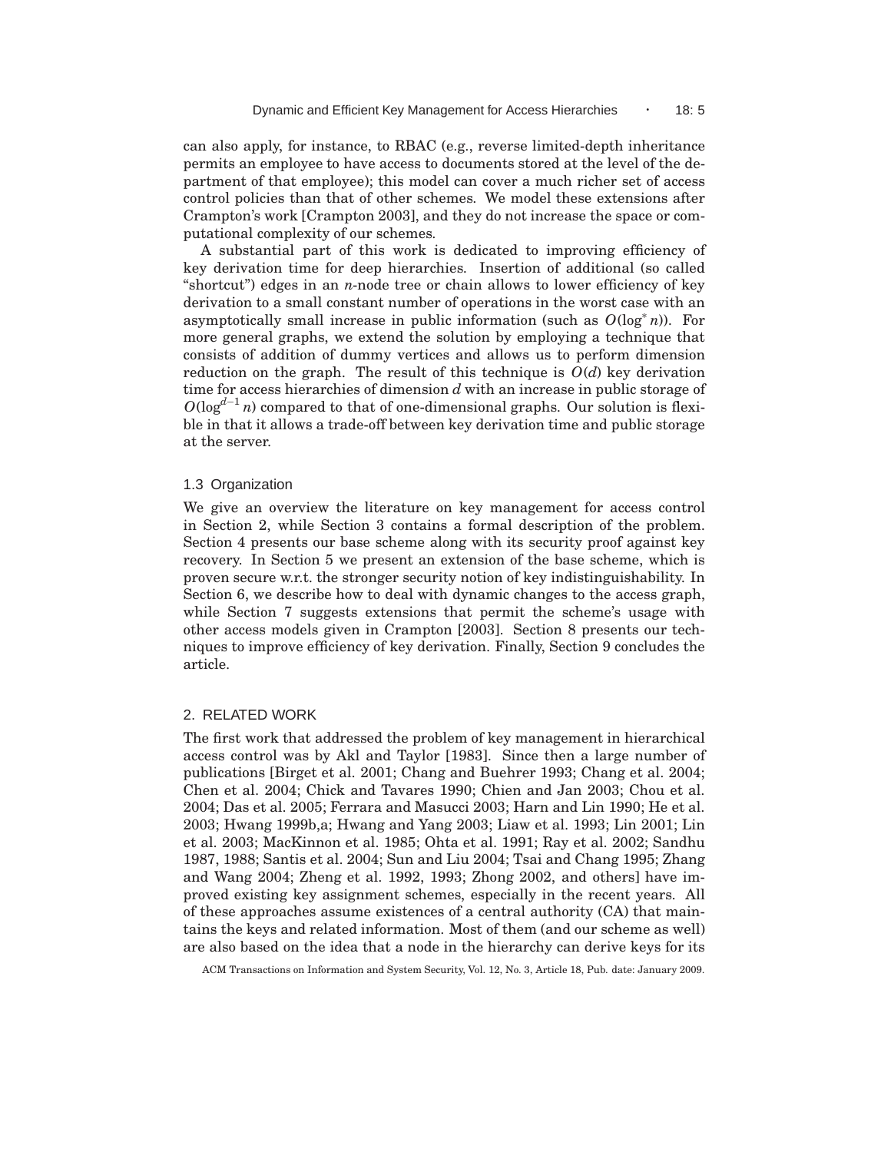can also apply, for instance, to RBAC (e.g., reverse limited-depth inheritance permits an employee to have access to documents stored at the level of the department of that employee); this model can cover a much richer set of access control policies than that of other schemes. We model these extensions after Crampton's work [Crampton 2003], and they do not increase the space or computational complexity of our schemes.

A substantial part of this work is dedicated to improving efficiency of key derivation time for deep hierarchies. Insertion of additional (so called "shortcut") edges in an *n*-node tree or chain allows to lower efficiency of key derivation to a small constant number of operations in the worst case with an asymptotically small increase in public information (such as  $O(\log^* n)$ ). For more general graphs, we extend the solution by employing a technique that consists of addition of dummy vertices and allows us to perform dimension reduction on the graph. The result of this technique is  $O(d)$  key derivation time for access hierarchies of dimension *d* with an increase in public storage of *O*(log<sup>d-1</sup> *n*) compared to that of one-dimensional graphs. Our solution is flexible in that it allows a trade-off between key derivation time and public storage at the server.

### 1.3 Organization

We give an overview the literature on key management for access control in Section 2, while Section 3 contains a formal description of the problem. Section 4 presents our base scheme along with its security proof against key recovery. In Section 5 we present an extension of the base scheme, which is proven secure w.r.t. the stronger security notion of key indistinguishability. In Section 6, we describe how to deal with dynamic changes to the access graph, while Section 7 suggests extensions that permit the scheme's usage with other access models given in Crampton [2003]. Section 8 presents our techniques to improve efficiency of key derivation. Finally, Section 9 concludes the article.

## 2. RELATED WORK

The first work that addressed the problem of key management in hierarchical access control was by Akl and Taylor [1983]. Since then a large number of publications [Birget et al. 2001; Chang and Buehrer 1993; Chang et al. 2004; Chen et al. 2004; Chick and Tavares 1990; Chien and Jan 2003; Chou et al. 2004; Das et al. 2005; Ferrara and Masucci 2003; Harn and Lin 1990; He et al. 2003; Hwang 1999b,a; Hwang and Yang 2003; Liaw et al. 1993; Lin 2001; Lin et al. 2003; MacKinnon et al. 1985; Ohta et al. 1991; Ray et al. 2002; Sandhu 1987, 1988; Santis et al. 2004; Sun and Liu 2004; Tsai and Chang 1995; Zhang and Wang 2004; Zheng et al. 1992, 1993; Zhong 2002, and others] have improved existing key assignment schemes, especially in the recent years. All of these approaches assume existences of a central authority (CA) that maintains the keys and related information. Most of them (and our scheme as well) are also based on the idea that a node in the hierarchy can derive keys for its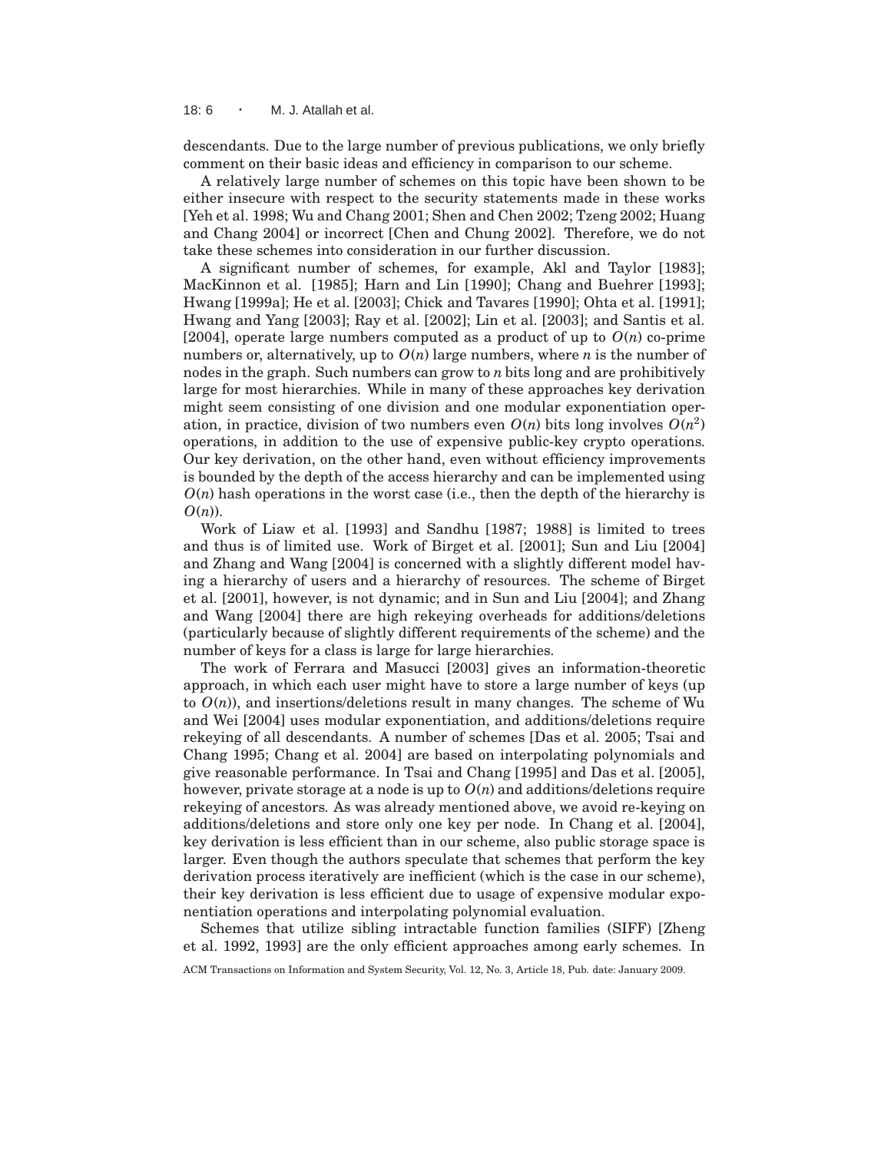18: 6 · M. J. Atallah et al.

descendants. Due to the large number of previous publications, we only briefly comment on their basic ideas and efficiency in comparison to our scheme.

A relatively large number of schemes on this topic have been shown to be either insecure with respect to the security statements made in these works [Yeh et al. 1998; Wu and Chang 2001; Shen and Chen 2002; Tzeng 2002; Huang and Chang 2004] or incorrect [Chen and Chung 2002]. Therefore, we do not take these schemes into consideration in our further discussion.

A significant number of schemes, for example, Akl and Taylor [1983]; MacKinnon et al. [1985]; Harn and Lin [1990]; Chang and Buehrer [1993]; Hwang [1999a]; He et al. [2003]; Chick and Tavares [1990]; Ohta et al. [1991]; Hwang and Yang [2003]; Ray et al. [2002]; Lin et al. [2003]; and Santis et al. [2004], operate large numbers computed as a product of up to  $O(n)$  co-prime numbers or, alternatively, up to  $O(n)$  large numbers, where *n* is the number of nodes in the graph. Such numbers can grow to *n* bits long and are prohibitively large for most hierarchies. While in many of these approaches key derivation might seem consisting of one division and one modular exponentiation operation, in practice, division of two numbers even  $O(n)$  bits long involves  $O(n^2)$ operations, in addition to the use of expensive public-key crypto operations. Our key derivation, on the other hand, even without efficiency improvements is bounded by the depth of the access hierarchy and can be implemented using  $O(n)$  hash operations in the worst case (i.e., then the depth of the hierarchy is *O*(*n*)).

Work of Liaw et al. [1993] and Sandhu [1987; 1988] is limited to trees and thus is of limited use. Work of Birget et al. [2001]; Sun and Liu [2004] and Zhang and Wang [2004] is concerned with a slightly different model having a hierarchy of users and a hierarchy of resources. The scheme of Birget et al. [2001], however, is not dynamic; and in Sun and Liu [2004]; and Zhang and Wang [2004] there are high rekeying overheads for additions/deletions (particularly because of slightly different requirements of the scheme) and the number of keys for a class is large for large hierarchies.

The work of Ferrara and Masucci [2003] gives an information-theoretic approach, in which each user might have to store a large number of keys (up to  $O(n)$ , and insertions/deletions result in many changes. The scheme of Wu and Wei [2004] uses modular exponentiation, and additions/deletions require rekeying of all descendants. A number of schemes [Das et al. 2005; Tsai and Chang 1995; Chang et al. 2004] are based on interpolating polynomials and give reasonable performance. In Tsai and Chang [1995] and Das et al. [2005], however, private storage at a node is up to  $O(n)$  and additions/deletions require rekeying of ancestors. As was already mentioned above, we avoid re-keying on additions/deletions and store only one key per node. In Chang et al. [2004], key derivation is less efficient than in our scheme, also public storage space is larger. Even though the authors speculate that schemes that perform the key derivation process iteratively are inefficient (which is the case in our scheme), their key derivation is less efficient due to usage of expensive modular exponentiation operations and interpolating polynomial evaluation.

Schemes that utilize sibling intractable function families (SIFF) [Zheng et al. 1992, 1993] are the only efficient approaches among early schemes. In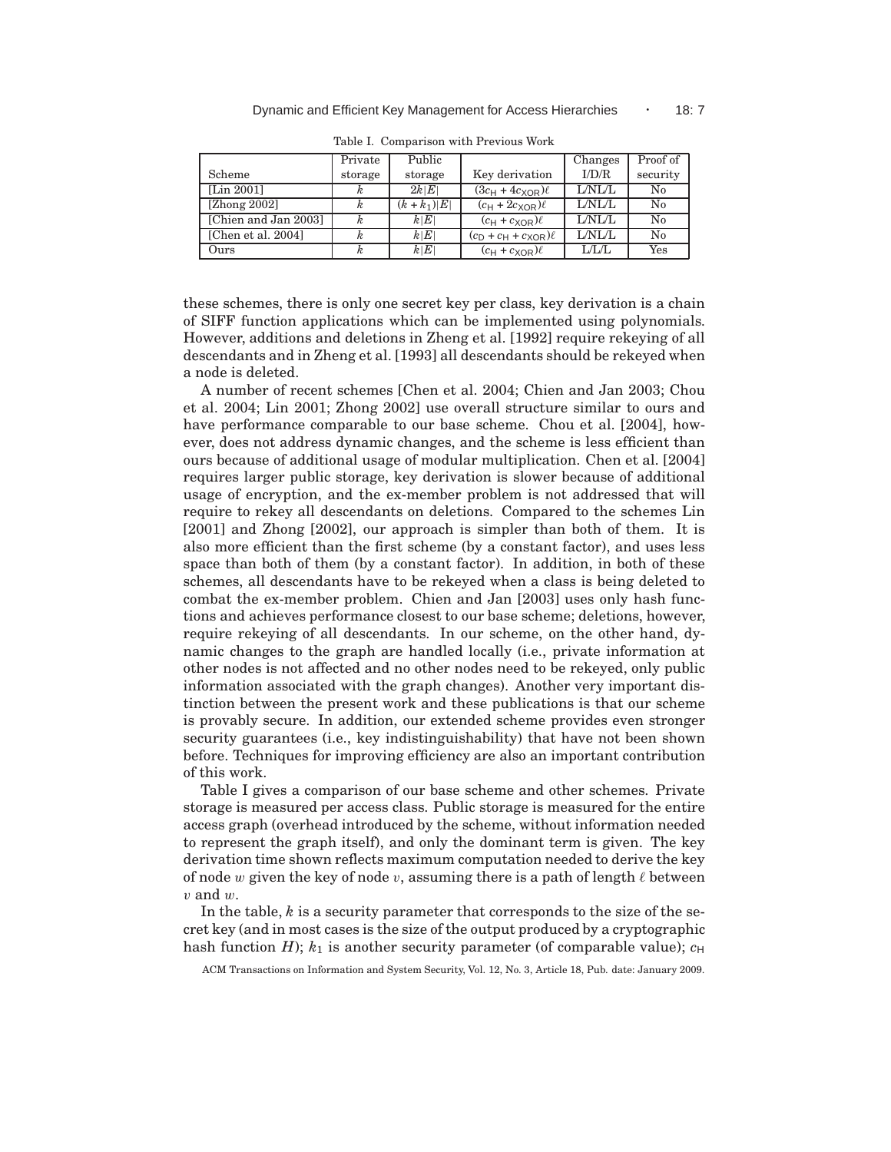|                       | Private | Public         |                             | Changes | Proof of |
|-----------------------|---------|----------------|-----------------------------|---------|----------|
| Scheme                | storage | storage        | Key derivation              | I/D/R   | security |
| [Lin 2001]            |         | 2k E           | $(3c_H + 4c_{XOR})\ell$     | L/NL/L  | $\rm No$ |
| [ $Z$ hong $2002$ ]   |         | $(k + k_1) E $ | $(c_H + 2c_{XOR})\ell$      | L/NL/L  | $\rm No$ |
| [Chien and Jan 2003]  |         | k E            | $(c_H + c_{XOR})\ell$       | L/NL/L  | $\rm No$ |
| [Chen et al. $2004$ ] |         | k E            | $(c_D + c_H + c_{XOR})\ell$ | L/NL/L  | $\rm No$ |
| Ours                  |         | k E            | $(c_H + c_{XOR})\ell$       | L/L/L   | Yes      |

Table I. Comparison with Previous Work

these schemes, there is only one secret key per class, key derivation is a chain of SIFF function applications which can be implemented using polynomials. However, additions and deletions in Zheng et al. [1992] require rekeying of all descendants and in Zheng et al. [1993] all descendants should be rekeyed when a node is deleted.

A number of recent schemes [Chen et al. 2004; Chien and Jan 2003; Chou et al. 2004; Lin 2001; Zhong 2002] use overall structure similar to ours and have performance comparable to our base scheme. Chou et al. [2004], however, does not address dynamic changes, and the scheme is less efficient than ours because of additional usage of modular multiplication. Chen et al. [2004] requires larger public storage, key derivation is slower because of additional usage of encryption, and the ex-member problem is not addressed that will require to rekey all descendants on deletions. Compared to the schemes Lin [2001] and Zhong [2002], our approach is simpler than both of them. It is also more efficient than the first scheme (by a constant factor), and uses less space than both of them (by a constant factor). In addition, in both of these schemes, all descendants have to be rekeyed when a class is being deleted to combat the ex-member problem. Chien and Jan [2003] uses only hash functions and achieves performance closest to our base scheme; deletions, however, require rekeying of all descendants. In our scheme, on the other hand, dynamic changes to the graph are handled locally (i.e., private information at other nodes is not affected and no other nodes need to be rekeyed, only public information associated with the graph changes). Another very important distinction between the present work and these publications is that our scheme is provably secure. In addition, our extended scheme provides even stronger security guarantees (i.e., key indistinguishability) that have not been shown before. Techniques for improving efficiency are also an important contribution of this work.

Table I gives a comparison of our base scheme and other schemes. Private storage is measured per access class. Public storage is measured for the entire access graph (overhead introduced by the scheme, without information needed to represent the graph itself), and only the dominant term is given. The key derivation time shown reflects maximum computation needed to derive the key of node w given the key of node v, assuming there is a path of length  $\ell$  between  $v$  and  $w$ .

In the table, *k* is a security parameter that corresponds to the size of the secret key (and in most cases is the size of the output produced by a cryptographic hash function *H*);  $k_1$  is another security parameter (of comparable value);  $c_H$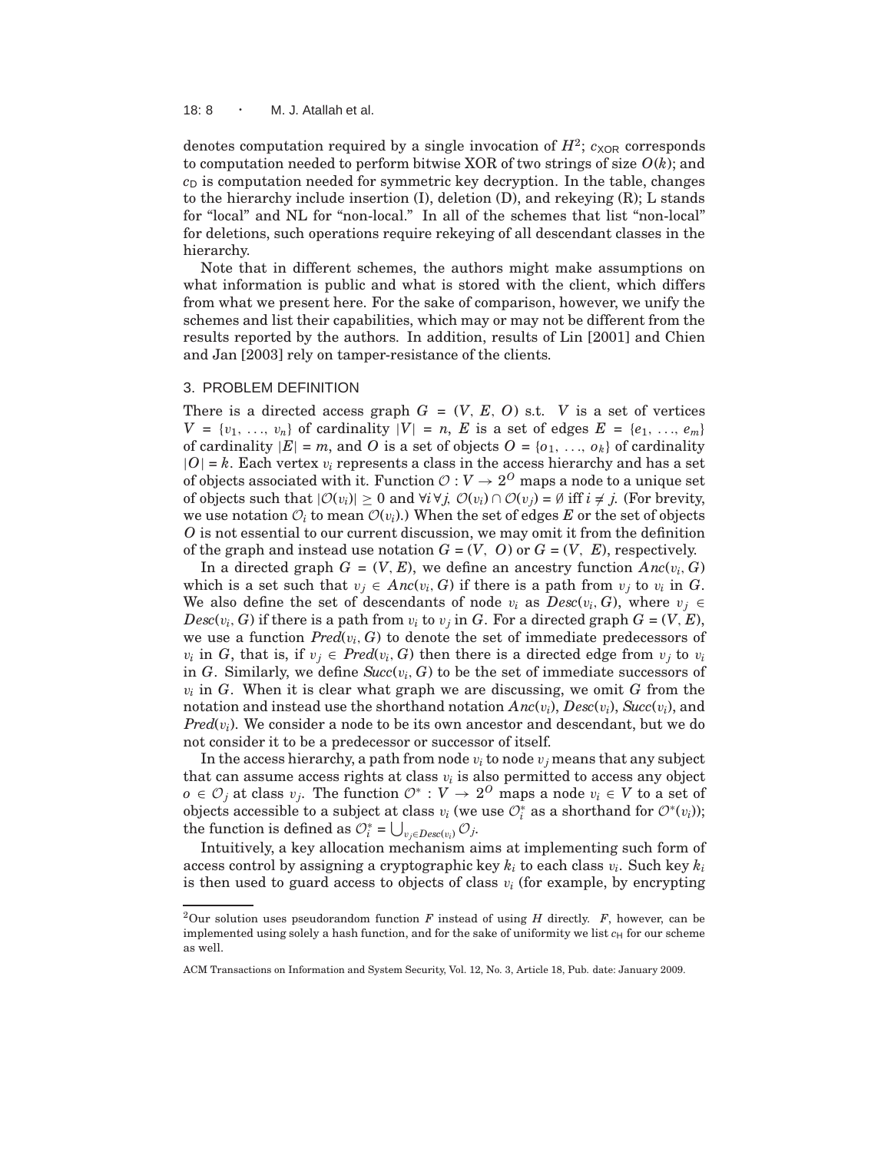#### 18: 8 · M. J. Atallah et al.

denotes computation required by a single invocation of  $H^2$ ;  $c_{XOR}$  corresponds to computation needed to perform bitwise XOR of two strings of size *O*(*k*); and  $c<sub>D</sub>$  is computation needed for symmetric key decryption. In the table, changes to the hierarchy include insertion (I), deletion (D), and rekeying (R); L stands for "local" and NL for "non-local." In all of the schemes that list "non-local" for deletions, such operations require rekeying of all descendant classes in the hierarchy.

Note that in different schemes, the authors might make assumptions on what information is public and what is stored with the client, which differs from what we present here. For the sake of comparison, however, we unify the schemes and list their capabilities, which may or may not be different from the results reported by the authors. In addition, results of Lin [2001] and Chien and Jan [2003] rely on tamper-resistance of the clients.

### 3. PROBLEM DEFINITION

There is a directed access graph  $G = (V, E, O)$  s.t. *V* is a set of vertices  $V = \{v_1, \ldots, v_n\}$  of cardinality  $|V| = n$ , *E* is a set of edges  $E = \{e_1, \ldots, e_m\}$ of cardinality  $|E| = m$ , and O is a set of objects  $O = \{o_1, \ldots, o_k\}$  of cardinality  $|O| = k$ . Each vertex  $v_i$  represents a class in the access hierarchy and has a set of objects associated with it. Function  $O: V \to 2^O$  maps a node to a unique set of objects such that  $|\mathcal{O}(v_i)| > 0$  and  $\forall i \forall j$ ,  $\mathcal{O}(v_i) \cap \mathcal{O}(v_j) = \emptyset$  iff  $i \neq j$ . (For brevity, we use notation  $\mathcal{O}_i$  to mean  $\mathcal{O}(v_i)$ .) When the set of edges E or the set of objects *O* is not essential to our current discussion, we may omit it from the definition of the graph and instead use notation  $G = (V, O)$  or  $G = (V, E)$ , respectively.

In a directed graph  $G = (V, E)$ , we define an ancestry function  $Anc(v_i, G)$ which is a set such that  $v_j \in \text{Anc}(v_i, G)$  if there is a path from  $v_j$  to  $v_i$  in  $G$ . We also define the set of descendants of node  $v_i$  as  $Desc(v_i, G)$ , where  $v_j \in$  $Desc(v_i, G)$  if there is a path from  $v_i$  to  $v_j$  in *G*. For a directed graph  $G = (V, E)$ , we use a function  $Pred(v_i, G)$  to denote the set of immediate predecessors of  $v_i$  in *G*, that is, if  $v_j \in Pred(v_i, G)$  then there is a directed edge from  $v_j$  to  $v_i$ in  $G$ . Similarly, we define  $Succ(v_i, G)$  to be the set of immediate successors of  $v_i$  in *G*. When it is clear what graph we are discussing, we omit *G* from the notation and instead use the shorthand notation *Anc*(v*i*), *Desc*(v*i*), *Succ*(v*i*), and *Pred*(v*i*). We consider a node to be its own ancestor and descendant, but we do not consider it to be a predecessor or successor of itself.

In the access hierarchy, a path from node  $v_i$  to node  $v_j$  means that any subject that can assume access rights at class  $v_i$  is also permitted to access any object *o* ∈  $\mathcal{O}_j$  at class  $v_j$ . The function  $\mathcal{O}^*$  :  $V \to 2^O$  maps a node  $v_i \in V$  to a set of objects accessible to a subject at class  $v_i$  (we use  $\mathcal{O}_i^*$  as a shorthand for  $\mathcal{O}^*(v_i)$ ); the function is defined as  $\mathcal{O}_i^* = \bigcup_{v_j \in \text{Desc}(v_i)} \mathcal{O}_j$ .

Intuitively, a key allocation mechanism aims at implementing such form of access control by assigning a cryptographic key *k<sup>i</sup>* to each class v*<sup>i</sup>* . Such key *k<sup>i</sup>* is then used to guard access to objects of class  $v_i$  (for example, by encrypting

<sup>&</sup>lt;sup>2</sup>Our solution uses pseudorandom function *F* instead of using *H* directly. *F*, however, can be implemented using solely a hash function, and for the sake of uniformity we list  $c_H$  for our scheme as well.

ACM Transactions on Information and System Security, Vol. 12, No. 3, Article 18, Pub. date: January 2009.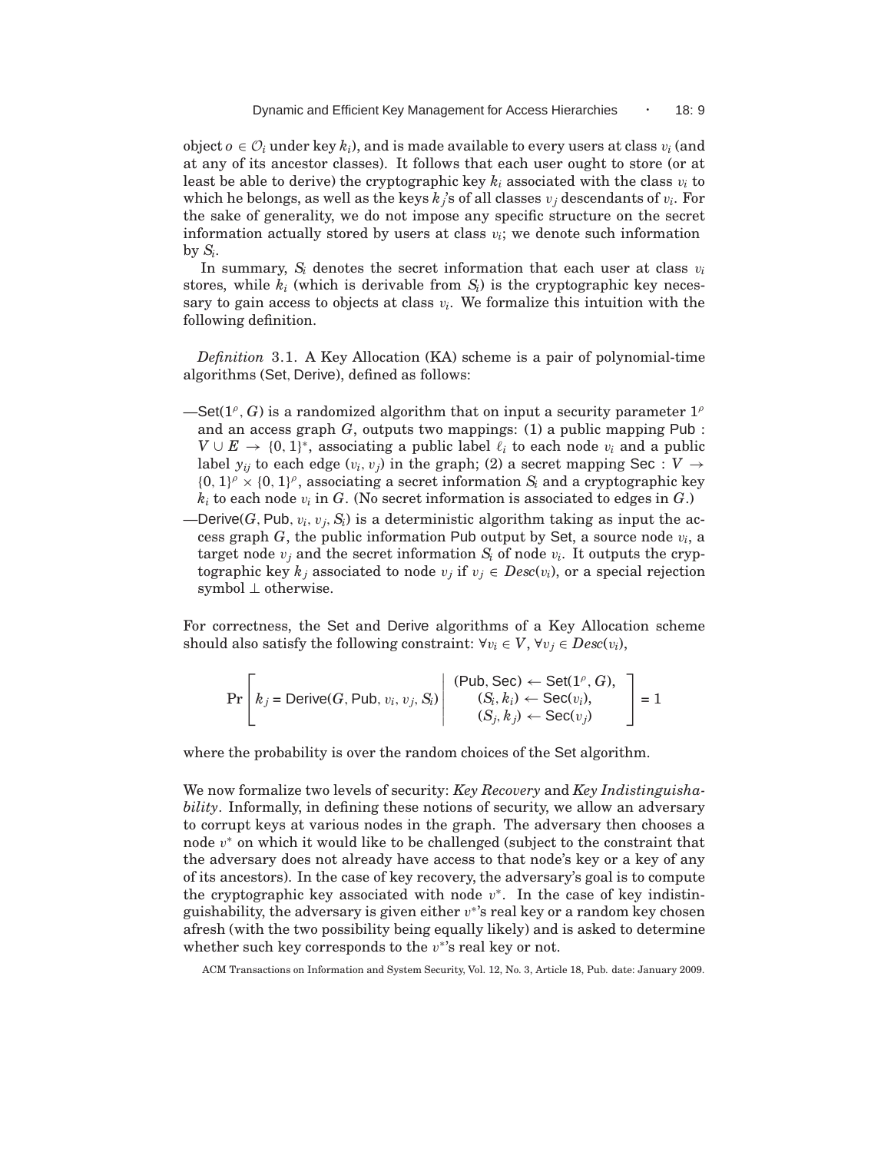object  $o \in \mathcal{O}_i$  under key  $k_i$ ), and is made available to every users at class  $v_i$  (and at any of its ancestor classes). It follows that each user ought to store (or at least be able to derive) the cryptographic key  $k_i$  associated with the class  $v_i$  to which he belongs, as well as the keys  $k_j$ 's of all classes  $v_j$  descendants of  $v_i$ . For the sake of generality, we do not impose any specific structure on the secret information actually stored by users at class  $v_i$ ; we denote such information by  $S_i$ .

In summary,  $S_i$  denotes the secret information that each user at class  $v_i$ stores, while  $k_i$  (which is derivable from  $S_i$ ) is the cryptographic key necessary to gain access to objects at class  $v_i$ . We formalize this intuition with the following definition.

*Definition* 3.1. A Key Allocation (KA) scheme is a pair of polynomial-time algorithms (Set, Derive), defined as follows:

- $-$ Set(1<sup> $\rho$ </sup>, *G*) is a randomized algorithm that on input a security parameter  $1^{\rho}$ and an access graph  $G$ , outputs two mappings: (1) a public mapping Pub:  $V \cup E \rightarrow \{0, 1\}^*$ , associating a public label  $\ell_i$  to each node  $v_i$  and a public label  $y_{ij}$  to each edge  $(v_i, v_j)$  in the graph; (2) a secret mapping Sec :  $V \rightarrow$  $\{0, 1\}^{\rho} \times \{0, 1\}^{\rho}$ , associating a secret information  $S_i$  and a cryptographic key  $k_i$  to each node  $v_i$  in *G*. (No secret information is associated to edges in *G*.)
- Derive(*G*, Pub,  $v_i$ ,  $v_j$ ,  $S_i$ ) is a deterministic algorithm taking as input the access graph *G*, the public information Pub output by Set, a source node v*<sup>i</sup>* , a target node  $v_j$  and the secret information  $S_i$  of node  $v_i$ . It outputs the cryptographic key  $k_j$  associated to node  $v_j$  if  $v_j \in Desc(v_i)$ , or a special rejection symbol ⊥ otherwise.

For correctness, the Set and Derive algorithms of a Key Allocation scheme should also satisfy the following constraint:  $\forall v_i \in V$ ,  $\forall v_j \in Desc(v_i)$ ,

$$
\Pr\left[k_j = \text{Derive}(G, \text{Pub}, v_i, v_j, S_i) \middle| \begin{array}{c} (\text{Pub}, \text{Sec}) \leftarrow \text{Set}(1^{\rho}, G), \\ (S_i, k_i) \leftarrow \text{Sec}(v_i), \\ (S_j, k_j) \leftarrow \text{Sec}(v_j) \end{array}\right] = 1\right]
$$

where the probability is over the random choices of the Set algorithm.

We now formalize two levels of security: *Key Recovery* and *Key Indistinguishability*. Informally, in defining these notions of security, we allow an adversary to corrupt keys at various nodes in the graph. The adversary then chooses a node v <sup>∗</sup> on which it would like to be challenged (subject to the constraint that the adversary does not already have access to that node's key or a key of any of its ancestors). In the case of key recovery, the adversary's goal is to compute the cryptographic key associated with node  $v^*$ . In the case of key indistinguishability, the adversary is given either  $v^*$ 's real key or a random key chosen afresh (with the two possibility being equally likely) and is asked to determine whether such key corresponds to the  $v^*$ 's real key or not.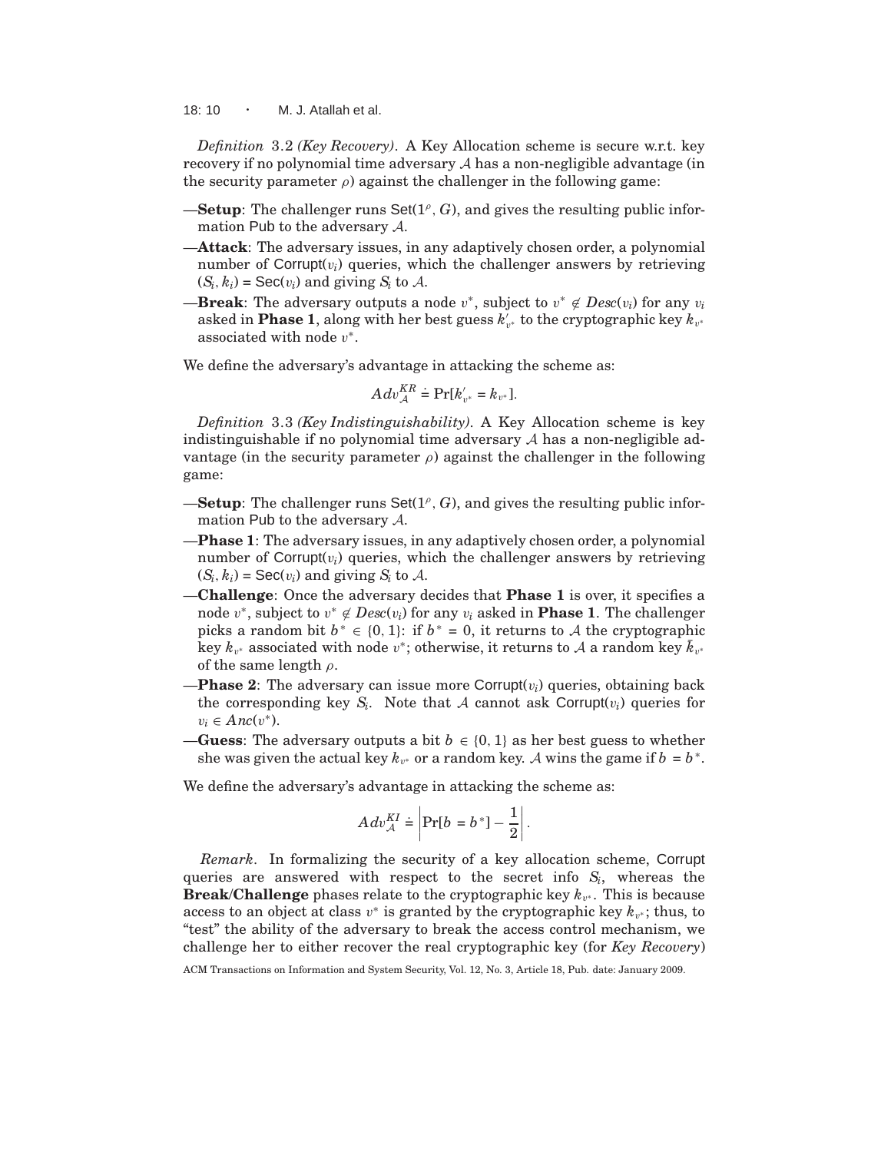18: 10  $\cdot$  M. J. Atallah et al.

*Definition* 3.2 *(Key Recovery)*. A Key Allocation scheme is secure w.r.t. key recovery if no polynomial time adversary  $\mathcal A$  has a non-negligible advantage (in the security parameter  $\rho$ ) against the challenger in the following game:

- **-Setup**: The challenger runs Set( $1^{\rho}$ , G), and gives the resulting public information Pub to the adversary A.
- —**Attack**: The adversary issues, in any adaptively chosen order, a polynomial number of  $Corrupt(v_i)$  queries, which the challenger answers by retrieving  $(S_i, k_i)$  = Sec $(v_i)$  and giving  $S_i$  to A.
- **—Break**: The adversary outputs a node  $v^*$ , subject to  $v^* \notin Desc(v_i)$  for any  $v_i$ asked in **Phase 1**, along with her best guess  $k'_{v^*}$  to the cryptographic key  $k_{v^*}$ associated with node  $v^*$ .

We define the adversary's advantage in attacking the scheme as:

$$
Adv_{\mathcal{A}}^{KR} \doteq Pr[k'_{v^*} = k_{v^*}].
$$

*Definition* 3.3 *(Key Indistinguishability)*. A Key Allocation scheme is key indistinguishable if no polynomial time adversary  $A$  has a non-negligible advantage (in the security parameter  $\rho$ ) against the challenger in the following game:

- **-Setup**: The challenger runs Set( $1^{\rho}$ , G), and gives the resulting public information Pub to the adversary A.
- —**Phase 1**: The adversary issues, in any adaptively chosen order, a polynomial number of  $Corrupt(v_i)$  queries, which the challenger answers by retrieving  $(S_i, k_i)$  = Sec( $v_i$ ) and giving  $S_i$  to A.
- —**Challenge**: Once the adversary decides that **Phase 1** is over, it specifies a node  $v^*$ , subject to  $v^* \notin Desc(v_i)$  for any  $v_i$  asked in **Phase 1**. The challenger picks a random bit  $b^* \in \{0, 1\}$ : if  $b^* = 0$ , it returns to A the cryptographic  $\vec{f}_{k}$  associated with node  $v^*$ ; otherwise, it returns to A a random key  $\vec{k}_{v^*}$ of the same length  $\rho$ .
- **—Phase 2**: The adversary can issue more Corrupt( $v_i$ ) queries, obtaining back the corresponding key  $S_i$ . Note that  $A$  cannot ask Corrupt( $v_i$ ) queries for  $v_i \in \text{Anc}(v^*).$
- —**Guess**: The adversary outputs a bit  $b \in \{0, 1\}$  as her best guess to whether she was given the actual key  $k_{v^*}$  or a random key. A wins the game if  $b = b^*$ .

We define the adversary's advantage in attacking the scheme as:

$$
Adv_{\mathcal{A}}^{KI} \doteq \left| \Pr[b = b^*] - \frac{1}{2} \right|.
$$

*Remark*. In formalizing the security of a key allocation scheme, Corrupt queries are answered with respect to the secret info *S<sup>i</sup>* , whereas the **Break/Challenge** phases relate to the cryptographic key  $k_{v^*}$ . This is because access to an object at class  $v^*$  is granted by the cryptographic key  $k_{v^*}$ ; thus, to "test" the ability of the adversary to break the access control mechanism, we challenge her to either recover the real cryptographic key (for *Key Recovery*)

ACM Transactions on Information and System Security, Vol. 12, No. 3, Article 18, Pub. date: January 2009.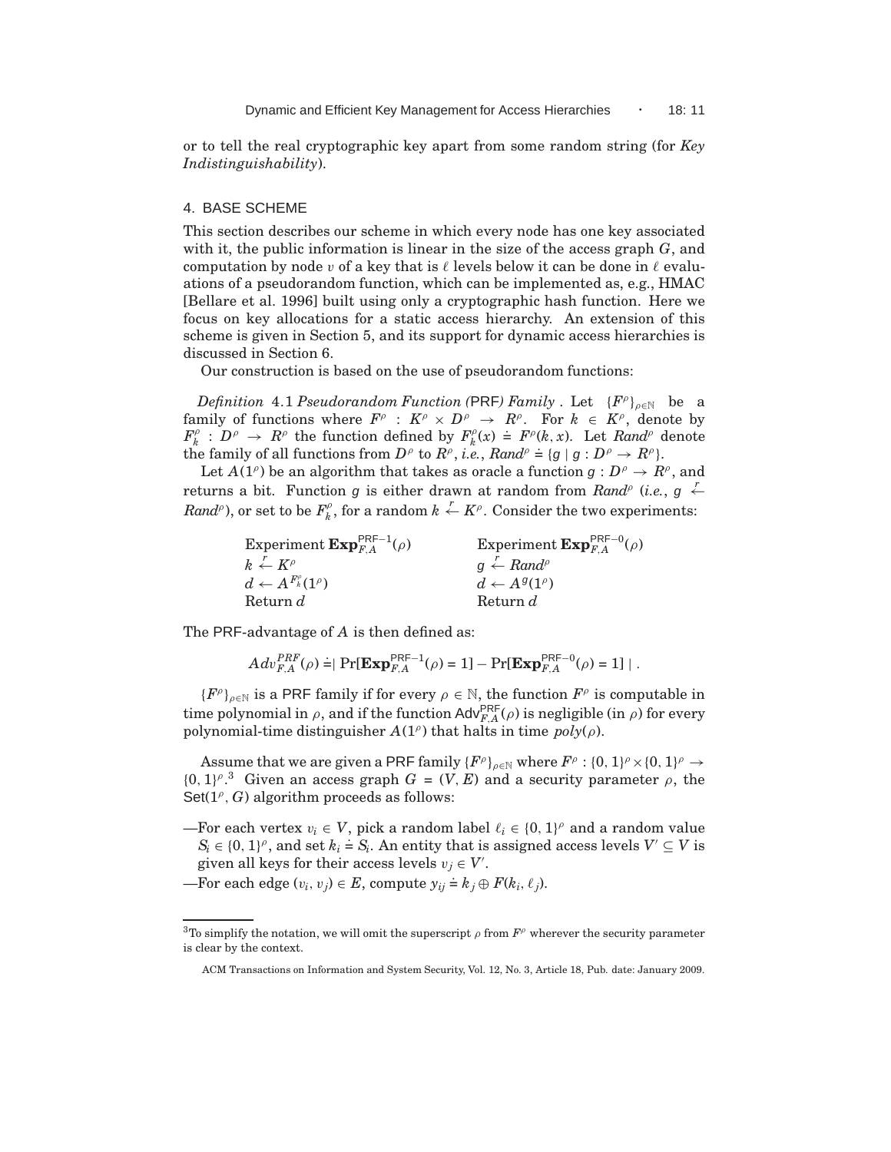or to tell the real cryptographic key apart from some random string (for *Key Indistinguishability*).

## 4. BASE SCHEME

This section describes our scheme in which every node has one key associated with it, the public information is linear in the size of the access graph *G*, and computation by node v of a key that is  $\ell$  levels below it can be done in  $\ell$  evaluations of a pseudorandom function, which can be implemented as, e.g., HMAC [Bellare et al. 1996] built using only a cryptographic hash function. Here we focus on key allocations for a static access hierarchy. An extension of this scheme is given in Section 5, and its support for dynamic access hierarchies is discussed in Section 6.

Our construction is based on the use of pseudorandom functions:

 $Definition 4.1 Pseudorandom Function (PRF) Family. Let  ${F^{\rho}}_{\rho \in \mathbb{N}}$  be a$ family of functions where  $F^{\rho}: K^{\rho} \times D^{\rho} \to R^{\rho}$ . For  $k \in K^{\rho}$ , denote by  $F^\rho_{\nu}$  $h^{\rho}: D^{\rho} \to R^{\rho}$  the function defined by  $F^{\rho}_{k}$  $\hat{h}_k^{\rho}(x) = F^{\rho}(k, x)$ . Let *Rand*<sup> $\rho$ </sup> denote the family of all functions from  $D^{\rho}$  to  $R^{\rho}$ , *i.e.*,  $Rand^{\rho} = \{g \mid g : D^{\rho} \rightarrow R^{\rho}\}$ .

Let  $A(1^{\rho})$  be an algorithm that takes as oracle a function  $g: D^{\rho} \to R^{\rho}$ , and returns a bit. Function g is either drawn at random from  $Rand^{\rho}$  (*i.e.*, g  $\leftarrow$ *Rand*<sup> $\rho$ </sup>), or set to be  $F^{\rho}_{\nu}$  $h_k^{\rho}$ , for a random  $k \leftarrow K^{\rho}$ . Consider the two experiments:

| Experiment $\mathbf{Exp}_{FA}^{\mathsf{PRF}-1}(\rho)$ | Experiment $\mathbf{Exp}_{FA}^{\mathsf{PRF}-0}(\rho)$ |
|-------------------------------------------------------|-------------------------------------------------------|
| $k \leftarrow K^{\rho}$                               | $q \leftarrow Rand^{\rho}$                            |
| $d \leftarrow A^{F^{\rho}_{k}}(1^{\rho})$             | $d \leftarrow A^{g}(1^{\rho})$                        |
| Return d                                              | Return d                                              |

The PRF-advantage of *A* is then defined as:

$$
Adv_{F,A}^{PRF}(\rho) \doteq \mid \Pr[\mathbf{Exp}_{F,A}^{\mathsf{PRF}-1}(\rho) = 1] - \Pr[\mathbf{Exp}_{F,A}^{\mathsf{PRF}-0}(\rho) = 1] \mid.
$$

 ${F^{\rho}}_{\rho \in \mathbb{N}}$  is a PRF family if for every  $\rho \in \mathbb{N}$ , the function  $F^{\rho}$  is computable in time polynomial in  $\rho$ , and if the function Adv $_{F,A}^{\mathsf{PRF}}(\rho)$  is negligible (in  $\rho$ ) for every polynomial-time distinguisher  $A(1^{\rho})$  that halts in time  $poly(\rho)$ .

Assume that we are given a PRF family  $\{F^\rho\}_{\rho \in \mathbb{N}}$  where  $F^\rho : \{0, 1\}^\rho \times \{0, 1\}^\rho \to$  ${0, 1}^{\rho}$ .<sup>3</sup> Given an access graph  $G = (V, E)$  and a security parameter  $\rho$ , the  $Set(1^{\rho}, G)$  algorithm proceeds as follows:

- —For each vertex  $v_i \in V$ , pick a random label  $\ell_i \in \{0, 1\}^{\rho}$  and a random value  $S_i \in \{0, 1\}^{\rho}$ , and set  $k_i \doteq S_i$ . An entity that is assigned access levels  $V' \subseteq V$  is given all keys for their access levels  $v_j \in V'$ .
- $\overline{\phantom{a}}$  For each edge  $(v_i, v_j) \in E$ , compute  $y_{ij} \doteq k_j \oplus F(k_i, \ell_j)$ .

<sup>&</sup>lt;sup>3</sup>To simplify the notation, we will omit the superscript  $\rho$  from  $F^{\rho}$  wherever the security parameter is clear by the context.

ACM Transactions on Information and System Security, Vol. 12, No. 3, Article 18, Pub. date: January 2009.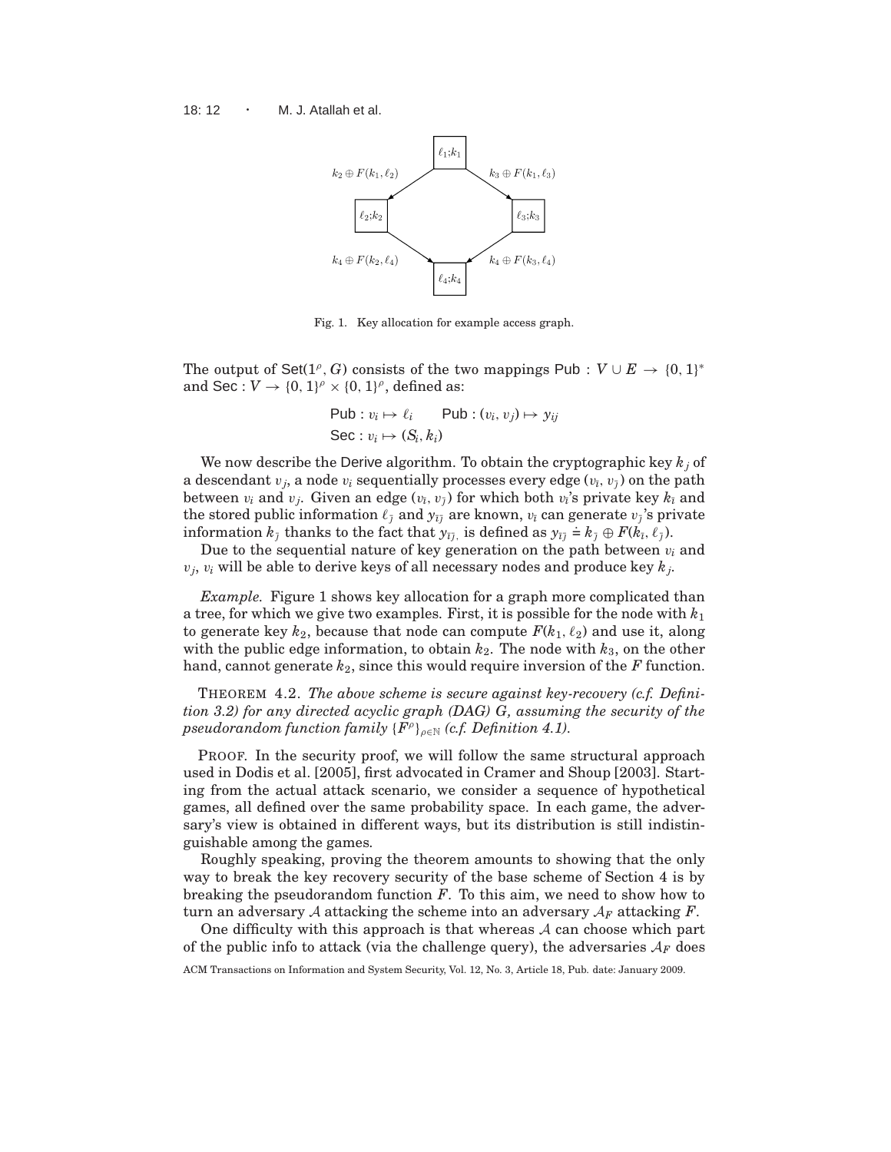

Fig. 1. Key allocation for example access graph.

The output of Set( $1^{\rho}$ , *G*) consists of the two mappings Pub :  $V \cup E \rightarrow \{0, 1\}^*$ and Sec :  $V \rightarrow \{0, 1\}^{\rho} \times \{0, 1\}^{\rho}$ , defined as:

$$
\begin{aligned} \mathsf{Pub}: v_i &\mapsto \ell_i &\qquad \mathsf{Pub}: (v_i, v_j) &\mapsto y_{ij} \\ \mathsf{Sec}: v_i &\mapsto (S_i, k_i) \end{aligned}
$$

We now describe the Derive algorithm. To obtain the cryptographic key *k<sup>j</sup>* of a descendant  $v_j$ , a node  $v_i$  sequentially processes every edge  $(v_i,v_j)$  on the path between  $v_i$  and  $v_j$ . Given an edge  $(v_{\bar{i}}, v_{\bar{j}})$  for which both  $v_{\bar{i}}$ 's private key  $k_{\bar{i}}$  and the stored public information  $\ell_{\bar j}$  and  $y_{\bar\imath\bar\jmath}$  are known,  $v_{\bar\imath}$  can generate  $v_{\bar\jmath}$ 's private information *k*<sub> $\bar{j}$ </sub> thanks to the fact that  $y_{\bar{i}\bar{j}}$ , is defined as  $y_{\bar{i}\bar{j}} \doteq k_{\bar{j}} \oplus F(k_{\bar{i}}, \ell_{\bar{j}})$ .

Due to the sequential nature of key generation on the path between  $v_i$  and  $v_j$ ,  $v_i$  will be able to derive keys of all necessary nodes and produce key  $k_j$ .

*Example.* Figure 1 shows key allocation for a graph more complicated than a tree, for which we give two examples. First, it is possible for the node with *k*<sup>1</sup> to generate key  $k_2$ , because that node can compute  $F(k_1, \ell_2)$  and use it, along with the public edge information, to obtain  $k_2$ . The node with  $k_3$ , on the other hand, cannot generate *k*2, since this would require inversion of the *F* function.

THEOREM 4.2. *The above scheme is secure against key-recovery (c.f. Definition 3.2) for any directed acyclic graph (DAG) G, assuming the security of the*  $pseudorandom\ function\ family\ {F^\rho \}_{\rho \in \mathbb{N}}\ (c.f.\ Definition\ 4.1).$ 

PROOF. In the security proof, we will follow the same structural approach used in Dodis et al. [2005], first advocated in Cramer and Shoup [2003]. Starting from the actual attack scenario, we consider a sequence of hypothetical games, all defined over the same probability space. In each game, the adversary's view is obtained in different ways, but its distribution is still indistinguishable among the games.

Roughly speaking, proving the theorem amounts to showing that the only way to break the key recovery security of the base scheme of Section 4 is by breaking the pseudorandom function *F*. To this aim, we need to show how to turn an adversary A attacking the scheme into an adversary  $A_F$  attacking  $F$ .

One difficulty with this approach is that whereas  $A$  can choose which part of the public info to attack (via the challenge query), the adversaries  $A_F$  does

ACM Transactions on Information and System Security, Vol. 12, No. 3, Article 18, Pub. date: January 2009.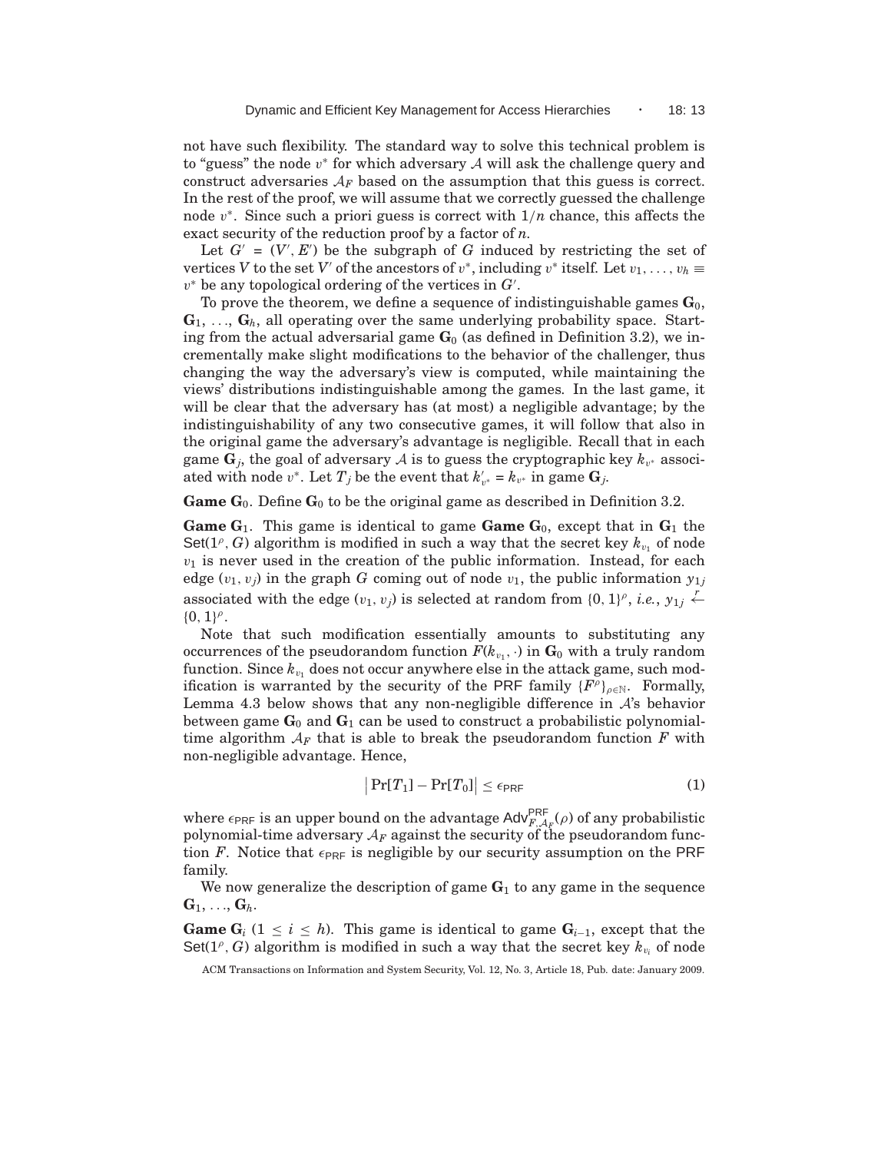not have such flexibility. The standard way to solve this technical problem is to "guess" the node  $v^*$  for which adversary  $A$  will ask the challenge query and construct adversaries  $A_F$  based on the assumption that this guess is correct. In the rest of the proof, we will assume that we correctly guessed the challenge node v<sup>\*</sup>. Since such a priori guess is correct with  $1/n$  chance, this affects the exact security of the reduction proof by a factor of *n*.

Let  $G' = (V', E')$  be the subgraph of G induced by restricting the set of vertices *V* to the set *V*<sup>*'*</sup> of the ancestors of  $v^*$ , including  $v^*$  itself. Let  $v_1, \ldots, v_h \equiv$ v <sup>∗</sup> be any topological ordering of the vertices in *G*′ .

To prove the theorem, we define a sequence of indistinguishable games  $\mathbf{G}_0$ ,  $\mathbf{G}_1, \ldots, \mathbf{G}_h$ , all operating over the same underlying probability space. Starting from the actual adversarial game  $G_0$  (as defined in Definition 3.2), we incrementally make slight modifications to the behavior of the challenger, thus changing the way the adversary's view is computed, while maintaining the views' distributions indistinguishable among the games. In the last game, it will be clear that the adversary has (at most) a negligible advantage; by the indistinguishability of any two consecutive games, it will follow that also in the original game the adversary's advantage is negligible. Recall that in each game  $\mathbf{G}_j$ , the goal of adversary  $\mathcal A$  is to guess the cryptographic key  $k_{v^*}$  associated with node  $v^*$ . Let  $T_j$  be the event that  $k'_{v^*} = k_{v^*}$  in game  $\mathbf{G}_j$ .

**Game**  $G_0$ . Define  $G_0$  to be the original game as described in Definition 3.2.

**Game G**<sub>1</sub>. This game is identical to game **Game G**<sub>0</sub>, except that in  $G_1$  the Set( $1^{\rho}$ , *G*) algorithm is modified in such a way that the secret key  $k_{v_1}$  of node  $v_1$  is never used in the creation of the public information. Instead, for each edge  $(v_1, v_j)$  in the graph *G* coming out of node  $v_1$ , the public information  $y_{1i}$ associated with the edge  $(v_1, v_j)$  is selected at random from  $\{0, 1\}^{\rho}$ , *i.e.*,  $y_{1j} \leftarrow$  ${0, 1}^{\rho}.$ 

Note that such modification essentially amounts to substituting any occurrences of the pseudorandom function  $F(k_{v_1},\cdot)$  in  $\mathbf{G}_0$  with a truly random function. Since  $k_{v_1}$  does not occur anywhere else in the attack game, such modification is warranted by the security of the PRF family  ${F^{\rho}}_{\rho \in \mathbb{N}}$ . Formally, Lemma 4.3 below shows that any non-negligible difference in  $A$ 's behavior between game  $\mathbf{G}_0$  and  $\mathbf{G}_1$  can be used to construct a probabilistic polynomialtime algorithm  $A_F$  that is able to break the pseudorandom function  $F$  with non-negligible advantage. Hence,

$$
|\Pr[T_1] - \Pr[T_0]| \le \epsilon_{\text{PRF}} \tag{1}
$$

where  $\epsilon_{\text{PRF}}$  is an upper bound on the advantage Adv $_{F,\mathcal{A}_F}^{\text{PRF}}(\rho)$  of any probabilistic polynomial-time adversary  $\mathcal{A}_F$  against the security of the pseudorandom function *F*. Notice that  $\epsilon_{\text{PRF}}$  is negligible by our security assumption on the PRF family.

We now generalize the description of game  $G_1$  to any game in the sequence  $\mathbf{G}_1, \ldots, \mathbf{G}_h.$ 

**Game**  $G_i$  (1 ≤ *i* ≤ *h*). This game is identical to game  $G_{i-1}$ , except that the Set( $1^{\rho}$ , *G*) algorithm is modified in such a way that the secret key  $k_{v_i}$  of node

ACM Transactions on Information and System Security, Vol. 12, No. 3, Article 18, Pub. date: January 2009.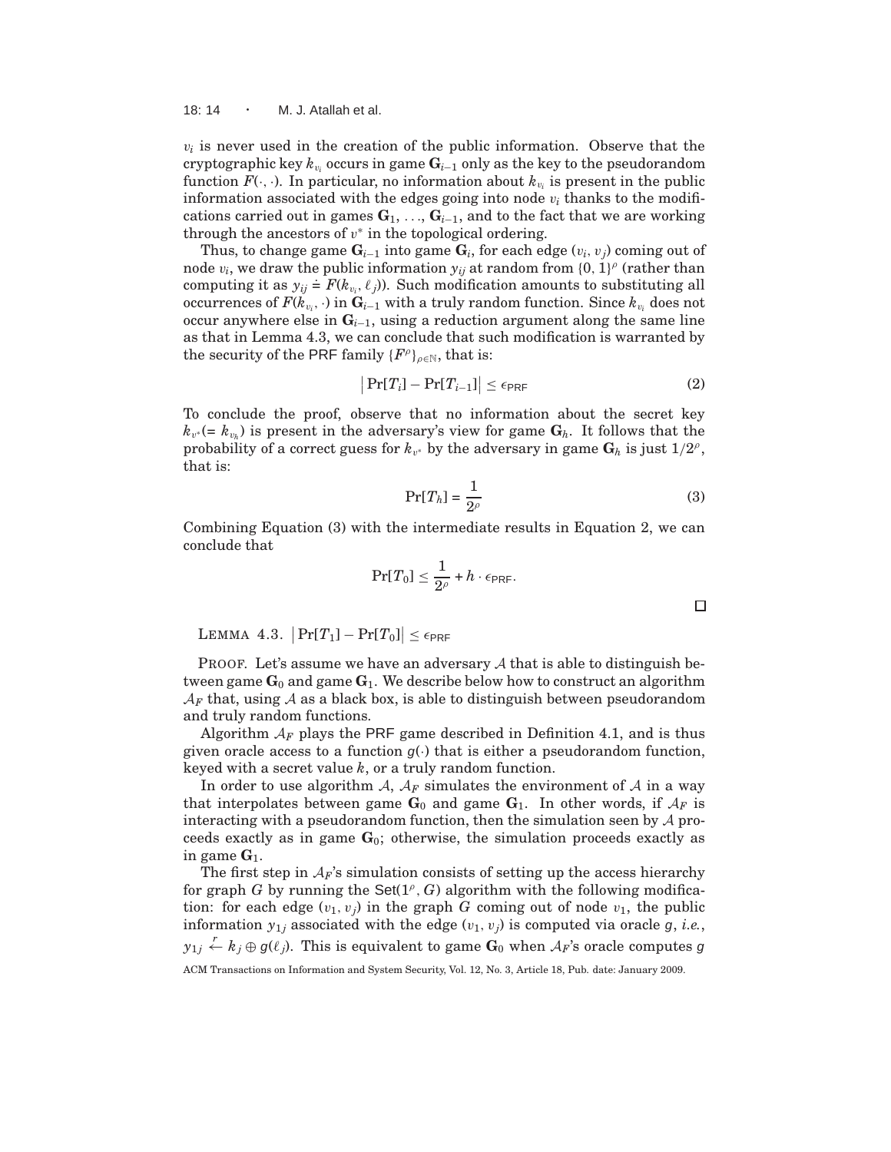18:  $14 \cdot M$ . J. Atallah et al.

 $v_i$  is never used in the creation of the public information. Observe that the  $\text{cryptographic key } k_{v_i} \text{ occurs in game } \mathbf{G}_{i-1} \text{ only as the key to the pseudorandom.}$ function  $F(\cdot, \cdot)$ . In particular, no information about  $k_{v_i}$  is present in the public information associated with the edges going into node  $v_i$  thanks to the modifications carried out in games  $\mathbf{G}_1, \ldots, \mathbf{G}_{i-1}$ , and to the fact that we are working through the ancestors of  $v^*$  in the topological ordering.

Thus, to change game  $\mathbf{G}_{i-1}$  into game  $\mathbf{G}_i$ , for each edge  $(v_i, v_j)$  coming out of node  $v_i$ , we draw the public information  $y_{ij}$  at random from  $\{0, 1\}^{\rho}$  (rather than computing it as  $y_{ij} \doteq F(k_{v_i}, \ell_j)$ . Such modification amounts to substituting all occurrences of  $F(k_{v_i},\cdot)$  in  $\mathbf{G}_{i-1}$  with a truly random function. Since  $k_{v_i}$  does not occur anywhere else in  $\mathbf{G}_{i-1}$ , using a reduction argument along the same line as that in Lemma 4.3, we can conclude that such modification is warranted by the security of the PRF family  $\{F^{\rho}\}_{\rho \in \mathbb{N}}$ , that is:

$$
\left|\Pr[T_i] - \Pr[T_{i-1}]\right| \le \epsilon_{\text{PRF}} \tag{2}
$$

To conclude the proof, observe that no information about the secret key  $k_{v^*}$ (=  $k_{v_h}$ ) is present in the adversary's view for game  $\mathbf{G}_h$ . It follows that the probability of a correct guess for  $k_{v^*}$  by the adversary in game  $\mathbf{G}_h$  is just  $1/2^{\rho}$ , that is:

$$
\Pr[T_h] = \frac{1}{2^{\rho}}\tag{3}
$$

Combining Equation (3) with the intermediate results in Equation 2, we can conclude that

$$
\Pr[T_0] \leq \frac{1}{2^\rho} + h \cdot \epsilon_{\textsf{PRF}}.
$$

LEMMA 4.3.  $\left|\Pr[T_1]-\Pr[T_0]\right|\leq \epsilon_{\textsf{PRF}}$ 

PROOF. Let's assume we have an adversary  $A$  that is able to distinguish between game  $\mathbf{G}_0$  and game  $\mathbf{G}_1$ . We describe below how to construct an algorithm  $A_F$  that, using A as a black box, is able to distinguish between pseudorandom and truly random functions.

Algorithm  $A_F$  plays the PRF game described in Definition 4.1, and is thus given oracle access to a function  $g(\cdot)$  that is either a pseudorandom function, keyed with a secret value *k*, or a truly random function.

In order to use algorithm A,  $A_F$  simulates the environment of A in a way that interpolates between game  $\mathbf{G}_0$  and game  $\mathbf{G}_1$ . In other words, if  $\mathcal{A}_F$  is interacting with a pseudorandom function, then the simulation seen by  $\mathcal A$  proceeds exactly as in game  $G_0$ ; otherwise, the simulation proceeds exactly as in game  $G_1$ .

The first step in  $A_F$ 's simulation consists of setting up the access hierarchy for graph  $G$  by running the Set( $1^{\rho}$ ,  $G$ ) algorithm with the following modification: for each edge  $(v_1, v_i)$  in the graph *G* coming out of node  $v_1$ , the public information  $y_{1j}$  associated with the edge  $(v_1, v_j)$  is computed via oracle g, *i.e.*,  $y_{1j} \overset{r}{\leftarrow} k_j \oplus g(\ell_j)$ . This is equivalent to game  $\mathbf{G}_0$  when  $\mathcal{A}_F$ 's oracle computes  $g$ ACM Transactions on Information and System Security, Vol. 12, No. 3, Article 18, Pub. date: January 2009.

$$
\Box
$$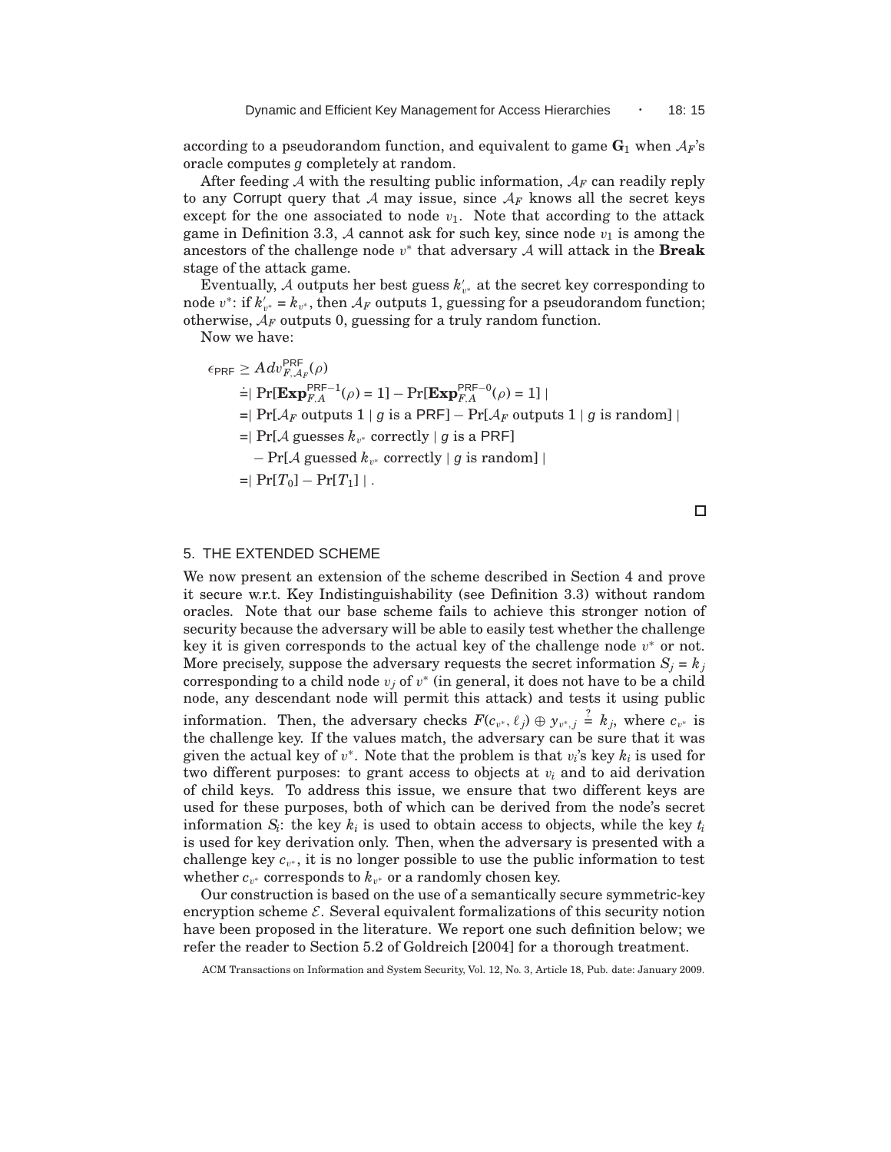according to a pseudorandom function, and equivalent to game  $\mathbf{G}_1$  when  $\mathcal{A}_F$ 's oracle computes g completely at random.

After feeding  $A$  with the resulting public information,  $A_F$  can readily reply to any Corrupt query that A may issue, since  $A_F$  knows all the secret keys except for the one associated to node  $v_1$ . Note that according to the attack game in Definition 3.3, A cannot ask for such key, since node  $v_1$  is among the ancestors of the challenge node v ∗ that adversary A will attack in the **Break** stage of the attack game.

Eventually,  $\mathcal A$  outputs her best guess  $k'_{v^*}$  at the secret key corresponding to node  $v^*$ : if  $k'_{v^*} = k_{v^*}$ , then  $A_F$  outputs 1, guessing for a pseudorandom function; otherwise,  $A_F$  outputs 0, guessing for a truly random function.

Now we have:

 $\sim$   $\sim$   $\sim$ 

$$
\epsilon_{\text{PRF}} \ge A dv_{F,A_F}^{\text{PRF}}(\rho)
$$
\n
$$
\stackrel{=}{=} \Pr[\mathbf{Exp}_{F,A}^{\text{PRF}-1}(\rho) = 1] - \Pr[\mathbf{Exp}_{F,A}^{\text{PRF}-0}(\rho) = 1] \mid
$$
\n
$$
\stackrel{=}{=} \Pr[A_F \text{ outputs } 1 \mid g \text{ is a } \text{PRF}] - \Pr[A_F \text{ outputs } 1 \mid g \text{ is random}] \mid
$$
\n
$$
\stackrel{=}{=} \Pr[A \text{ guesses } k_{v^*} \text{ correctly} \mid g \text{ is a } \text{PRF}]
$$
\n
$$
\quad - \Pr[A \text{ guesses } k_{v^*} \text{ correctly} \mid g \text{ is random}] \mid
$$
\n
$$
\stackrel{=}{=} \Pr[T_0] - \Pr[T_1] \mid .
$$

## $\Box$

## 5. THE EXTENDED SCHEME

We now present an extension of the scheme described in Section 4 and prove it secure w.r.t. Key Indistinguishability (see Definition 3.3) without random oracles. Note that our base scheme fails to achieve this stronger notion of security because the adversary will be able to easily test whether the challenge key it is given corresponds to the actual key of the challenge node  $v^*$  or not. More precisely, suppose the adversary requests the secret information  $S_i = k_j$ corresponding to a child node  $v_j$  of  $v^*$  (in general, it does not have to be a child node, any descendant node will permit this attack) and tests it using public information. Then, the adversary checks  $F(c_{v^*}, \ell_j) \oplus y_{v^*, j} \stackrel{?}{=} k_j$ , where  $c_{v^*}$  is the challenge key. If the values match, the adversary can be sure that it was given the actual key of  $v^*$ . Note that the problem is that  $v_i$ 's key  $k_i$  is used for two different purposes: to grant access to objects at  $v_i$  and to aid derivation of child keys. To address this issue, we ensure that two different keys are used for these purposes, both of which can be derived from the node's secret information  $S_i$ : the key  $k_i$  is used to obtain access to objects, while the key  $t_i$ is used for key derivation only. Then, when the adversary is presented with a challenge key  $c_{v^*}$ , it is no longer possible to use the public information to test whether  $c_{v^*}$  corresponds to  $k_{v^*}$  or a randomly chosen key.

Our construction is based on the use of a semantically secure symmetric-key encryption scheme  $\mathcal{E}$ . Several equivalent formalizations of this security notion have been proposed in the literature. We report one such definition below; we refer the reader to Section 5.2 of Goldreich [2004] for a thorough treatment.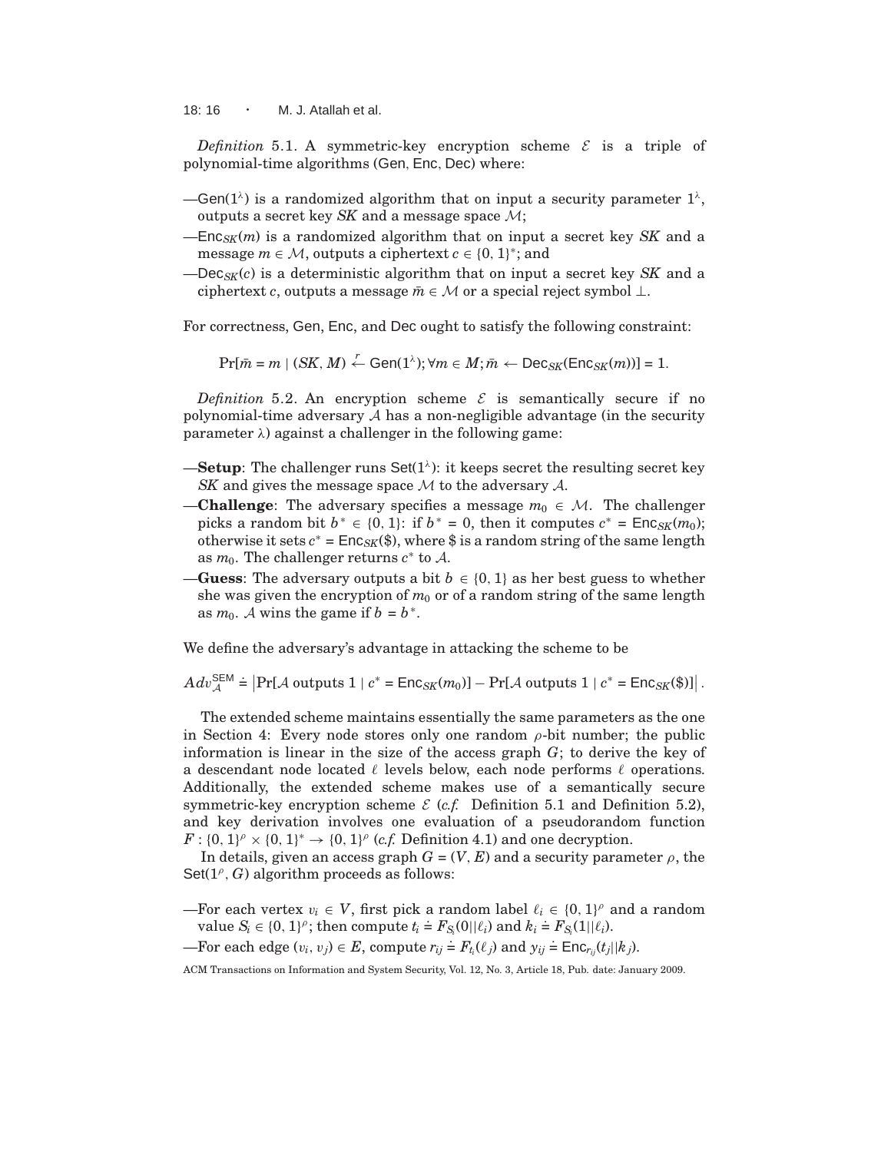18: 16  $\cdot$  M. J. Atallah et al.

*Definition* 5.1. A symmetric-key encryption scheme  $\mathcal{E}$  is a triple of polynomial-time algorithms (Gen,Enc, Dec) where:

- $\equiv$  Gen(1<sup> $\lambda$ </sup>) is a randomized algorithm that on input a security parameter 1<sup> $\lambda$ </sup>, outputs a secret key *SK* and a message space M;
- $-\text{Enc}_{SK}(m)$  is a randomized algorithm that on input a secret key *SK* and a message  $m \in \mathcal{M}$ , outputs a ciphertext  $c \in \{0, 1\}^*$ ; and
- —Dec*SK*(*c*) is a deterministic algorithm that on input a secret key *SK* and a ciphertext *c*, outputs a message  $\bar{m} \in \mathcal{M}$  or a special reject symbol  $\perp$ .

For correctness, Gen, Enc, and Dec ought to satisfy the following constraint:

 $Pr[\bar{m} = m \mid (SK, M) \stackrel{r}{\leftarrow} Gen(1^{\lambda}); \forall m \in M; \bar{m} \leftarrow Dec_{SK}(Enc_{SK}(m))] = 1.$ 

*Definition* 5.2. An encryption scheme  $\mathcal{E}$  is semantically secure if no polynomial-time adversary  $A$  has a non-negligible advantage (in the security parameter  $\lambda$ ) against a challenger in the following game:

- **-Setup**: The challenger runs Set( $1^{\lambda}$ ): it keeps secret the resulting secret key *SK* and gives the message space M to the adversary A.
- **Challenge**: The adversary specifies a message  $m_0 \in \mathcal{M}$ . The challenger picks a random bit  $b^* \in \{0, 1\}$ : if  $b^* = 0$ , then it computes  $c^* = \text{Enc}_{SK}(m_0)$ ; otherwise it sets  $c^* = \mathsf{Enc}_{SK}(\$)$ , where  $\$$  is a random string of the same length as  $m_0$ . The challenger returns  $c^*$  to A.
- —**Guess**: The adversary outputs a bit  $b \in \{0, 1\}$  as her best guess to whether she was given the encryption of  $m_0$  or of a random string of the same length as  $m_0$ . A wins the game if  $b = b^*$ .

We define the adversary's advantage in attacking the scheme to be

 $Adv_{\mathcal{A}}^{\text{SEM}} \doteq \left|\Pr[\mathcal{A} \text{ outputs } 1 \mid c^* = \textsf{Enc}_{SK}(m_0)] - \Pr[\mathcal{A} \text{ outputs } 1 \mid c^* = \textsf{Enc}_{SK}(\$)]\right|.$ 

The extended scheme maintains essentially the same parameters as the one in Section 4: Every node stores only one random  $\rho$ -bit number; the public information is linear in the size of the access graph *G*; to derive the key of a descendant node located  $\ell$  levels below, each node performs  $\ell$  operations. Additionally, the extended scheme makes use of a semantically secure symmetric-key encryption scheme  $\mathcal{E}$  (*c.f.* Definition 5.1 and Definition 5.2), and key derivation involves one evaluation of a pseudorandom function  $F: \{0, 1\}^{\rho} \times \{0, 1\}^* \to \{0, 1\}^{\rho}$  (*c.f.* Definition 4.1) and one decryption.

In details, given an access graph  $G = (V, E)$  and a security parameter  $\rho$ , the  $Set(1^{\rho}, G)$  algorithm proceeds as follows:

—For each vertex  $v_i \in V$ , first pick a random label  $\ell_i \in \{0, 1\}^{\rho}$  and a random value  $S_i \in \{0, 1\}^{\rho}$ ; then compute  $t_i \text{ } \text{ } \text{ } \text{ } F_{S_i}(0||\ell_i)$  and  $k_i \text{ } \text{ } \text{ } \text{ } F_{S_i}(1||\ell_i)$ .

 $\overline{F}$  For each edge  $(v_i, v_j) \in E$ , compute  $r_{ij} \neq F_t(\ell_j)$  and  $y_{ij} \neq \text{Enc}_{r_{ij}}(t_j||k_j)$ .

ACM Transactions on Information and System Security, Vol. 12, No. 3, Article 18, Pub. date: January 2009.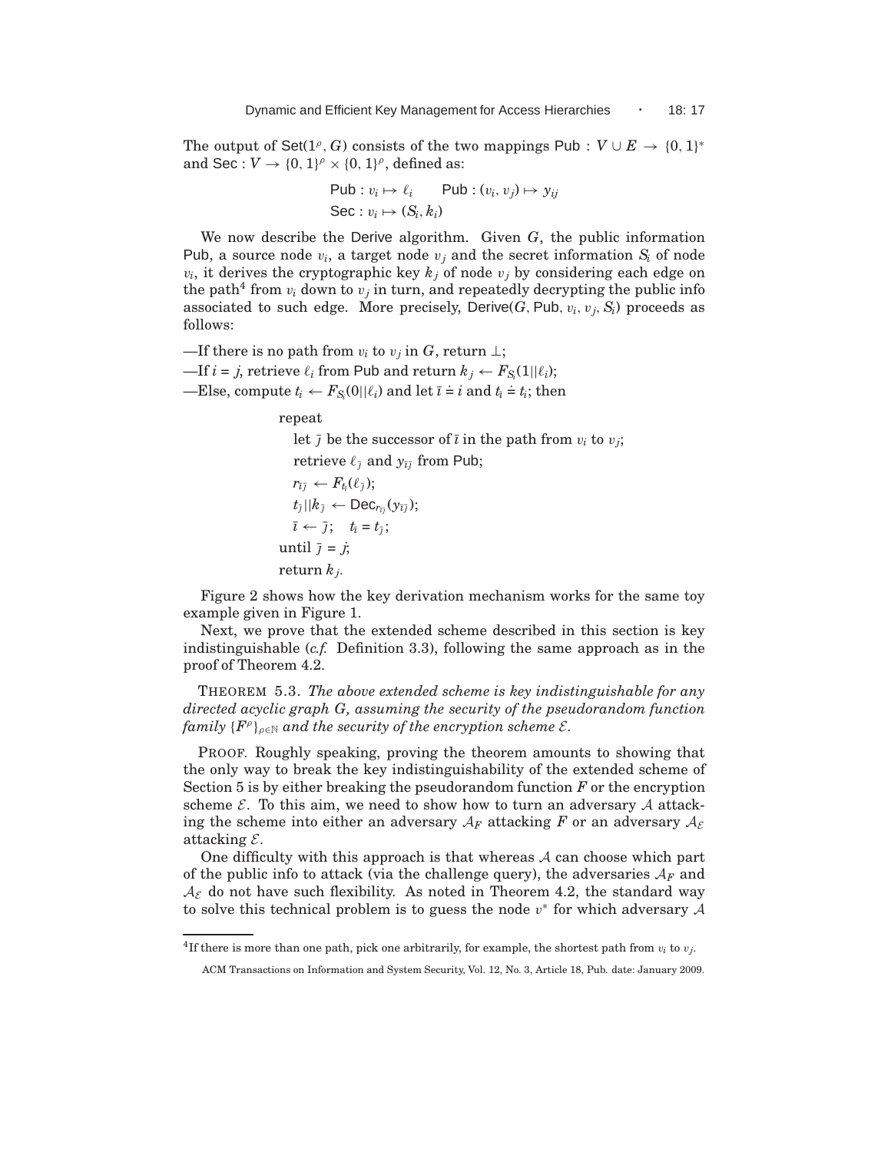The output of Set( $1^{\rho}$ , *G*) consists of the two mappings Pub :  $V \cup E \rightarrow \{0, 1\}^*$ and Sec :  $V \rightarrow \{0, 1\}^{\rho} \times \{0, 1\}^{\rho}$ , defined as:

$$
\begin{aligned} \mathsf{Pub}: v_i &\mapsto \ell_i &\qquad \mathsf{Pub}: (v_i, v_j) &\mapsto y_{ij} \\ \mathsf{Sec}: v_i &\mapsto (S_i, k_i) \end{aligned}
$$

We now describe the Derive algorithm. Given *G*, the public information Pub, a source node  $v_i$ , a target node  $v_j$  and the secret information  $S_i$  of node  $v_i$ , it derives the cryptographic key  $k_j$  of node  $v_j$  by considering each edge on the path<sup>4</sup> from  $v_i$  down to  $v_j$  in turn, and repeatedly decrypting the public info associated to such edge. More precisely, Derive( $G$ , Pub,  $v_i$ ,  $v_j$ ,  $S_i$ ) proceeds as follows:

—If there is no path from  $v_i$  to  $v_j$  in *G*, return  $\perp$ ;

 $-\text{If } i = j$ , retrieve  $\ell_i$  from Pub and return  $k_j \leftarrow F_{S_i}(1||\ell_i);$ 

 $-\text{Else, compute } t_i \leftarrow F_{S_i}(0||\ell_i) \text{ and let } \overline{\iota} \doteq i \text{ and } t_{\overline{\iota}} \doteq t_i; \text{ then}$ 

repeat

let  $\bar{j}$  be the successor of  $\bar{i}$  in the path from  $v_i$  to  $v_j$ ; retrieve  $\ell_{\bar{i}}$  and  $y_{\bar{i}\bar{j}}$  from Pub;  $r_{\bar\imath\bar\jmath}\leftarrow F_{t_{\bar\imath}}(\ell_{\bar\jmath});$  $t_{\bar{\jmath}}||k_{\bar{\jmath}} \leftarrow \mathsf{Dec}_{r_{\bar{\imath}\bar{\jmath}}}(\mathsf{y}_{\bar{\imath}\bar{\jmath}});$  $\bar{\iota} \leftarrow \bar{\jmath}; \quad t_{\bar{\iota}} = t_{\bar{\jmath}};$ until  $\bar{j} = j$ ; return *k<sup>j</sup>* .

Figure 2 shows how the key derivation mechanism works for the same toy example given in Figure 1.

Next, we prove that the extended scheme described in this section is key indistinguishable (*c.f.* Definition 3.3), following the same approach as in the proof of Theorem 4.2.

THEOREM 5.3. *The above extended scheme is key indistinguishable for any directed acyclic graph G, assuming the security of the pseudorandom function*  $\{family| \{F^\rho\}_{\rho \in \mathbb{N}} \text{ and the security of the encryption scheme } \mathcal{E}.$ 

PROOF. Roughly speaking, proving the theorem amounts to showing that the only way to break the key indistinguishability of the extended scheme of Section 5 is by either breaking the pseudorandom function *F* or the encryption scheme  $\mathcal{E}$ . To this aim, we need to show how to turn an adversary  $\mathcal{A}$  attacking the scheme into either an adversary  $A_F$  attacking F or an adversary  $A_{\mathcal{E}}$ attacking  $\mathcal{E}$ .

One difficulty with this approach is that whereas  $A$  can choose which part of the public info to attack (via the challenge query), the adversaries  $A_F$  and  $\mathcal{A}_{\mathcal{E}}$  do not have such flexibility. As noted in Theorem 4.2, the standard way to solve this technical problem is to guess the node  $v^*$  for which adversary  $A$ 

<sup>&</sup>lt;sup>4</sup>If there is more than one path, pick one arbitrarily, for example, the shortest path from  $v_i$  to  $v_j$ .

ACM Transactions on Information and System Security, Vol. 12, No. 3, Article 18, Pub. date: January 2009.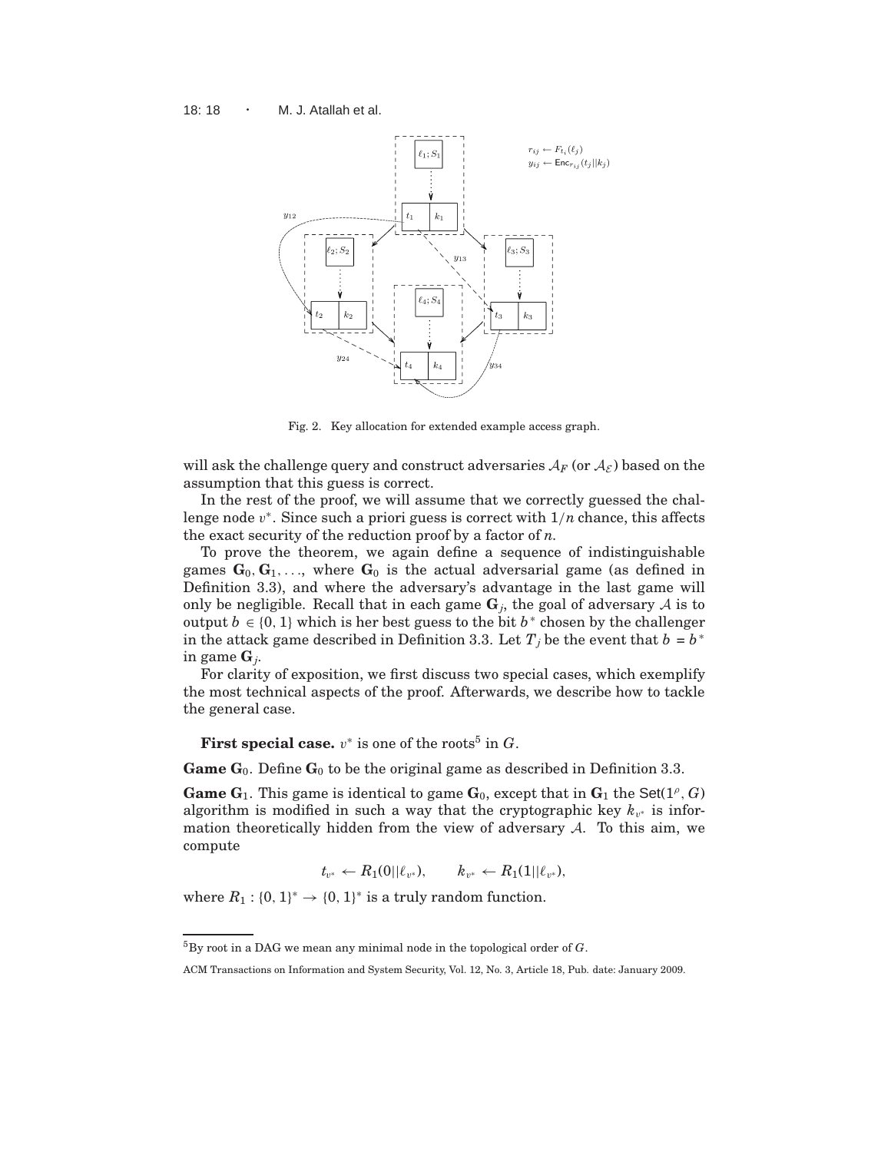

Fig. 2. Key allocation for extended example access graph.

will ask the challenge query and construct adversaries  $A_F$  (or  $A_{\mathcal{E}}$ ) based on the assumption that this guess is correct.

In the rest of the proof, we will assume that we correctly guessed the challenge node v ∗ . Since such a priori guess is correct with 1/*n* chance, this affects the exact security of the reduction proof by a factor of *n*.

To prove the theorem, we again define a sequence of indistinguishable games  $\mathbf{G}_0, \mathbf{G}_1, \ldots$ , where  $\mathbf{G}_0$  is the actual adversarial game (as defined in Definition 3.3), and where the adversary's advantage in the last game will only be negligible. Recall that in each game  $\mathbf{G}_j$ , the goal of adversary  $\mathcal A$  is to output *b* ∈ {0, 1} which is her best guess to the bit  $b^*$  chosen by the challenger in the attack game described in Definition 3.3. Let  $T_j$  be the event that  $b = b^*$ in game **G***<sup>j</sup>* .

For clarity of exposition, we first discuss two special cases, which exemplify the most technical aspects of the proof. Afterwards, we describe how to tackle the general case.

**First special case.**  $v^*$  is one of the roots<sup>5</sup> in  $G$ .

**Game**  $G_0$ **. Define**  $G_0$  **to be the original game as described in Definition 3.3.** 

**Game**  $G_1$ . This game is identical to game  $G_0$ , except that in  $G_1$  the Set(1<sup>*o*</sup>, *G*) algorithm is modified in such a way that the cryptographic key  $k_{v^*}$  is information theoretically hidden from the view of adversary  $A$ . To this aim, we compute

 $t_{v^*} \leftarrow R_1(0||\ell_{v^*}), \qquad k_{v^*} \leftarrow R_1(1||\ell_{v^*}),$ 

where  $R_1: \{0, 1\}^* \to \{0, 1\}^*$  is a truly random function.

<sup>5</sup>By root in a DAG we mean any minimal node in the topological order of *G*.

ACM Transactions on Information and System Security, Vol. 12, No. 3, Article 18, Pub. date: January 2009.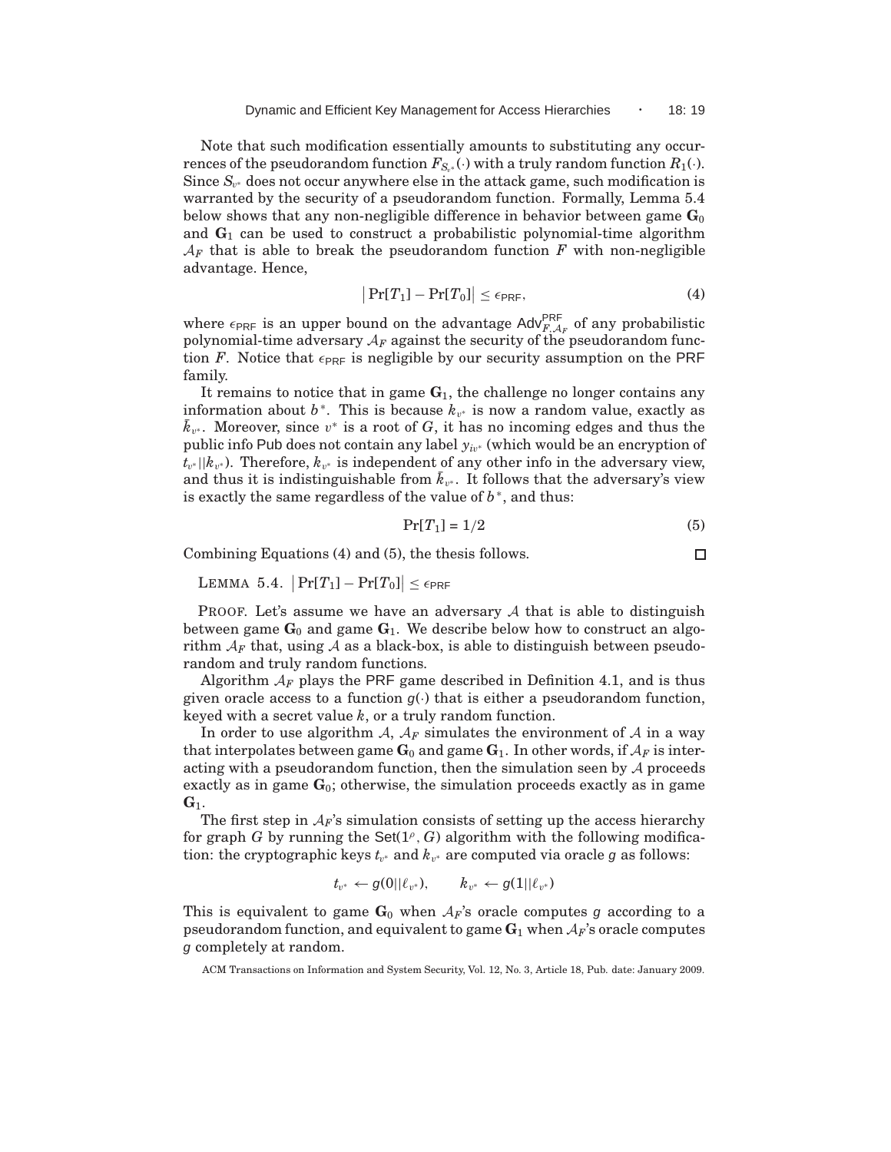Note that such modification essentially amounts to substituting any occurrences of the pseudorandom function  $F_{S_{v^*}}(\cdot)$  with a truly random function  $R_1(\cdot)$ . Since  $S_{v^*}$  does not occur anywhere else in the attack game, such modification is warranted by the security of a pseudorandom function. Formally, Lemma 5.4 below shows that any non-negligible difference in behavior between game  $\mathbf{G}_0$ and  $G_1$  can be used to construct a probabilistic polynomial-time algorithm  $A_F$  that is able to break the pseudorandom function  $F$  with non-negligible advantage. Hence,

$$
\left|\Pr[T_1] - \Pr[T_0]\right| \le \epsilon_{\text{PRF}},\tag{4}
$$

where  $\epsilon_{\text{PRF}}$  is an upper bound on the advantage Adv<sup>PRF</sup>, of any probabilistic polynomial-time adversary A*<sup>F</sup>* against the security of the pseudorandom function *F*. Notice that  $\epsilon_{\text{PRF}}$  is negligible by our security assumption on the PRF family.

It remains to notice that in game  $G_1$ , the challenge no longer contains any information about  $b^*$ . This is because  $k_{v^*}$  is now a random value, exactly as  $\bar{k}_{v^*}$ . Moreover, since  $v^*$  is a root of *G*, it has no incoming edges and thus the public info Pub does not contain any label *y<sup>i</sup>*<sup>v</sup> <sup>∗</sup> (which would be an encryption of *t*<sub>v</sub>∗||*k*<sub>v</sub>∗). Therefore, *k*<sub>v<sup>∗</sup></sub> is independent of any other info in the adversary view, and thus it is indistinguishable from  $\bar{k}_{v^*}$ . It follows that the adversary's view is exactly the same regardless of the value of  $b^*$ , and thus:

$$
\Pr[T_1] = 1/2\tag{5}
$$

 $\Box$ 

Combining Equations (4) and (5), the thesis follows.

LEMMA 5.4.  $|\Pr[T_1]-\Pr[T_0]| \leq \epsilon_{\textsf{PRF}}$ 

PROOF. Let's assume we have an adversary  $A$  that is able to distinguish between game  $G_0$  and game  $G_1$ . We describe below how to construct an algorithm  $A_F$  that, using  $A$  as a black-box, is able to distinguish between pseudorandom and truly random functions.

Algorithm  $A_F$  plays the PRF game described in Definition 4.1, and is thus given oracle access to a function  $g(\cdot)$  that is either a pseudorandom function, keyed with a secret value *k*, or a truly random function.

In order to use algorithm  $A$ ,  $A_F$  simulates the environment of  $A$  in a way that interpolates between game  $\mathbf{G}_0$  and game  $\mathbf{G}_1$ . In other words, if  $\mathcal{A}_F$  is interacting with a pseudorandom function, then the simulation seen by  $A$  proceeds exactly as in game **G**0; otherwise, the simulation proceeds exactly as in game **G**1.

The first step in  $A_F$ 's simulation consists of setting up the access hierarchy for graph  $G$  by running the  $Set(1^{\rho}, G)$  algorithm with the following modification: the cryptographic keys  $t_{v^*}$  and  $k_{v^*}$  are computed via oracle  $g$  as follows:

$$
t_{v^*} \leftarrow g(0||\ell_{v^*}), \qquad k_{v^*} \leftarrow g(1||\ell_{v^*})
$$

This is equivalent to game  $G_0$  when  $A_F$ 's oracle computes g according to a pseudorandom function, and equivalent to game  $\mathbf{G}_1$  when  $A_F$ 's oracle computes g completely at random.

ACM Transactions on Information and System Security, Vol. 12, No. 3, Article 18, Pub. date: January 2009.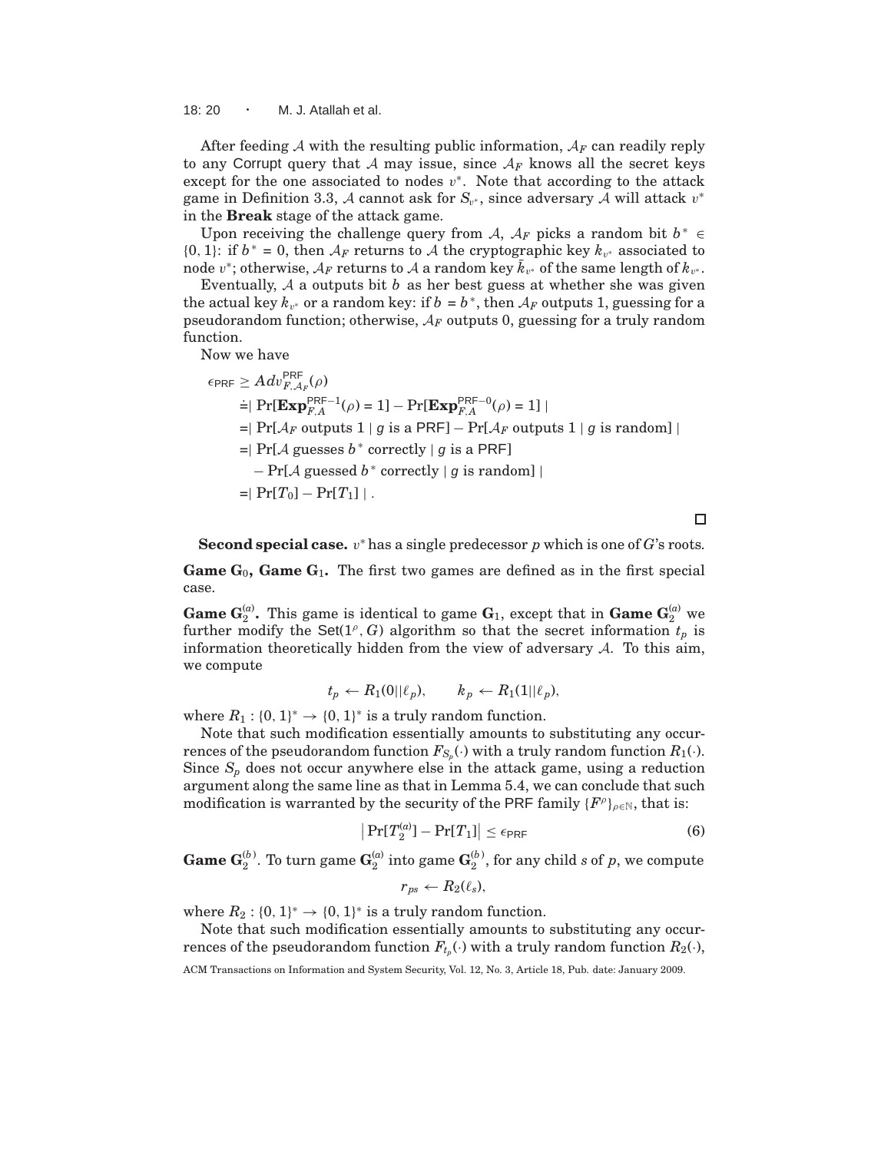18: 20 · M. J. Atallah et al.

After feeding A with the resulting public information,  $A_F$  can readily reply to any Corrupt query that A may issue, since  $A_F$  knows all the secret keys except for the one associated to nodes  $v^*$ . Note that according to the attack game in Definition 3.3, A cannot ask for  $S_{v^*}$ , since adversary A will attack  $v^*$ in the **Break** stage of the attack game.

Upon receiving the challenge query from A,  $A_F$  picks a random bit  $b^* \in$ {0, 1}: if *b*<sup>∗</sup> = 0, then  $A_F$  returns to A the cryptographic key  $k_{v^*}$  associated to  $\bar{h}$  node  $v^*$ ; otherwise,  $\mathcal{A}_F$  returns to  $\mathcal{A}$  a random key  $\bar{k}_{v^*}$  of the same length of  $k_{v^*}.$ 

Eventually, A a outputs bit *b* as her best guess at whether she was given the actual key  $k_{v^*}$  or a random key: if  $b = b^*$ , then  $A_F$  outputs 1, guessing for a pseudorandom function; otherwise,  $A_F$  outputs 0, guessing for a truly random function.

Now we have

 $\epsilon_{\sf PRF} \geq A dv^{\sf PRF}_{F,{\cal A}_F}(\rho)$  $=$ | Pr[**Exp**<sup>PRF−1</sup>( $\rho$ ) = 1] – Pr[**Exp**<sup>PRF−0</sup>( $\rho$ ) = 1] |  $=$ | Pr[ $A_F$  outputs 1 | g is a PRF] – Pr[ $A_F$  outputs 1 | g is random] |  $=$ | Pr[*A* guesses  $b^*$  correctly | *g* is a PRF]  $-$  Pr[ $\mathcal A$  guessed  $b^*$  correctly |  $g$  is random] |  $=$ | Pr[*T*<sub>0</sub>] – Pr[*T*<sub>1</sub>] | .

 $\Box$ 

Second special case. *v*<sup>\*</sup> has a single predecessor *p* which is one of *G*'s roots.

**Game G**0**, Game G**1**.** The first two games are defined as in the first special case.

**Game**  $G_2^{(a)}$ **.** This game is identical to game  $G_1$ , except that in **Game**  $G_2^{(a)}$  we further modify the Set( $1^{\rho}$ , *G*) algorithm so that the secret information  $t_p$  is information theoretically hidden from the view of adversary  $A$ . To this aim, we compute

$$
t_p \leftarrow R_1(0||\ell_p), \qquad k_p \leftarrow R_1(1||\ell_p),
$$

where  $R_1: \{0, 1\}^* \to \{0, 1\}^*$  is a truly random function.

Note that such modification essentially amounts to substituting any occurrences of the pseudorandom function  $F_{S_p}(\cdot)$  with a truly random function  $R_1(\cdot)$ . Since  $S_p$  does not occur anywhere else in the attack game, using a reduction argument along the same line as that in Lemma 5.4, we can conclude that such modification is warranted by the security of the PRF family  ${F^{\rho}}_{\rho \in \mathbb{N}}$ , that is:

$$
\left|\Pr[T_2^{(a)}] - \Pr[T_1]\right| \le \epsilon_{\text{PRF}}\tag{6}
$$

 $\mathbf{G}_{2}^{(b)}$ . To turn game  $\mathbf{G}_{2}^{(a)}$  into game  $\mathbf{G}_{2}^{(b)}$ , for any child  $s$  of  $p$ , we compute

$$
r_{ps} \leftarrow R_2(\ell_s),
$$

where  $R_2: \{0, 1\}^* \to \{0, 1\}^*$  is a truly random function.

Note that such modification essentially amounts to substituting any occurrences of the pseudorandom function  $F_{t_p}(\cdot)$  with a truly random function  $R_2(\cdot),$ 

ACM Transactions on Information and System Security, Vol. 12, No. 3, Article 18, Pub. date: January 2009.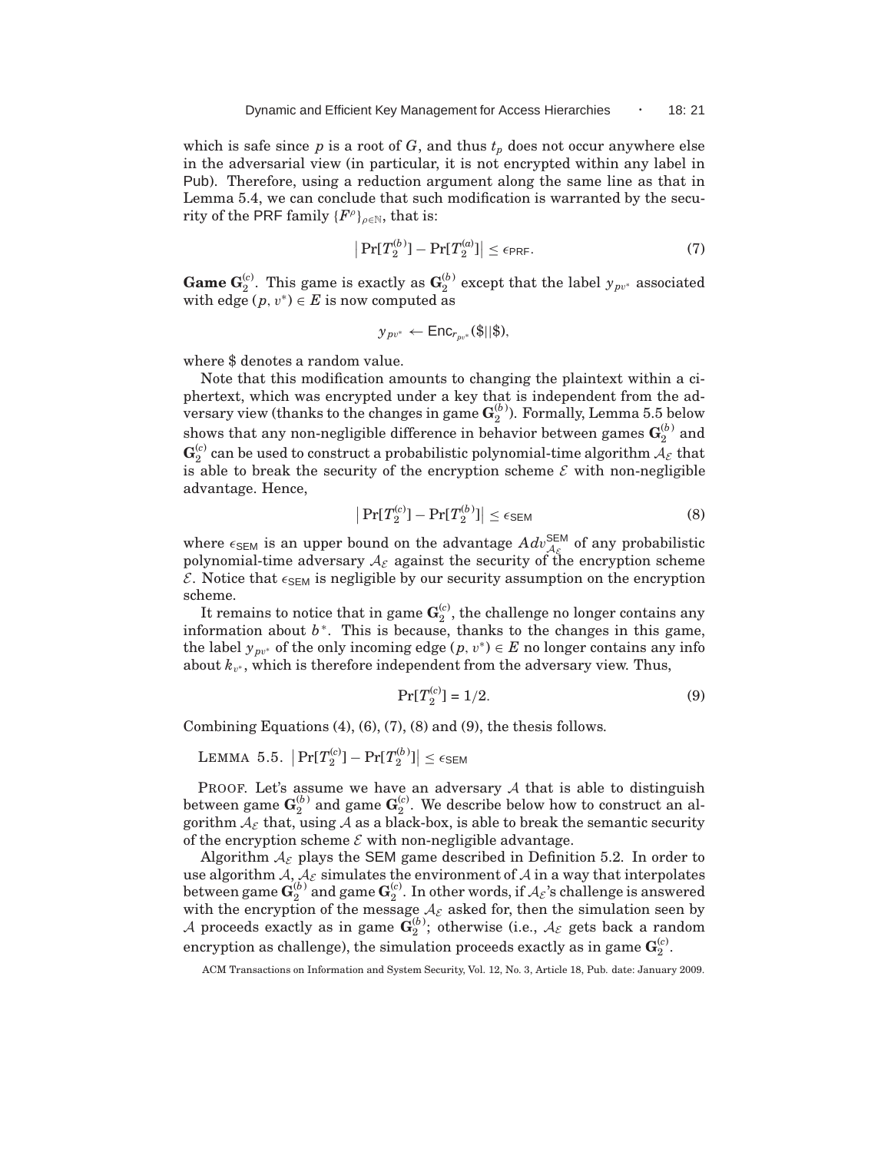which is safe since  $p$  is a root of  $G$ , and thus  $t<sub>p</sub>$  does not occur anywhere else in the adversarial view (in particular, it is not encrypted within any label in Pub). Therefore, using a reduction argument along the same line as that in Lemma 5.4, we can conclude that such modification is warranted by the security of the PRF family  $\{F^\rho\}_{\rho \in \mathbb{N}}$ , that is:

$$
\left|\Pr[T_2^{(b)}] - \Pr[T_2^{(a)}]\right| \le \epsilon_{\text{PRF}}.\tag{7}
$$

**Game G**<sup>(*c*)</sup>. This game is exactly as  $\mathbf{G}_2^{(b)}$  except that the label  $y_{pv^*}$  associated with edge  $(p, v^*) \in E$  is now computed as

$$
y_{pv^*} \leftarrow \mathsf{Enc}_{r_{pv^*}}(\$\| \$\),
$$

where \$ denotes a random value.

Note that this modification amounts to changing the plaintext within a ciphertext, which was encrypted under a key that is independent from the adversary view (thanks to the changes in game  $\mathbf{G}_2^{(b)}$ ). Formally, Lemma 5.5 below shows that any non-negligible difference in behavior between games  $\mathbf{G}_{2}^{(b)}$  and  $\mathbf{G}_2^{(c)}$  can be used to construct a probabilistic polynomial-time algorithm  $\mathcal{A}_\mathcal{E}$  that is able to break the security of the encryption scheme  $\mathcal E$  with non-negligible advantage. Hence,

$$
\left|\Pr[T_2^{(c)}] - \Pr[T_2^{(b)}]\right| \le \epsilon_{\text{SEM}}\tag{8}
$$

where  $\epsilon_{\text{SEM}}$  is an upper bound on the advantage  $Adv_{\mathcal{A}_{\mathcal{E}}}^{\text{SEM}}$  of any probabilistic polynomial-time adversary  $A_{\mathcal{E}}$  against the security of the encryption scheme  $\mathcal{E}$ . Notice that  $\epsilon_{\text{SEM}}$  is negligible by our security assumption on the encryption scheme.

It remains to notice that in game  $\mathbf{G}_2^{(c)}$ , the challenge no longer contains any information about *b* ∗ . This is because, thanks to the changes in this game, the label  $y_{pv^*}$  of the only incoming edge  $(p, v^*) \in E$  no longer contains any info about  $k_{v^*}$ , which is therefore independent from the adversary view. Thus,

$$
\Pr[T_2^{(c)}] = 1/2. \tag{9}
$$

Combining Equations  $(4)$ ,  $(6)$ ,  $(7)$ ,  $(8)$  and  $(9)$ , the thesis follows.

LEMMA 5.5.  $|\Pr[T_2^{(c)}] - \Pr[T_2^{(b)}]| \leq \epsilon_{\text{SEM}}$ 

PROOF. Let's assume we have an adversary  $A$  that is able to distinguish between game  $\mathbf{G}_{2}^{(b)}$  and game  $\mathbf{G}_{2}^{(c)}$ . We describe below how to construct an algorithm  $A_{\mathcal{E}}$  that, using A as a black-box, is able to break the semantic security of the encryption scheme  $\mathcal E$  with non-negligible advantage.

Algorithm  $A_{\mathcal{E}}$  plays the SEM game described in Definition 5.2. In order to use algorithm A,  $A_{\mathcal{E}}$  simulates the environment of A in a way that interpolates between game  $\mathbf{G}_{2}^{(b)}$  and game  $\mathbf{G}_{2}^{(c)}$ . In other words, if  $\mathcal{A}_{\mathcal{E}}$ 's challenge is answered with the encryption of the message  $A_{\mathcal{E}}$  asked for, then the simulation seen by A proceeds exactly as in game  $\bar{\mathbf{G}}_{2}^{(b)}$ ; otherwise (i.e.,  $\mathcal{A}_{\mathcal{E}}$  gets back a random encryption as challenge), the simulation proceeds exactly as in game  $\mathbf{G}_2^{(c)}$ .

ACM Transactions on Information and System Security, Vol. 12, No. 3, Article 18, Pub. date: January 2009.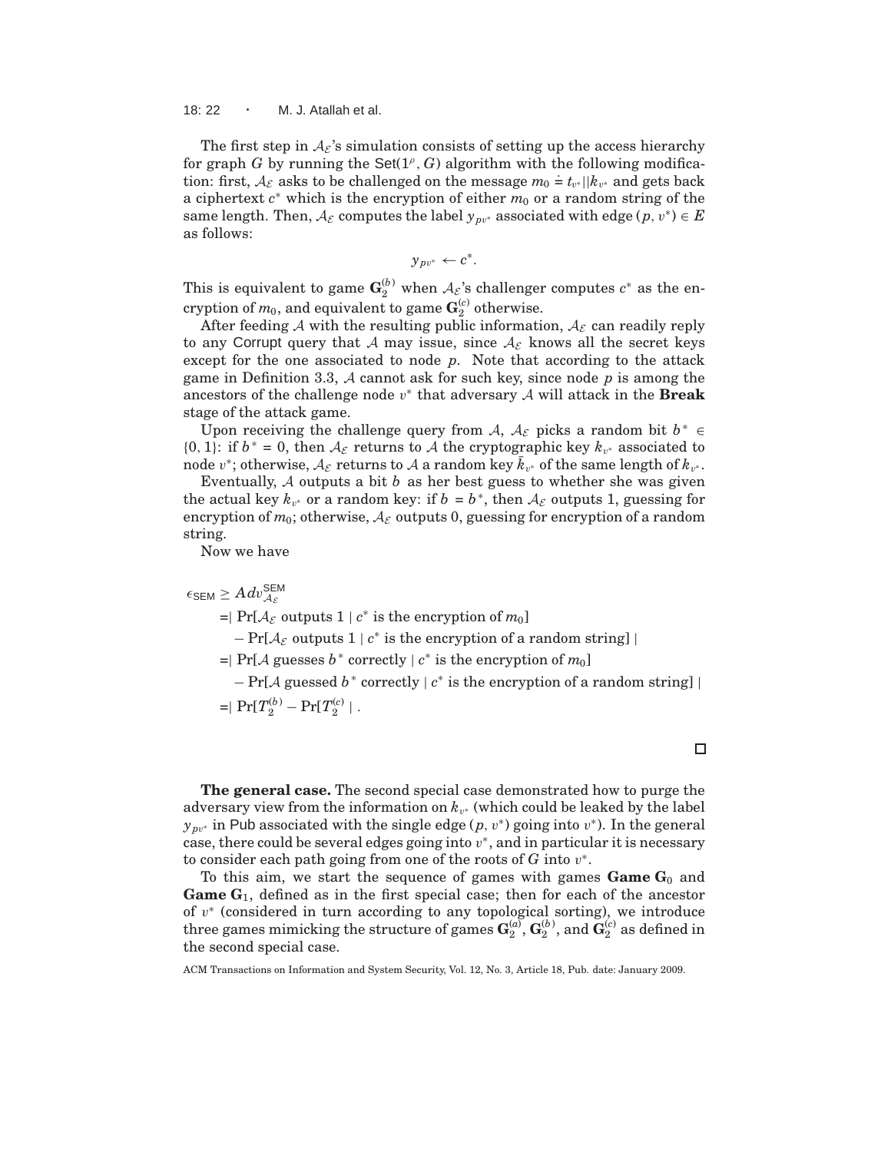18: 22 · M. J. Atallah et al.

The first step in  $A_{\varepsilon}$ 's simulation consists of setting up the access hierarchy for graph  $G$  by running the  $Set(1^{\rho}, G)$  algorithm with the following modification: first,  $A_{\varepsilon}$  asks to be challenged on the message  $m_0 \doteq t_{v^*} || k_{v^*}$  and gets back a ciphertext *c*<sup>∗</sup> which is the encryption of either *m*<sub>0</sub> or a random string of the same length. Then,  $A_{\mathcal{E}}$  computes the label  $y_{pv^*}$  associated with edge  $(p, v^*) \in E$ as follows:

$$
y_{pv^*} \leftarrow c^*.
$$

This is equivalent to game  $\mathbf{G}_2^{(b)}$  when  $\mathcal{A}_{\mathcal{E}}$ 's challenger computes  $c^*$  as the encryption of  $m_0$ , and equivalent to game  $\mathbf{G}_2^{(c)}$  otherwise.

After feeding A with the resulting public information,  $A_{\mathcal{E}}$  can readily reply to any Corrupt query that A may issue, since  $A_{\mathcal{E}}$  knows all the secret keys except for the one associated to node *p*. Note that according to the attack game in Definition 3.3, A cannot ask for such key, since node *p* is among the ancestors of the challenge node v ∗ that adversary A will attack in the **Break** stage of the attack game.

Upon receiving the challenge query from A,  $A_{\mathcal{E}}$  picks a random bit  $b^* \in$ {0, 1}: if *b*<sup>\*</sup> = 0, then  $A_{\mathcal{E}}$  returns to A the cryptographic key  $k_{v^*}$  associated to  $\bar{p}_v$  node  $v^*$ ; otherwise,  $\mathcal{A}_{\mathcal{E}}$  returns to  $\mathcal{A}$  a random key  $\bar{k}_{v^*}$  of the same length of  $k_{v^*}$ .

Eventually, A outputs a bit *b* as her best guess to whether she was given the actual key  $k_{v^*}$  or a random key: if  $b = b^*$ , then  $A_{\mathcal{E}}$  outputs 1, guessing for encryption of  $m_0$ ; otherwise,  $A_{\mathcal{E}}$  outputs 0, guessing for encryption of a random string.

Now we have

 $\epsilon$ sem  $\geq A d v_{\mathcal{A}_{\mathcal{E}}}^{\mathsf{SEM}}$  $=$ | Pr[ $A_{\mathcal{E}}$  outputs 1 |  $c^*$  is the encryption of  $m_0$ ]  $-$  Pr[ $\mathcal{A}_{\mathcal{E}}$  outputs  $1 \mid c^*$  is the encryption of a random string] | <sup>=</sup><sup>|</sup> Pr[<sup>A</sup> guesses *<sup>b</sup>* ∗ correctly | *c* ∗ is the encryption of *m*0]  $-$  Pr[ $\mathcal A$  guessed  $b^*$  correctly  $\mid c^*$  is the encryption of a random string]  $\mid$  $=$ | Pr[ $T_2^{(b)}$  – Pr[ $T_2^{(c)}$  | .

**The general case.** The second special case demonstrated how to purge the adversary view from the information on  $k_{v^*}$  (which could be leaked by the label  $y_{pv^*}$  in Pub associated with the single edge (*p*,  $v^*$ ) going into  $v^*$ ). In the general case, there could be several edges going into  $v^*$ , and in particular it is necessary to consider each path going from one of the roots of  $G$  into  $v^*$ .

To this aim, we start the sequence of games with games  $G$ ame  $G_0$  and **Game G**1, defined as in the first special case; then for each of the ancestor of  $v^*$  (considered in turn according to any topological sorting), we introduce three games mimicking the structure of games  $\mathbf{G}_2^{(a)},\mathbf{G}_2^{(b)},$  and  $\mathbf{G}_2^{(c)}$  as defined in the second special case.

ACM Transactions on Information and System Security, Vol. 12, No. 3, Article 18, Pub. date: January 2009.

 $\Box$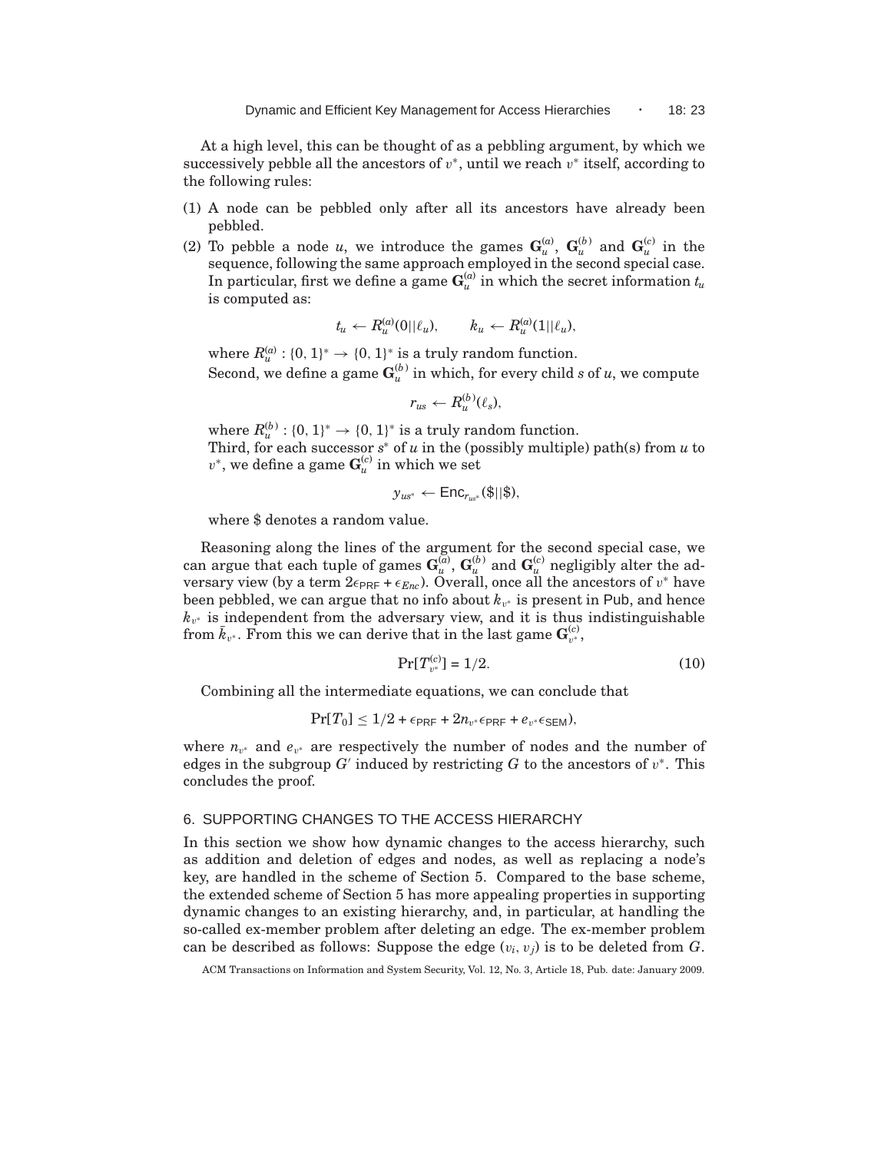At a high level, this can be thought of as a pebbling argument, by which we successively pebble all the ancestors of  $v^*$ , until we reach  $v^*$  itself, according to the following rules:

- (1) A node can be pebbled only after all its ancestors have already been pebbled.
- (2) To pebble a node *u*, we introduce the games  $\mathbf{G}_u^{(a)}$ ,  $\mathbf{G}_u^{(b)}$  and  $\mathbf{G}_u^{(c)}$  in the sequence, following the same approach employed in the second special case. In particular, first we define a game  $\mathbf{G}_u^{(a)}$  in which the secret information  $t_u$ is computed as:

$$
t_u \leftarrow R_u^{(a)}(0||\ell_u), \qquad k_u \leftarrow R_u^{(a)}(1||\ell_u),
$$

where  $R_u^{(a)}$ : {0, 1}<sup>\*</sup>  $\rightarrow$  {0, 1}<sup>\*</sup> is a truly random function. Second, we define a game  $\mathbf{G}_u^{(b)}$  in which, for every child *s* of *u*, we compute

$$
r_{us} \leftarrow R_u^{(b)}(\ell_s),
$$

where  $R_u^{(b)}$ : {0, 1}<sup>\*</sup>  $\rightarrow$  {0, 1}<sup>\*</sup> is a truly random function. Third, for each successor *s* <sup>∗</sup> of *u* in the (possibly multiple) path(s) from *u* to  $v^*$ , we define a game  $\mathbf{G}_u^{(c)}$  in which we set

$$
y_{us^*} \leftarrow \mathsf{Enc}_{r_{us^*}}(\$||\$),
$$

where \$ denotes a random value.

Reasoning along the lines of the argument for the second special case, we can argue that each tuple of games  $\mathbf{G}_u^{(\bar{a})}$ ,  $\mathbf{G}_u^{(b)}$  and  $\mathbf{G}_u^{(c)}$  negligibly alter the adversary view (by a term 2 $\epsilon_{\sf PRF}$  +  $\epsilon_{Enc}$ ). Overall, once all the ancestors of  $v^*$  have been pebbled, we can argue that no info about  $k_{v^*}$  is present in Pub, and hence  $k_{v^*}$  is independent from the adversary view, and it is thus indistinguishable from  $\bar{k}_{v^*}.$  From this we can derive that in the last game  $\mathbf{G}_{v^*}^{(c)},$ 

$$
\Pr[T_{v^*}^{(c)}] = 1/2. \tag{10}
$$

Combining all the intermediate equations, we can conclude that

$$
Pr[T_0] \leq 1/2 + \epsilon_{\text{PRF}} + 2n_{v^*} \epsilon_{\text{PRF}} + e_{v^*} \epsilon_{\text{SEM}}),
$$

where  $n_{v^*}$  and  $e_{v^*}$  are respectively the number of nodes and the number of edges in the subgroup  $G'$  induced by restricting  $G$  to the ancestors of  $v^*$ . This concludes the proof.

## 6. SUPPORTING CHANGES TO THE ACCESS HIERARCHY

In this section we show how dynamic changes to the access hierarchy, such as addition and deletion of edges and nodes, as well as replacing a node's key, are handled in the scheme of Section 5. Compared to the base scheme, the extended scheme of Section 5 has more appealing properties in supporting dynamic changes to an existing hierarchy, and, in particular, at handling the so-called ex-member problem after deleting an edge. The ex-member problem can be described as follows: Suppose the edge  $(v_i, v_j)$  is to be deleted from  $G$ .

ACM Transactions on Information and System Security, Vol. 12, No. 3, Article 18, Pub. date: January 2009.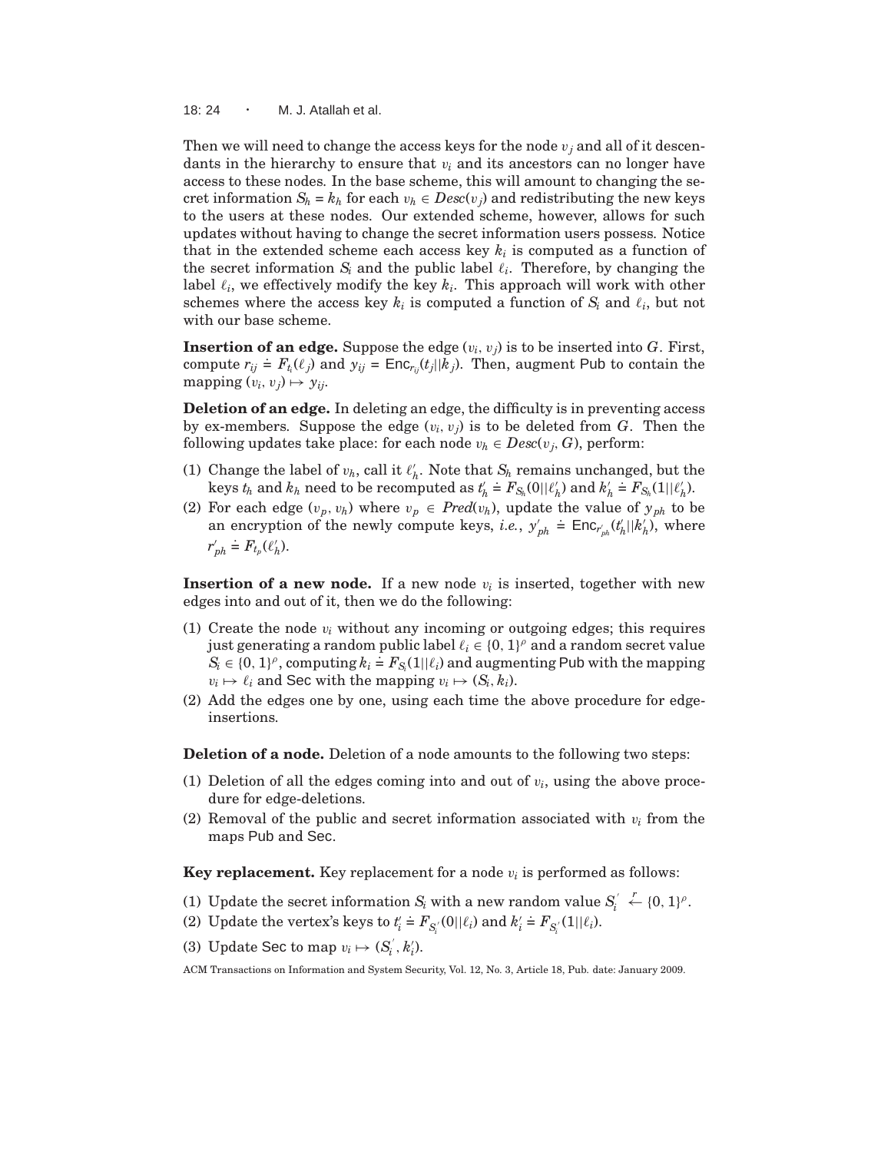18: 24 · M. J. Atallah et al.

Then we will need to change the access keys for the node v*<sup>j</sup>* and all of it descendants in the hierarchy to ensure that  $v_i$  and its ancestors can no longer have access to these nodes. In the base scheme, this will amount to changing the secret information  $S_h = k_h$  for each  $v_h \in Desc(v_i)$  and redistributing the new keys to the users at these nodes. Our extended scheme, however, allows for such updates without having to change the secret information users possess. Notice that in the extended scheme each access key  $k_i$  is computed as a function of the secret information  $S_i$  and the public label  $\ell_i$ . Therefore, by changing the label  $\ell_i$ , we effectively modify the key  $k_i$ . This approach will work with other schemes where the access key  $k_i$  is computed a function of  $S_i$  and  $\ell_i$ , but not with our base scheme.

**Insertion of an edge.** Suppose the edge  $(v_i, v_j)$  is to be inserted into *G*. First, compute  $r_{ij} \neq F_{t_i}(\ell_j)$  and  $y_{ij} = \text{Enc}_{r_{ij}}(t_j||k_j)$ . Then, augment Pub to contain the mapping  $(v_i, v_j) \mapsto y_{ij}$ .

**Deletion of an edge.** In deleting an edge, the difficulty is in preventing access by ex-members. Suppose the edge  $(v_i, v_j)$  is to be deleted from *G*. Then the following updates take place: for each node  $v_h \in Desc(v_i, G)$ , perform:

- (1) Change the label of  $v_h$ , call it  $\ell'_h$ . Note that  $S_h$  remains unchanged, but the last  $\ell'_h$  reset to be recommuted as  $t' \doteq F$ , (0.00<sup>o</sup>) and  $h' \doteq F$ , (1.00<sup>o</sup>)  $k$ eys  $t_h$  and  $k_h$  need to be recomputed as  $t'_h \doteq F_{S_h}(0||\ell'_h)$  and  $k'_h \doteq F_{S_h}(1||\ell'_h)$ .
- (2) For each edge  $(v_p, v_h)$  where  $v_p \in Pred(v_h)$ , update the value of  $y_{ph}$  to be an encryption of the newly compute keys, *i.e.*,  $y'_{ph}$  $\dot{=}$  Enc<sub>*r*<sup>*i*</sup><sub>*ph</sub>*</sub>(*t*<sub>*h*</sub>||*k*<sub>*h*</sub>), where</sub> *r* ′ *ph*  $\stackrel{\cdot}{=} F_{t_p}(\ell'_h).$

**Insertion of a new node.** If a new node  $v_i$  is inserted, together with new edges into and out of it, then we do the following:

- (1) Create the node  $v_i$  without any incoming or outgoing edges; this requires just generating a random public label  $\ell_i \in \{0, 1\}^{\rho}$  and a random secret value  $S_i \in \{0, 1\}^{\rho}$ , computing  $k_i = F_{S_i}(1||\ell_i)$  and augmenting Pub with the mapping  $S_i$  $v_i \mapsto \ell_i$  and Sec with the mapping  $v_i \mapsto (S_i, k_i)$ .
- (2) Add the edges one by one, using each time the above procedure for edgeinsertions.

**Deletion of a node.** Deletion of a node amounts to the following two steps:

- (1) Deletion of all the edges coming into and out of  $v_i$ , using the above procedure for edge-deletions.
- (2) Removal of the public and secret information associated with  $v_i$  from the maps Pub and Sec.

**Key replacement.** Key replacement for a node  $v_i$  is performed as follows:

- (1) Update the secret information  $S_i$  with a new random value  $S_i$  $\stackrel{r}{\leftarrow} \{0,1\}^{\rho}.$
- (2) Update the vertex's keys to  $t'_i$  $\stackrel{\cdot}{=}$   $F_{S_i'}(0||\ell_i)$  and  $k_i'$  $\stackrel{\cdot}{=} F_{S_i'}(1||\ell_i).$
- (3) Update Sec to map  $v_i \mapsto (S_i^{'}, k_i').$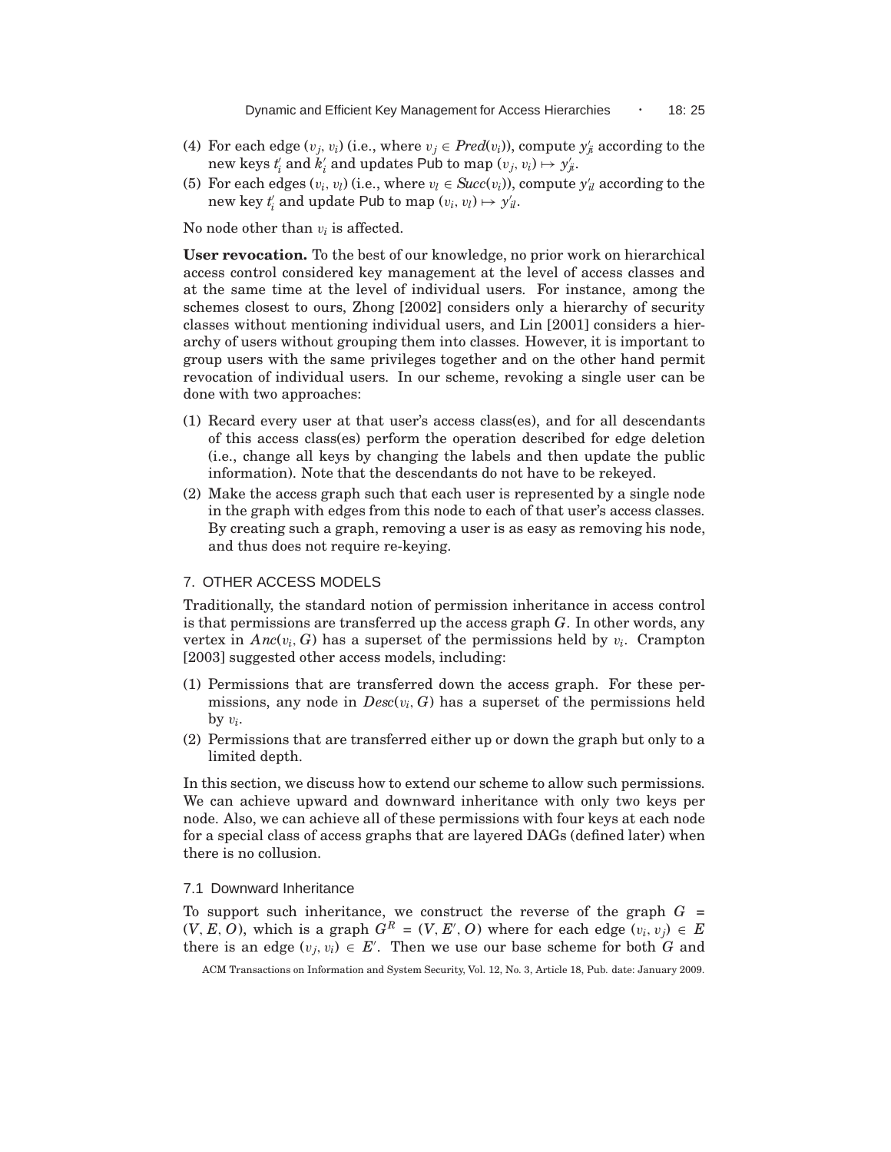- (4) For each edge  $(v_j, v_i)$  (i.e., where  $v_j \in Pred(v_i)$ ), compute  $y'_j$  according to the new keys  $t'_i$  and  $k'_i$  and updates Pub to map  $(v_j, v_i) \mapsto y'_{ji}$ .
- (5) For each edges  $(v_i, v_l)$  (i.e., where  $v_l \in Succ(v_i)$ ), compute  $y'_l$  according to the new key  $t'_i$  and update Pub to map  $(v_i, v_l) \mapsto y'_{il}$ .

No node other than v*<sup>i</sup>* is affected.

**User revocation.** To the best of our knowledge, no prior work on hierarchical access control considered key management at the level of access classes and at the same time at the level of individual users. For instance, among the schemes closest to ours, Zhong [2002] considers only a hierarchy of security classes without mentioning individual users, and Lin [2001] considers a hierarchy of users without grouping them into classes. However, it is important to group users with the same privileges together and on the other hand permit revocation of individual users. In our scheme, revoking a single user can be done with two approaches:

- (1) Recard every user at that user's access class(es), and for all descendants of this access class(es) perform the operation described for edge deletion (i.e., change all keys by changing the labels and then update the public information). Note that the descendants do not have to be rekeyed.
- (2) Make the access graph such that each user is represented by a single node in the graph with edges from this node to each of that user's access classes. By creating such a graph, removing a user is as easy as removing his node, and thus does not require re-keying.

## 7. OTHER ACCESS MODELS

Traditionally, the standard notion of permission inheritance in access control is that permissions are transferred up the access graph *G*. In other words, any vertex in  $Anc(v_i, G)$  has a superset of the permissions held by  $v_i$ . Crampton [2003] suggested other access models, including:

- (1) Permissions that are transferred down the access graph. For these permissions, any node in  $Desc(v_i, G)$  has a superset of the permissions held by  $v_i$ .
- (2) Permissions that are transferred either up or down the graph but only to a limited depth.

In this section, we discuss how to extend our scheme to allow such permissions. We can achieve upward and downward inheritance with only two keys per node. Also, we can achieve all of these permissions with four keys at each node for a special class of access graphs that are layered DAGs (defined later) when there is no collusion.

## 7.1 Downward Inheritance

To support such inheritance, we construct the reverse of the graph  $G =$  $(V, E, O)$ , which is a graph  $G^R = (V, E', O)$  where for each edge  $(v_i, v_j) \in E$ there is an edge  $(v_j, v_i) \in E'$ . Then we use our base scheme for both *G* and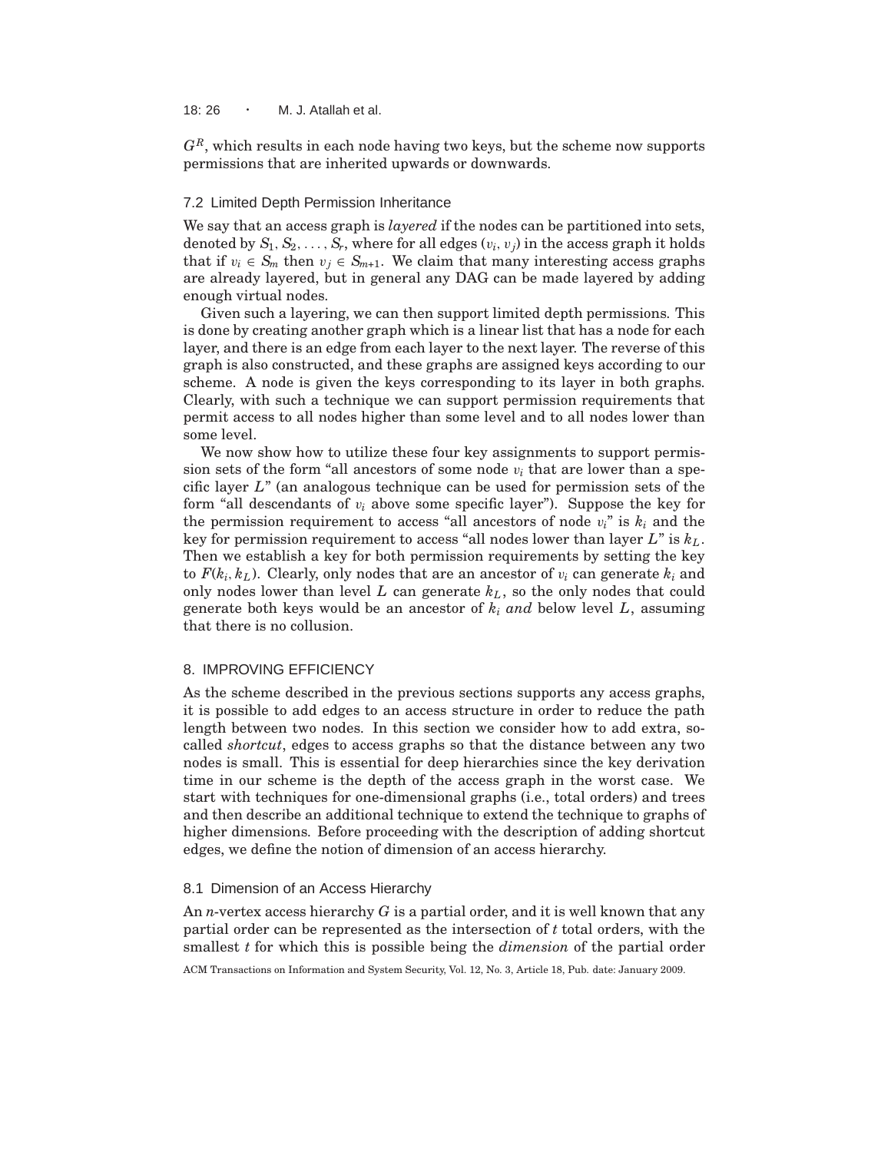18:  $26 \cdot M$ . J. Atallah et al.

*GR*, which results in each node having two keys, but the scheme now supports permissions that are inherited upwards or downwards.

## 7.2 Limited Depth Permission Inheritance

We say that an access graph is *layered* if the nodes can be partitioned into sets, denoted by  $S_1, S_2, \ldots, S_r$ , where for all edges  $(v_i, v_j)$  in the access graph it holds that if  $v_i \in S_m$  then  $v_j \in S_{m+1}$ . We claim that many interesting access graphs are already layered, but in general any DAG can be made layered by adding enough virtual nodes.

Given such a layering, we can then support limited depth permissions. This is done by creating another graph which is a linear list that has a node for each layer, and there is an edge from each layer to the next layer. The reverse of this graph is also constructed, and these graphs are assigned keys according to our scheme. A node is given the keys corresponding to its layer in both graphs. Clearly, with such a technique we can support permission requirements that permit access to all nodes higher than some level and to all nodes lower than some level.

We now show how to utilize these four key assignments to support permission sets of the form "all ancestors of some node  $v_i$  that are lower than a specific layer *L*" (an analogous technique can be used for permission sets of the form "all descendants of  $v_i$  above some specific layer"). Suppose the key for the permission requirement to access "all ancestors of node  $v_i$ " is  $k_i$  and the key for permission requirement to access "all nodes lower than layer *L*" is *kL*. Then we establish a key for both permission requirements by setting the key to  $F(k_i, k_L)$ . Clearly, only nodes that are an ancestor of  $v_i$  can generate  $k_i$  and only nodes lower than level *L* can generate *kL*, so the only nodes that could generate both keys would be an ancestor of  $k_i$  *and* below level  $L$ , assuming that there is no collusion.

## 8. IMPROVING EFFICIENCY

As the scheme described in the previous sections supports any access graphs, it is possible to add edges to an access structure in order to reduce the path length between two nodes. In this section we consider how to add extra, socalled *shortcut*, edges to access graphs so that the distance between any two nodes is small. This is essential for deep hierarchies since the key derivation time in our scheme is the depth of the access graph in the worst case. We start with techniques for one-dimensional graphs (i.e., total orders) and trees and then describe an additional technique to extend the technique to graphs of higher dimensions. Before proceeding with the description of adding shortcut edges, we define the notion of dimension of an access hierarchy.

## 8.1 Dimension of an Access Hierarchy

An *n*-vertex access hierarchy *G* is a partial order, and it is well known that any partial order can be represented as the intersection of *t* total orders, with the smallest *t* for which this is possible being the *dimension* of the partial order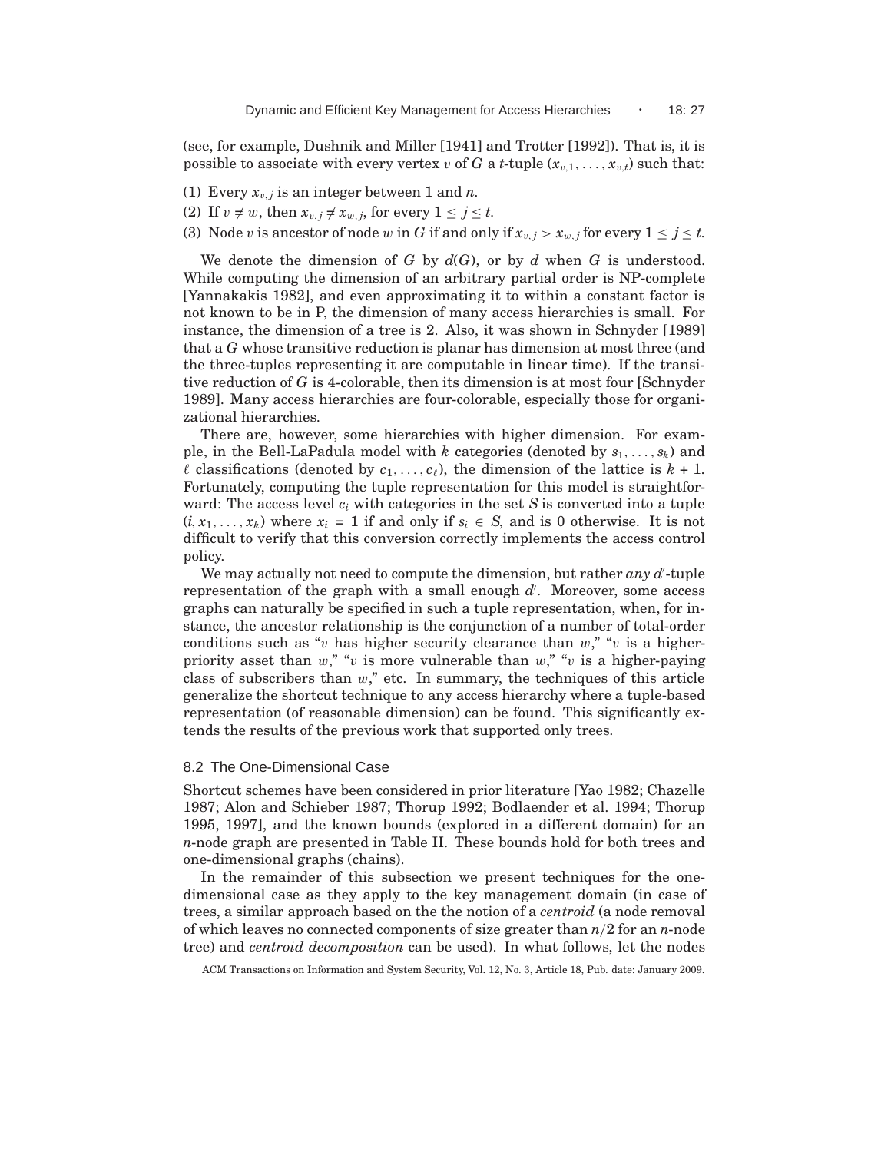(see, for example, Dushnik and Miller [1941] and Trotter [1992]). That is, it is possible to associate with every vertex v of *G* a *t*-tuple  $(x_{v,1}, \ldots, x_{v,t})$  such that:

- (1) Every  $x_{v,j}$  is an integer between 1 and *n*.
- (2) If  $v \neq w$ , then  $x_{v,j} \neq x_{w,j}$ , for every  $1 \leq j \leq t$ .

(3) Node v is ancestor of node w in *G* if and only if  $x_{v,j} > x_{w,j}$  for every  $1 \leq j \leq t$ .

We denote the dimension of *G* by  $d(G)$ , or by *d* when *G* is understood. While computing the dimension of an arbitrary partial order is NP-complete [Yannakakis 1982], and even approximating it to within a constant factor is not known to be in P, the dimension of many access hierarchies is small. For instance, the dimension of a tree is 2. Also, it was shown in Schnyder [1989] that a *G* whose transitive reduction is planar has dimension at most three (and the three-tuples representing it are computable in linear time). If the transitive reduction of *G* is 4-colorable, then its dimension is at most four [Schnyder 1989]. Many access hierarchies are four-colorable, especially those for organizational hierarchies.

There are, however, some hierarchies with higher dimension. For example, in the Bell-LaPadula model with *k* categories (denoted by *s*1, . . . , *sk*) and  $\ell$  classifications (denoted by  $c_1, \ldots, c_{\ell}$ ), the dimension of the lattice is  $k + 1$ . Fortunately, computing the tuple representation for this model is straightforward: The access level *c<sup>i</sup>* with categories in the set *S* is converted into a tuple  $(i, x_1, \ldots, x_k)$  where  $x_i = 1$  if and only if  $s_i \in S$ , and is 0 otherwise. It is not difficult to verify that this conversion correctly implements the access control policy.

We may actually not need to compute the dimension, but rather *any d*'-tuple representation of the graph with a small enough  $d'$ . Moreover, some access graphs can naturally be specified in such a tuple representation, when, for instance, the ancestor relationship is the conjunction of a number of total-order conditions such as "v has higher security clearance than  $w$ ," "v is a higherpriority asset than w," "v is more vulnerable than w," "v is a higher-paying class of subscribers than  $w$ ," etc. In summary, the techniques of this article generalize the shortcut technique to any access hierarchy where a tuple-based representation (of reasonable dimension) can be found. This significantly extends the results of the previous work that supported only trees.

#### 8.2 The One-Dimensional Case

Shortcut schemes have been considered in prior literature [Yao 1982; Chazelle 1987; Alon and Schieber 1987; Thorup 1992; Bodlaender et al. 1994; Thorup 1995, 1997], and the known bounds (explored in a different domain) for an *n*-node graph are presented in Table II. These bounds hold for both trees and one-dimensional graphs (chains).

In the remainder of this subsection we present techniques for the onedimensional case as they apply to the key management domain (in case of trees, a similar approach based on the the notion of a *centroid* (a node removal of which leaves no connected components of size greater than *n*/2 for an *n*-node tree) and *centroid decomposition* can be used). In what follows, let the nodes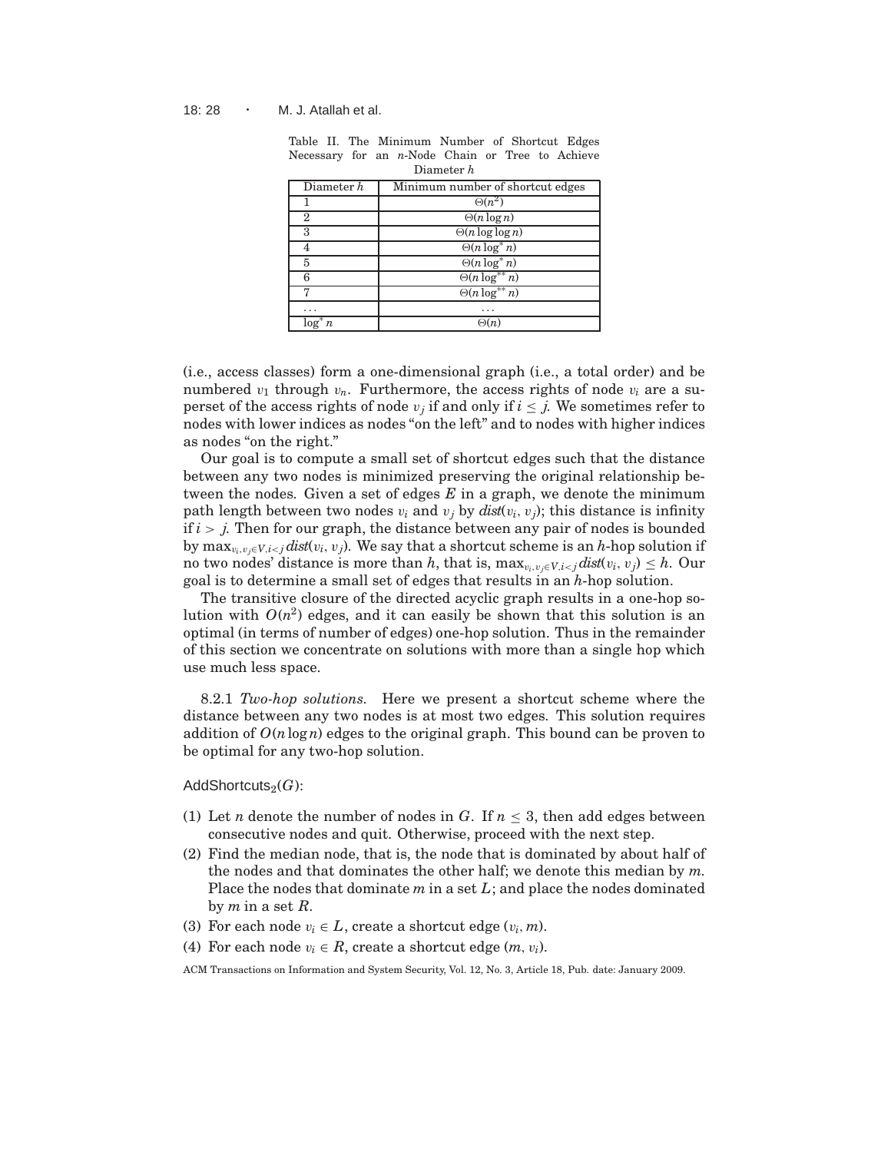| Diamovi <i>IV</i>                              |                         |  |  |  |  |
|------------------------------------------------|-------------------------|--|--|--|--|
| Minimum number of shortcut edges<br>Diameter h |                         |  |  |  |  |
|                                                | $\Theta(n^2)$           |  |  |  |  |
| 2                                              | $\Theta(n \log n)$      |  |  |  |  |
| 3                                              | $\Theta(n \log \log n)$ |  |  |  |  |
|                                                | $\Theta(n \log^* n)$    |  |  |  |  |
| 5                                              | $\Theta(n \log^* n)$    |  |  |  |  |
| հ                                              | $\Theta(n \log^{**} n)$ |  |  |  |  |
|                                                | $\Theta(n \log^{**} n)$ |  |  |  |  |
|                                                |                         |  |  |  |  |
| log<br>n.                                      | (n                      |  |  |  |  |

Table II. The Minimum Number of Shortcut Edges Necessary for an *n*-Node Chain or Tree to Achieve Diameter *h*

(i.e., access classes) form a one-dimensional graph (i.e., a total order) and be numbered  $v_1$  through  $v_n$ . Furthermore, the access rights of node  $v_i$  are a superset of the access rights of node  $v_j$  if and only if  $i \leq j$ . We sometimes refer to nodes with lower indices as nodes "on the left" and to nodes with higher indices as nodes "on the right."

Our goal is to compute a small set of shortcut edges such that the distance between any two nodes is minimized preserving the original relationship between the nodes. Given a set of edges *E* in a graph, we denote the minimum path length between two nodes  $v_i$  and  $v_j$  by  $dist(v_i, v_j)$ ; this distance is infinity if  $i > j$ . Then for our graph, the distance between any pair of nodes is bounded by  $\max_{v_i, v_j \in V, i < j} \text{dist}(v_i, v_j)$ . We say that a shortcut scheme is an *h*-hop solution if no two nodes' distance is more than *h*, that is,  $\max_{v_i, v_j \in V, i < j} \text{dist}(v_i, v_j) \leq h$ . Our goal is to determine a small set of edges that results in an *h*-hop solution.

The transitive closure of the directed acyclic graph results in a one-hop solution with  $O(n^2)$  edges, and it can easily be shown that this solution is an optimal (in terms of number of edges) one-hop solution. Thus in the remainder of this section we concentrate on solutions with more than a single hop which use much less space.

8.2.1 *Two-hop solutions.* Here we present a shortcut scheme where the distance between any two nodes is at most two edges. This solution requires addition of  $O(n \log n)$  edges to the original graph. This bound can be proven to be optimal for any two-hop solution.

AddShortcuts<sub>2</sub> $(G)$ :

- (1) Let *n* denote the number of nodes in *G*. If  $n \leq 3$ , then add edges between consecutive nodes and quit. Otherwise, proceed with the next step.
- (2) Find the median node, that is, the node that is dominated by about half of the nodes and that dominates the other half; we denote this median by *m*. Place the nodes that dominate *m* in a set *L*; and place the nodes dominated by *m* in a set *R*.
- (3) For each node  $v_i \in L$ , create a shortcut edge  $(v_i, m)$ .
- (4) For each node  $v_i \in R$ , create a shortcut edge  $(m, v_i)$ .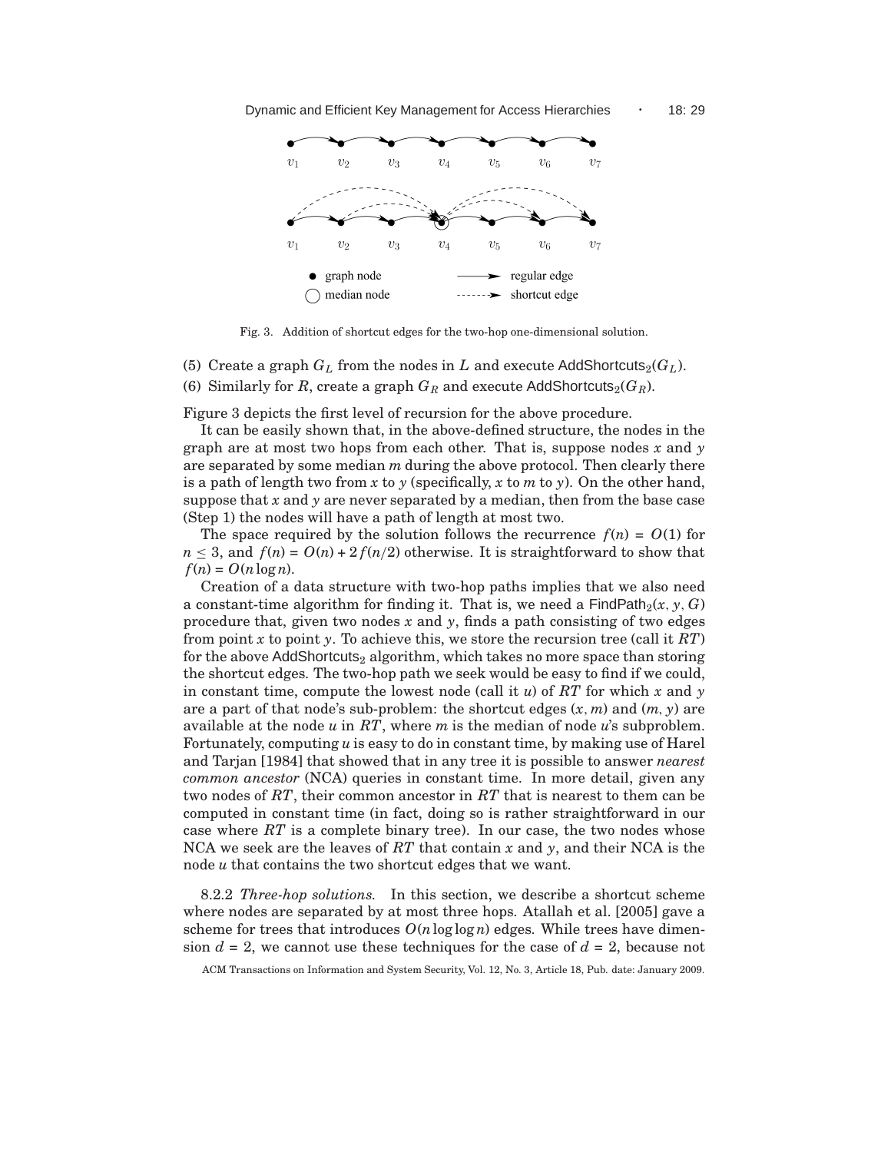

Fig. 3. Addition of shortcut edges for the two-hop one-dimensional solution.

(5) Create a graph  $G_L$  from the nodes in  $L$  and execute AddShortcuts<sub>2</sub>( $G_L$ ). (6) Similarly for *R*, create a graph  $G_R$  and execute AddShortcuts<sub>2</sub>( $G_R$ ).

Figure 3 depicts the first level of recursion for the above procedure.

It can be easily shown that, in the above-defined structure, the nodes in the graph are at most two hops from each other. That is, suppose nodes *x* and *y* are separated by some median *m* during the above protocol. Then clearly there is a path of length two from x to  $\gamma$  (specifically, x to m to  $\gamma$ ). On the other hand, suppose that  $x$  and  $y$  are never separated by a median, then from the base case (Step 1) the nodes will have a path of length at most two.

The space required by the solution follows the recurrence  $f(n) = O(1)$  for  $n \leq 3$ , and  $f(n) = O(n) + 2f(n/2)$  otherwise. It is straightforward to show that  $f(n) = O(n \log n)$ .

Creation of a data structure with two-hop paths implies that we also need a constant-time algorithm for finding it. That is, we need a  $\text{FindPath}_2(x, y, G)$ procedure that, given two nodes *x* and *y*, finds a path consisting of two edges from point *x* to point *y*. To achieve this, we store the recursion tree (call it *RT*) for the above AddShortcuts<sub>2</sub> algorithm, which takes no more space than storing the shortcut edges. The two-hop path we seek would be easy to find if we could, in constant time, compute the lowest node (call it *u*) of *RT* for which *x* and *y* are a part of that node's sub-problem: the shortcut edges (*x*, *m*) and (*m*, *y*) are available at the node *u* in *RT*, where *m* is the median of node *u*'s subproblem. Fortunately, computing *u* is easy to do in constant time, by making use of Harel and Tarjan [1984] that showed that in any tree it is possible to answer *nearest common ancestor* (NCA) queries in constant time. In more detail, given any two nodes of *RT*, their common ancestor in *RT* that is nearest to them can be computed in constant time (in fact, doing so is rather straightforward in our case where *RT* is a complete binary tree). In our case, the two nodes whose NCA we seek are the leaves of *RT* that contain *x* and *y*, and their NCA is the node *u* that contains the two shortcut edges that we want.

8.2.2 *Three-hop solutions.* In this section, we describe a shortcut scheme where nodes are separated by at most three hops. Atallah et al. [2005] gave a scheme for trees that introduces  $O(n \log \log n)$  edges. While trees have dimension  $d = 2$ , we cannot use these techniques for the case of  $d = 2$ , because not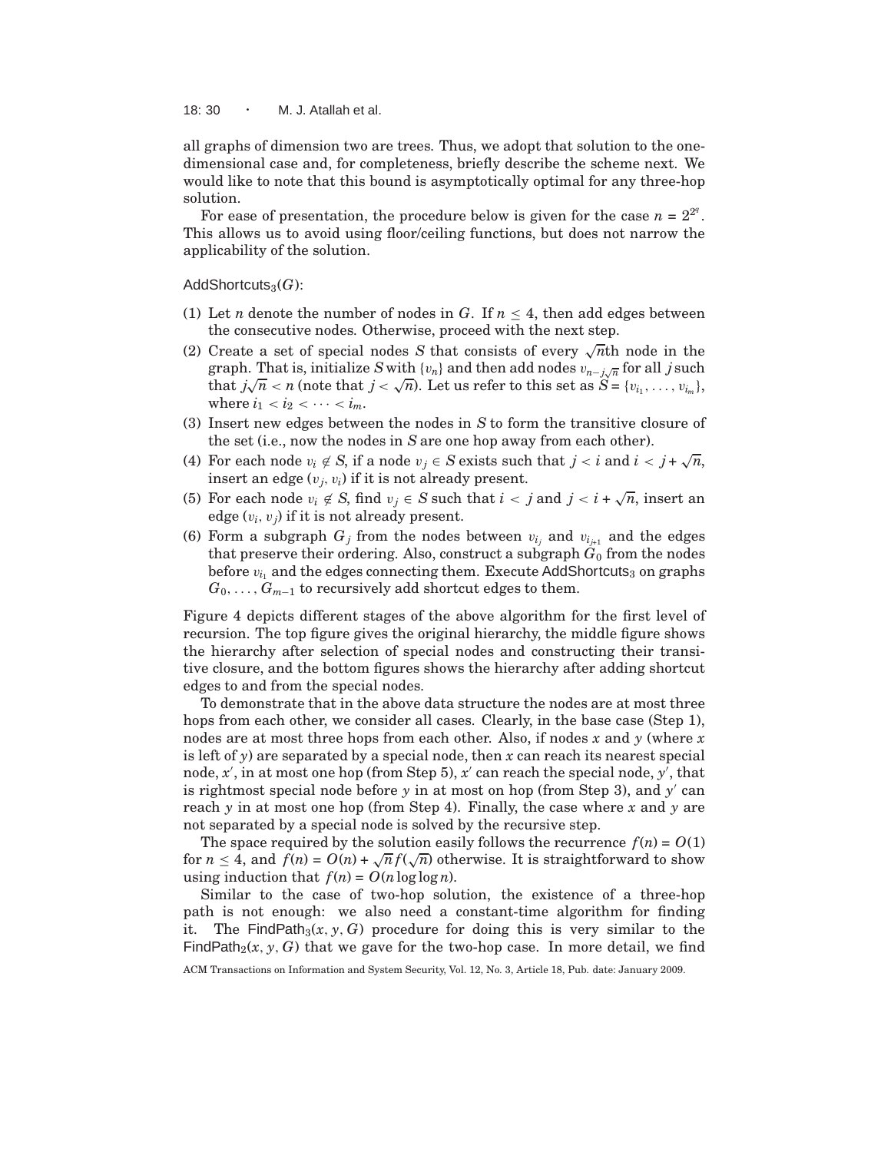18: 30  $\cdot$  M. J. Atallah et al.

all graphs of dimension two are trees. Thus, we adopt that solution to the onedimensional case and, for completeness, briefly describe the scheme next. We would like to note that this bound is asymptotically optimal for any three-hop solution.

For ease of presentation, the procedure below is given for the case  $n = 2^{2^q}$ . This allows us to avoid using floor/ceiling functions, but does not narrow the applicability of the solution.

AddShortcuts<sub>3</sub>(*G*):

- (1) Let *n* denote the number of nodes in *G*. If  $n \leq 4$ , then add edges between the consecutive nodes. Otherwise, proceed with the next step.
- (2) Create a set of special nodes *S* that consists of every  $\sqrt{n}$ th node in the graph. That is, initialize *S* with {*v<sub>n</sub>*} and then add nodes  $v_{n-j}\sqrt{n}$  for all *j* such that  $j\sqrt{n} < n$  (note that  $j < \sqrt{n}$ ). Let us refer to this set as  $S = \{v_{i_1}, \ldots, v_{i_m}\},$ where  $i_1 < i_2 < \cdots < i_m$ .
- (3) Insert new edges between the nodes in *S* to form the transitive closure of the set (i.e., now the nodes in *S* are one hop away from each other).
- (4) For each node  $v_i \notin S$ , if a node  $v_j \in S$  exists such that  $j < i$  and  $i < j + \sqrt{n}$ , insert an edge  $(v_i, v_i)$  if it is not already present.
- (5) For each node  $v_i \notin S$ , find  $v_j \in S$  such that  $i < j$  and  $j < i + \sqrt{n}$ , insert an edge  $(v_i, v_j)$  if it is not already present.
- (6) Form a subgraph  $G_j$  from the nodes between  $v_{i_j}$  and  $v_{i_{j+1}}$  and the edges that preserve their ordering. Also, construct a subgraph *G*<sup>0</sup> from the nodes before  $v_i$  and the edges connecting them. Execute AddShortcuts<sub>3</sub> on graphs  $G_0, \ldots, G_{m-1}$  to recursively add shortcut edges to them.

Figure 4 depicts different stages of the above algorithm for the first level of recursion. The top figure gives the original hierarchy, the middle figure shows the hierarchy after selection of special nodes and constructing their transitive closure, and the bottom figures shows the hierarchy after adding shortcut edges to and from the special nodes.

To demonstrate that in the above data structure the nodes are at most three hops from each other, we consider all cases. Clearly, in the base case (Step 1), nodes are at most three hops from each other. Also, if nodes *x* and *y* (where *x* is left of *y*) are separated by a special node, then *x* can reach its nearest special node, *x'*, in at most one hop (from Step 5), *x'* can reach the special node, *y'*, that is rightmost special node before *y* in at most on hop (from Step 3), and *y* ′ can reach *y* in at most one hop (from Step 4). Finally, the case where *x* and *y* are not separated by a special node is solved by the recursive step.

The space required by the solution easily follows the recurrence  $f(n) = O(1)$ for  $n \leq 4$ , and  $f(n) = O(n) + \sqrt{n} f(\sqrt{n})$  otherwise. It is straightforward to show using induction that  $f(n) = O(n \log \log n)$ .

Similar to the case of two-hop solution, the existence of a three-hop path is not enough: we also need a constant-time algorithm for finding it. The FindPath<sub>3</sub> $(x, y, G)$  procedure for doing this is very similar to the FindPath<sub>2</sub>(*x*, *y*, *G*) that we gave for the two-hop case. In more detail, we find

ACM Transactions on Information and System Security, Vol. 12, No. 3, Article 18, Pub. date: January 2009.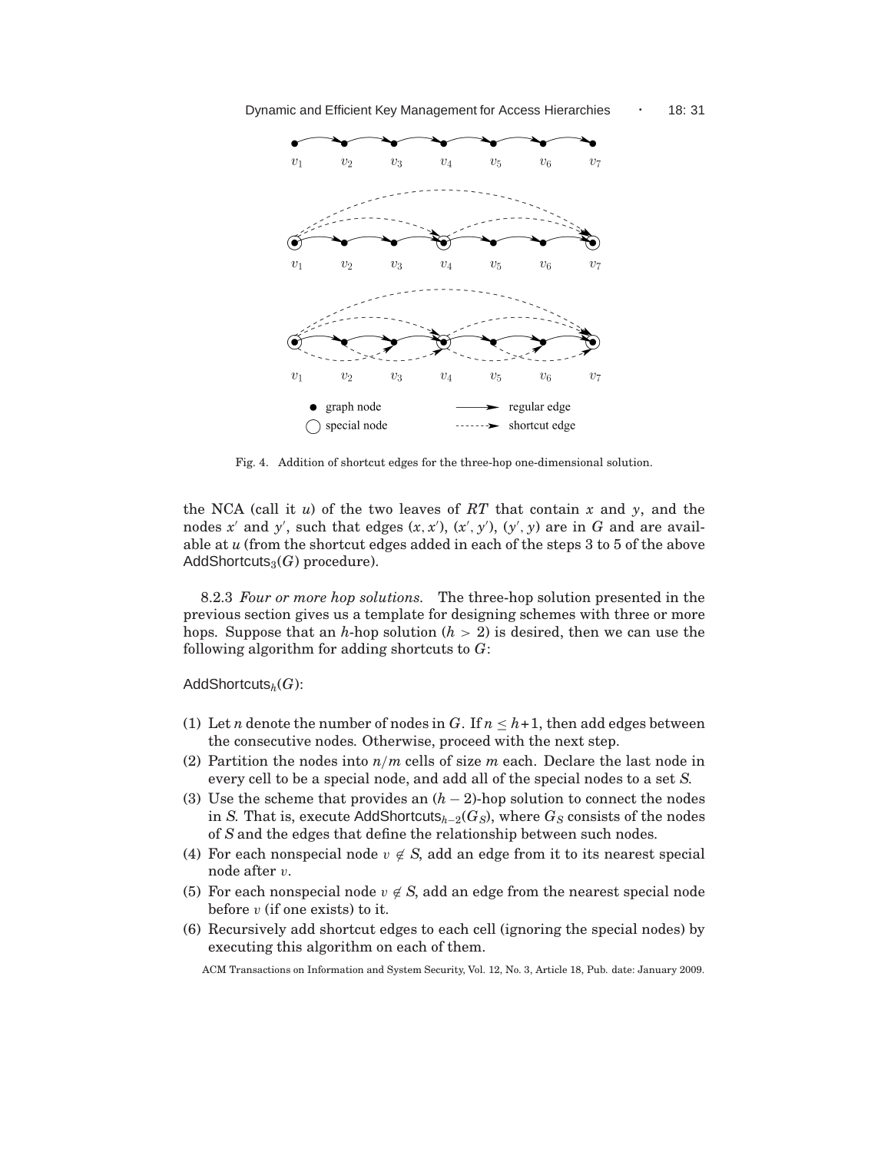

Fig. 4. Addition of shortcut edges for the three-hop one-dimensional solution.

the NCA (call it *u*) of the two leaves of *RT* that contain *x* and *y*, and the nodes x' and y', such that edges  $(x, x')$ ,  $(x', y')$ ,  $(y', y)$  are in G and are available at *u* (from the shortcut edges added in each of the steps 3 to 5 of the above AddShortcuts<sub>3</sub> $(G)$  procedure).

8.2.3 *Four or more hop solutions.* The three-hop solution presented in the previous section gives us a template for designing schemes with three or more hops. Suppose that an *h*-hop solution (*h* > 2) is desired, then we can use the following algorithm for adding shortcuts to *G*:

AddShortcuts*h*(*G*):

- (1) Let *n* denote the number of nodes in *G*. If  $n \leq h+1$ , then add edges between the consecutive nodes. Otherwise, proceed with the next step.
- (2) Partition the nodes into *n*/*m* cells of size *m* each. Declare the last node in every cell to be a special node, and add all of the special nodes to a set *S*.
- (3) Use the scheme that provides an (*h* − 2)-hop solution to connect the nodes in *S*. That is, execute AddShortcuts*<sup>h</sup>*−<sup>2</sup>(*GS*), where *G<sup>S</sup>* consists of the nodes of *S* and the edges that define the relationship between such nodes.
- (4) For each nonspecial node  $v \notin S$ , add an edge from it to its nearest special node after v.
- (5) For each nonspecial node  $v \notin S$ , add an edge from the nearest special node before  $v$  (if one exists) to it.
- (6) Recursively add shortcut edges to each cell (ignoring the special nodes) by executing this algorithm on each of them.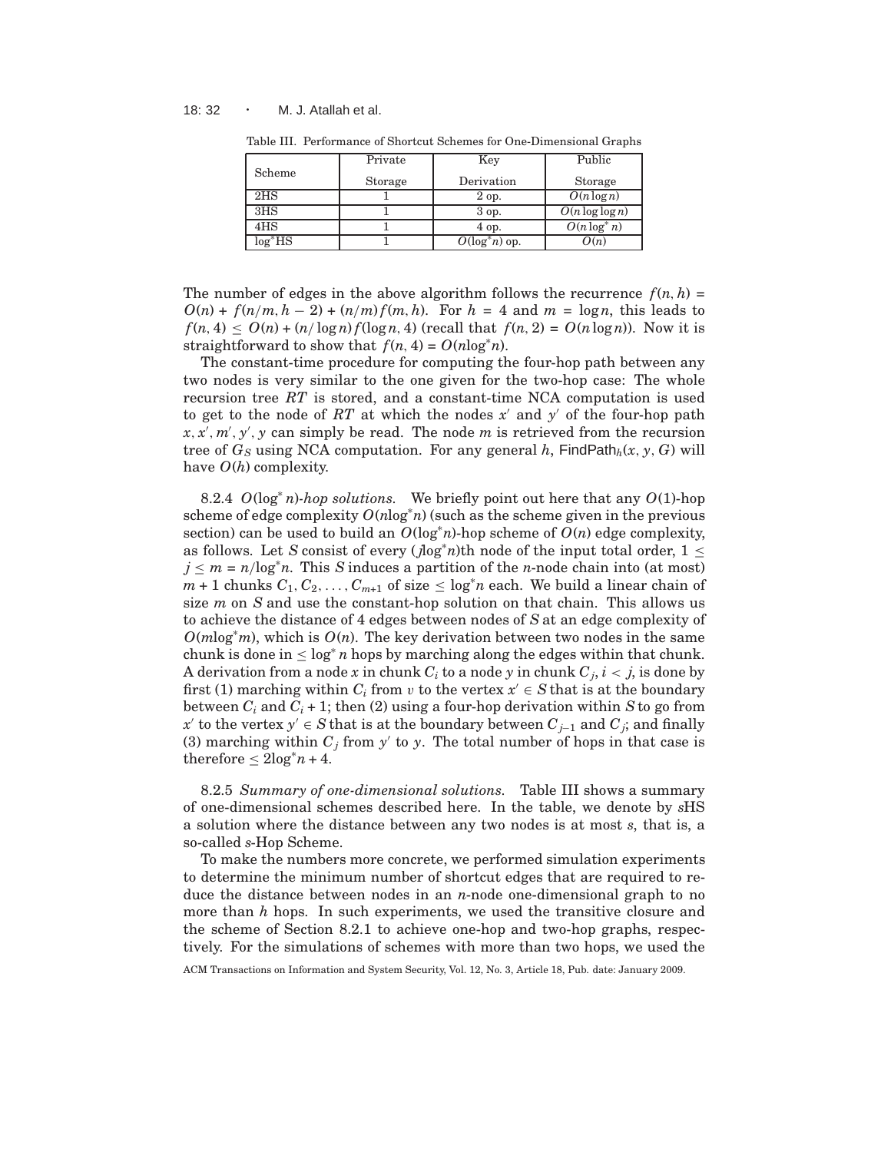#### 18: 32 · M. J. Atallah et al.

|                 | Private | Key               | Public             |
|-----------------|---------|-------------------|--------------------|
| Scheme          | Storage | Derivation        | <b>Storage</b>     |
| 2 <sub>HS</sub> |         | 2 op.             | $O(n \log n)$      |
| 3 <sub>HS</sub> |         | 3 op.             | $O(n \log \log n)$ |
| 4HS             |         | 4 op.             | $O(n \log^* n)$    |
| $log*HS$        |         | $O(\log^* n)$ op. | O(n)               |

Table III. Performance of Shortcut Schemes for One-Dimensional Graphs

The number of edges in the above algorithm follows the recurrence  $f(n, h)$  $O(n) + f(n/m, h - 2) + (n/m)f(m, h)$ . For  $h = 4$  and  $m = \log n$ , this leads to  $f(n, 4) \leq O(n) + (n/\log n) f(\log n, 4)$  (recall that  $f(n, 2) = O(n \log n)$ ). Now it is straightforward to show that  $f(n, 4) = O(n \log^* n)$ .

The constant-time procedure for computing the four-hop path between any two nodes is very similar to the one given for the two-hop case: The whole recursion tree *RT* is stored, and a constant-time NCA computation is used to get to the node of  $RT$  at which the nodes  $x'$  and  $y'$  of the four-hop path *x*, *x* ′ , *m*′ , *y* ′ , *y* can simply be read. The node *m* is retrieved from the recursion tree of  $G_S$  using NCA computation. For any general h,  $\text{FindPath}_h(x, y, G)$  will have *O*(*h*) complexity.

8.2.4 *O*(log<sup>∗</sup> *n*)*-hop solutions.* We briefly point out here that any *O*(1)-hop scheme of edge complexity  $O(n \log^* n)$  (such as the scheme given in the previous section) can be used to build an  $O(\log^* n)$ -hop scheme of  $O(n)$  edge complexity, as follows. Let *S* consist of every ( $\log^* n$ )th node of the input total order,  $1 \leq$  $j \leq m = n/\log^* n$ . This *S* induces a partition of the *n*-node chain into (at most)  $m + 1$  chunks  $C_1, C_2, \ldots, C_{m+1}$  of size  $\leq \log^* n$  each. We build a linear chain of size *m* on *S* and use the constant-hop solution on that chain. This allows us to achieve the distance of 4 edges between nodes of *S* at an edge complexity of  $O(m \log^* m)$ , which is  $O(n)$ . The key derivation between two nodes in the same chunk is done in  $\leq \log^* n$  hops by marching along the edges within that chunk. A derivation from a node  $x$  in chunk  $C_i$  to a node  $y$  in chunk  $C_j,$   $i < j,$  is done by first (1) marching within  $C_i$  from v to the vertex  $x' \in S$  that is at the boundary between  $C_i$  and  $C_i + 1$ ; then (2) using a four-hop derivation within *S* to go from *x*<sup>'</sup> to the vertex *y*<sup>'</sup> ∈ *S* that is at the boundary between  $C_{j-1}$  and  $C_j$ ; and finally (3) marching within  $C_j$  from  $y'$  to  $y$ . The total number of hops in that case is therefore  $\leq 2\log^* n + 4$ .

8.2.5 *Summary of one-dimensional solutions.* Table III shows a summary of one-dimensional schemes described here. In the table, we denote by *s*HS a solution where the distance between any two nodes is at most *s*, that is, a so-called *s*-Hop Scheme.

To make the numbers more concrete, we performed simulation experiments to determine the minimum number of shortcut edges that are required to reduce the distance between nodes in an *n*-node one-dimensional graph to no more than *h* hops. In such experiments, we used the transitive closure and the scheme of Section 8.2.1 to achieve one-hop and two-hop graphs, respectively. For the simulations of schemes with more than two hops, we used the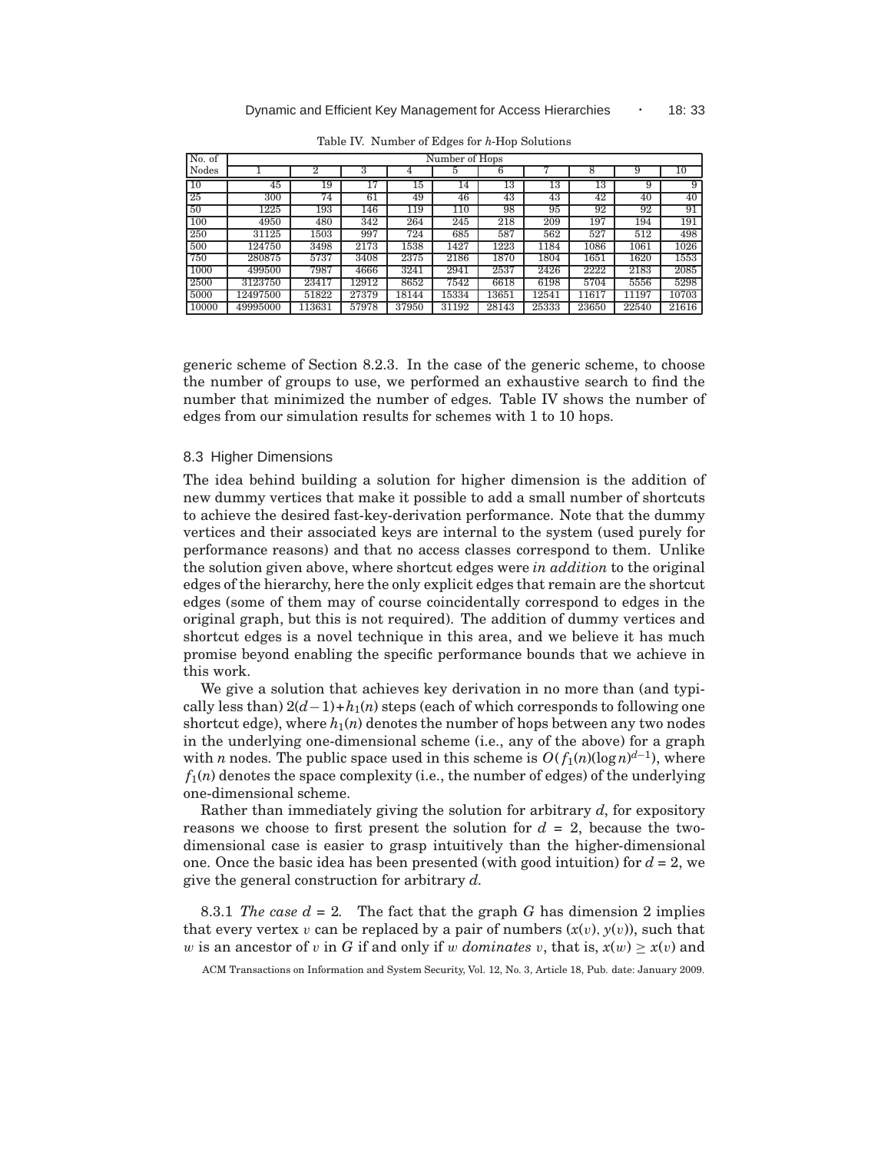| No. of     | Number of Hops |        |       |       |       |       |       |       |       |       |
|------------|----------------|--------|-------|-------|-------|-------|-------|-------|-------|-------|
| Nodes      |                |        |       |       |       | h     |       | O     | 9     | 10    |
| 10         | 45             | 19     | 17    | 15    | 14    | 13    | 13    | 13    | 9     | 9     |
| 25         | 300            | 74     | 61    | 49    | 46    | 43    | 43    | 42    | 40    | 40    |
| 50         | 1225           | 193    | 146   | 119   | 110   | 98    | 95    | 92    | 92    | 91    |
| <b>100</b> | 4950           | 480    | 342   | 264   | 245   | 218   | 209   | 197   | 194   | 191   |
| 250        | 31125          | 1503   | 997   | 724   | 685   | 587   | 562   | 527   | 512   | 498   |
| 500        | 124750         | 3498   | 2173  | 1538  | 1427  | 1223  | 1184  | 1086  | 1061  | 1026  |
| 750        | 280875         | 5737   | 3408  | 2375  | 2186  | 1870  | 1804  | 1651  | 1620  | 1553  |
| 1000       | 499500         | 7987   | 4666  | 3241  | 2941  | 2537  | 2426  | 2222  | 2183  | 2085  |
| 2500       | 3123750        | 23417  | 12912 | 8652  | 7542  | 6618  | 6198  | 5704  | 5556  | 5298  |
| 5000       | 12497500       | 51822  | 27379 | 18144 | 15334 | 13651 | 12541 | 11617 | 11197 | 10703 |
| 10000      | 49995000       | 113631 | 57978 | 37950 | 31192 | 28143 | 25333 | 23650 | 22540 | 21616 |

Table IV. Number of Edges for *h*-Hop Solutions

generic scheme of Section 8.2.3. In the case of the generic scheme, to choose the number of groups to use, we performed an exhaustive search to find the number that minimized the number of edges. Table IV shows the number of edges from our simulation results for schemes with 1 to 10 hops.

### 8.3 Higher Dimensions

The idea behind building a solution for higher dimension is the addition of new dummy vertices that make it possible to add a small number of shortcuts to achieve the desired fast-key-derivation performance. Note that the dummy vertices and their associated keys are internal to the system (used purely for performance reasons) and that no access classes correspond to them. Unlike the solution given above, where shortcut edges were *in addition* to the original edges of the hierarchy, here the only explicit edges that remain are the shortcut edges (some of them may of course coincidentally correspond to edges in the original graph, but this is not required). The addition of dummy vertices and shortcut edges is a novel technique in this area, and we believe it has much promise beyond enabling the specific performance bounds that we achieve in this work.

We give a solution that achieves key derivation in no more than (and typically less than) 2(*d*−1)+*h*1(*n*) steps (each of which corresponds to following one shortcut edge), where  $h_1(n)$  denotes the number of hops between any two nodes in the underlying one-dimensional scheme (i.e., any of the above) for a graph with *n* nodes. The public space used in this scheme is  $O(f_1(n)(\log n)^{d-1})$ , where  $f_1(n)$  denotes the space complexity (i.e., the number of edges) of the underlying one-dimensional scheme.

Rather than immediately giving the solution for arbitrary *d*, for expository reasons we choose to first present the solution for  $d = 2$ , because the twodimensional case is easier to grasp intuitively than the higher-dimensional one. Once the basic idea has been presented (with good intuition) for  $d = 2$ , we give the general construction for arbitrary *d*.

8.3.1 *The case*  $d = 2$ *.* The fact that the graph *G* has dimension 2 implies that every vertex v can be replaced by a pair of numbers  $(x(v), y(v))$ , such that w is an ancestor of v in *G* if and only if w *dominates* v, that is,  $x(w) > x(v)$  and

ACM Transactions on Information and System Security, Vol. 12, No. 3, Article 18, Pub. date: January 2009.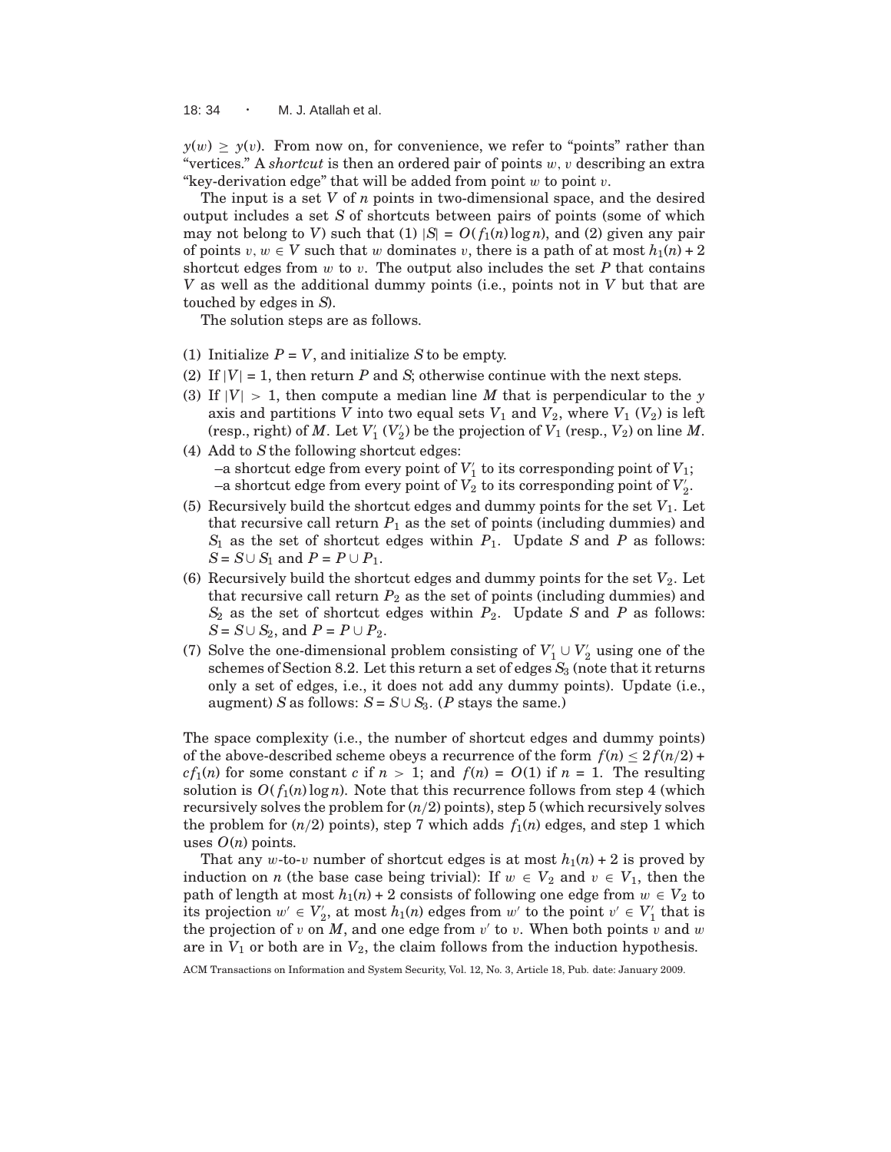18: 34 · M. J. Atallah et al.

 $y(w) \geq y(v)$ . From now on, for convenience, we refer to "points" rather than "vertices." A *shortcut* is then an ordered pair of points w, v describing an extra "key-derivation edge" that will be added from point  $w$  to point  $v$ .

The input is a set *V* of *n* points in two-dimensional space, and the desired output includes a set *S* of shortcuts between pairs of points (some of which may not belong to *V*) such that (1)  $|S| = O(f_1(n) \log n)$ , and (2) given any pair of points  $v, w \in V$  such that w dominates v, there is a path of at most  $h_1(n) + 2$ shortcut edges from  $w$  to  $v$ . The output also includes the set  $P$  that contains *V* as well as the additional dummy points (i.e., points not in *V* but that are touched by edges in *S*).

The solution steps are as follows.

- (1) Initialize  $P = V$ , and initialize  $S$  to be empty.
- (2) If  $|V| = 1$ , then return P and *S*; otherwise continue with the next steps.
- (3) If  $|V| > 1$ , then compute a median line M that is perpendicular to the *y* axis and partitions *V* into two equal sets  $V_1$  and  $V_2$ , where  $V_1$  ( $V_2$ ) is left (resp., right) of  $M$ . Let  $V'_{1}(V'_{2})$  be the projection of  $V_{1}$  (resp.,  $V_{2}$ ) on line  $M$ .
- (4) Add to *S*the following shortcut edges:  $-$ a shortcut edge from every point of  $V'_1$  to its corresponding point of  $V_1$ ; –a shortcut edge from every point of  $V_2$  to its corresponding point of  $V_2'$ .
- (5) Recursively build the shortcut edges and dummy points for the set  $V_1$ . Let that recursive call return  $P_1$  as the set of points (including dummies) and  $S_1$  as the set of shortcut edges within  $P_1$ . Update *S* and *P* as follows: *S* = *S*∪ *S*<sub>1</sub> and *P* = *P* ∪ *P*<sub>1</sub>.
- (6) Recursively build the shortcut edges and dummy points for the set  $V_2$ . Let that recursive call return  $P_2$  as the set of points (including dummies) and *S*<sup>2</sup> as the set of shortcut edges within *P*2. Update *S* and *P* as follows: *S* = *S*∪ *S*<sub>2</sub>, and *P* = *P* ∪ *P*<sub>2</sub>.
- (7) Solve the one-dimensional problem consisting of  $V_1' \cup V_2'$  using one of the schemes of Section 8.2. Let this return a set of edges  $S_3$  (note that it returns only a set of edges, i.e., it does not add any dummy points). Update (i.e., augment) *S* as follows:  $S = S \cup S_3$ . (*P* stays the same.)

The space complexity (i.e., the number of shortcut edges and dummy points) of the above-described scheme obeys a recurrence of the form  $f(n) < 2 f(n/2) +$ *cf*<sub>1</sub>(*n*) for some constant *c* if  $n > 1$ ; and  $f(n) = O(1)$  if  $n = 1$ . The resulting solution is  $O(f_1(n) \log n)$ . Note that this recurrence follows from step 4 (which recursively solves the problem for  $(n/2)$  points), step 5 (which recursively solves the problem for  $(n/2)$  points), step 7 which adds  $f_1(n)$  edges, and step 1 which uses  $O(n)$  points.

That any w-to-v number of shortcut edges is at most  $h_1(n) + 2$  is proved by induction on *n* (the base case being trivial): If  $w \in V_2$  and  $v \in V_1$ , then the path of length at most  $h_1(n) + 2$  consists of following one edge from  $w \in V_2$  to its projection  $w' \in V'_2$ , at most  $h_1(n)$  edges from  $w'$  to the point  $v' \in V'_1$  that is the projection of  $v$  on  $M$ , and one edge from  $v'$  to  $v$ . When both points  $v$  and  $w$ are in  $V_1$  or both are in  $V_2$ , the claim follows from the induction hypothesis.

ACM Transactions on Information and System Security, Vol. 12, No. 3, Article 18, Pub. date: January 2009.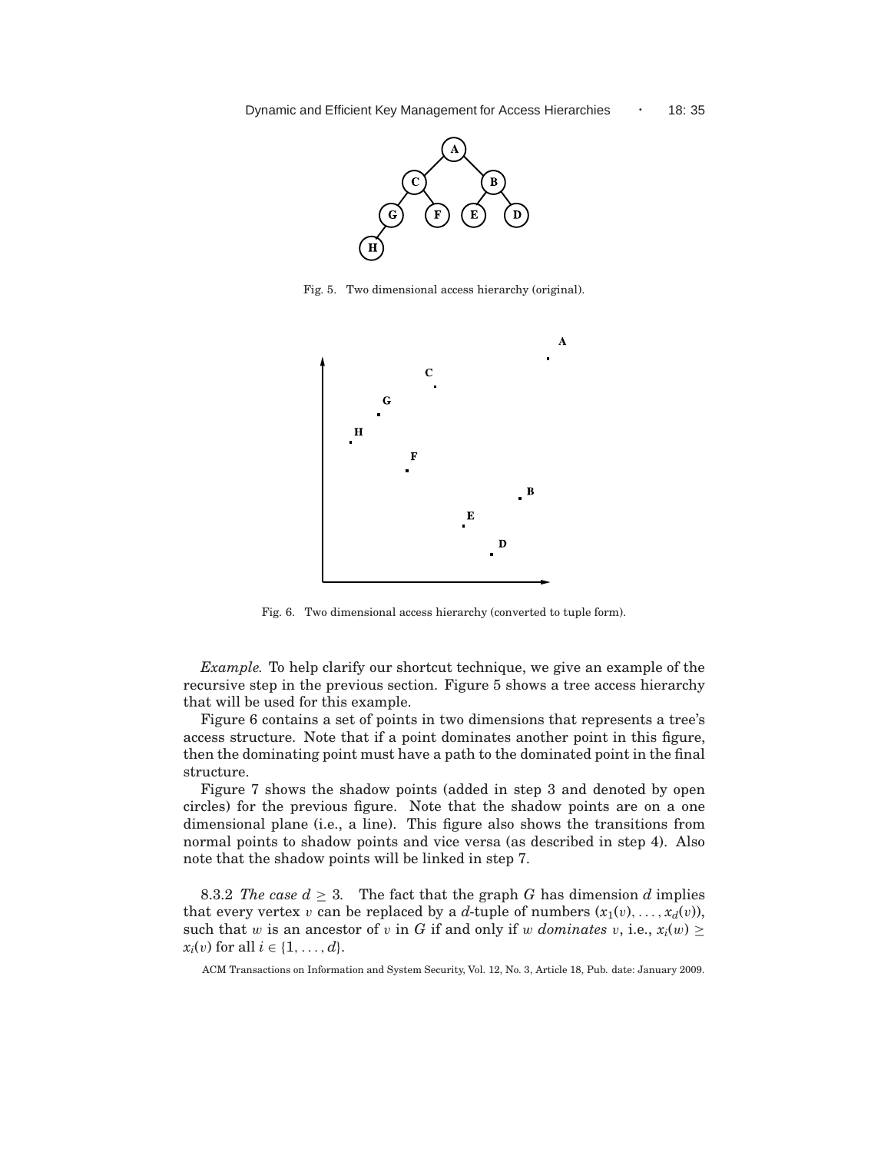

Fig. 5. Two dimensional access hierarchy (original).



Fig. 6. Two dimensional access hierarchy (converted to tuple form).

*Example.* To help clarify our shortcut technique, we give an example of the recursive step in the previous section. Figure 5 shows a tree access hierarchy that will be used for this example.

Figure 6 contains a set of points in two dimensions that represents a tree's access structure. Note that if a point dominates another point in this figure, then the dominating point must have a path to the dominated point in the final structure.

Figure 7 shows the shadow points (added in step 3 and denoted by open circles) for the previous figure. Note that the shadow points are on a one dimensional plane (i.e., a line). This figure also shows the transitions from normal points to shadow points and vice versa (as described in step 4). Also note that the shadow points will be linked in step 7.

8.3.2 *The case*  $d \geq 3$ *.* The fact that the graph *G* has dimension *d* implies that every vertex v can be replaced by a d-tuple of numbers  $(x_1(v), \ldots, x_d(v))$ , such that w is an ancestor of v in *G* if and only if w *dominates* v, i.e.,  $x_i(w) \geq$ *x*<sub>*i*</sub>(*v*) for all *i*  $\in$  {1, . . . , *d*}.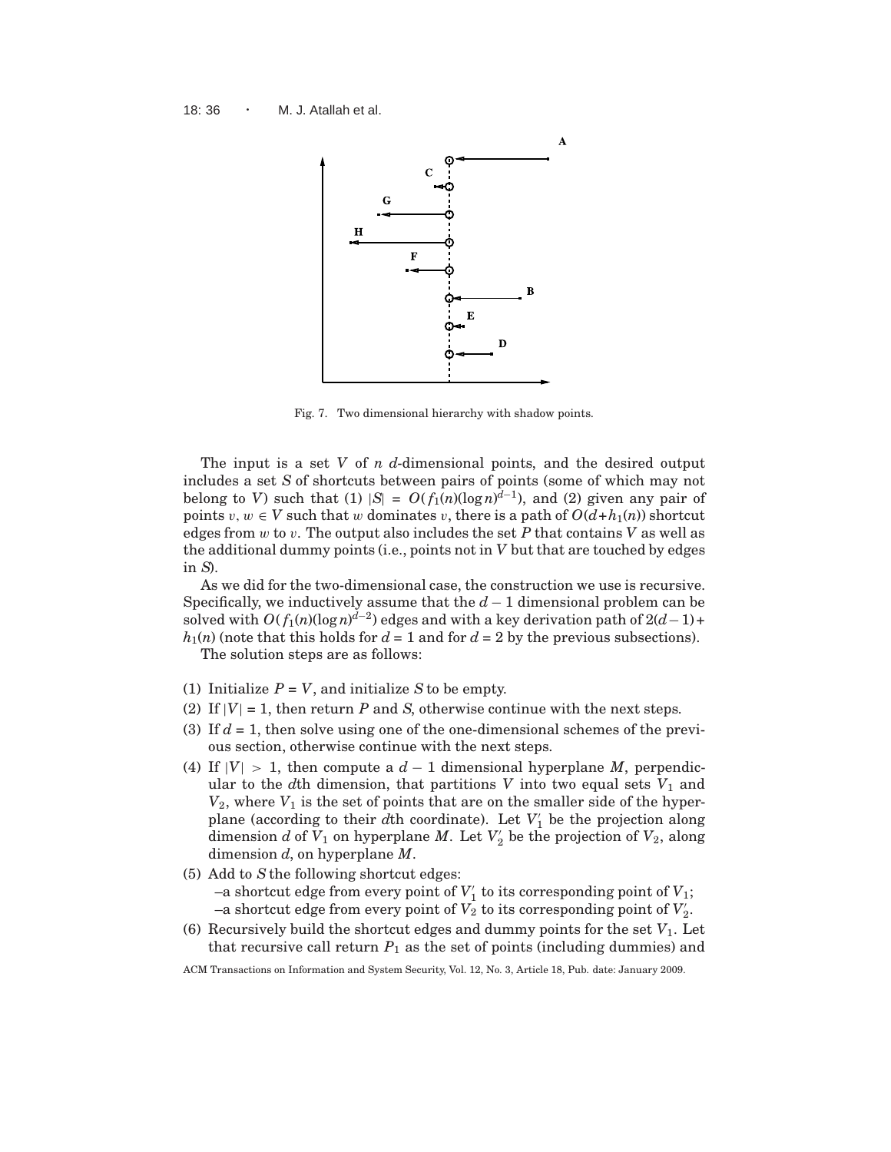

Fig. 7. Two dimensional hierarchy with shadow points.

The input is a set *V* of *n d*-dimensional points, and the desired output includes a set *S* of shortcuts between pairs of points (some of which may not belong to *V*) such that (1)  $|S| = O(f_1(n)(\log n)^{d-1})$ , and (2) given any pair of points  $v, w \in V$  such that w dominates v, there is a path of  $O(d+h_1(n))$  shortcut edges from w to v. The output also includes the set *P* that contains *V* as well as the additional dummy points (i.e., points not in *V* but that are touched by edges in *S*).

As we did for the two-dimensional case, the construction we use is recursive. Specifically, we inductively assume that the  $d-1$  dimensional problem can be solved with  $O(f_1(n)(\log n)^{d-2})$  edges and with a key derivation path of  $2(d-1)$  +  $h_1(n)$  (note that this holds for  $d = 1$  and for  $d = 2$  by the previous subsections).

The solution steps are as follows:

- (1) Initialize  $P = V$ , and initialize  $S$  to be empty.
- (2) If  $|V| = 1$ , then return *P* and *S*, otherwise continue with the next steps.
- (3) If *d* = 1, then solve using one of the one-dimensional schemes of the previous section, otherwise continue with the next steps.
- (4) If  $|V| > 1$ , then compute a  $d-1$  dimensional hyperplane *M*, perpendicular to the  $d$ th dimension, that partitions  $V$  into two equal sets  $V_1$  and  $V_2$ , where  $V_1$  is the set of points that are on the smaller side of the hyperplane (according to their *d*th coordinate). Let  $V'_1$  be the projection along dimension *d* of  $V_1$  on hyperplane *M*. Let  $V_2'$  be the projection of  $V_2$ , along dimension *d*, on hyperplane *M*.
- (5) Add to *S*the following shortcut edges:  $-$ a shortcut edge from every point of  $V'_1$  to its corresponding point of  $V_1$ ;  $-$ a shortcut edge from every point of  $V_2$  to its corresponding point of  $V_2'$ .
- (6) Recursively build the shortcut edges and dummy points for the set  $V_1$ . Let that recursive call return  $P_1$  as the set of points (including dummies) and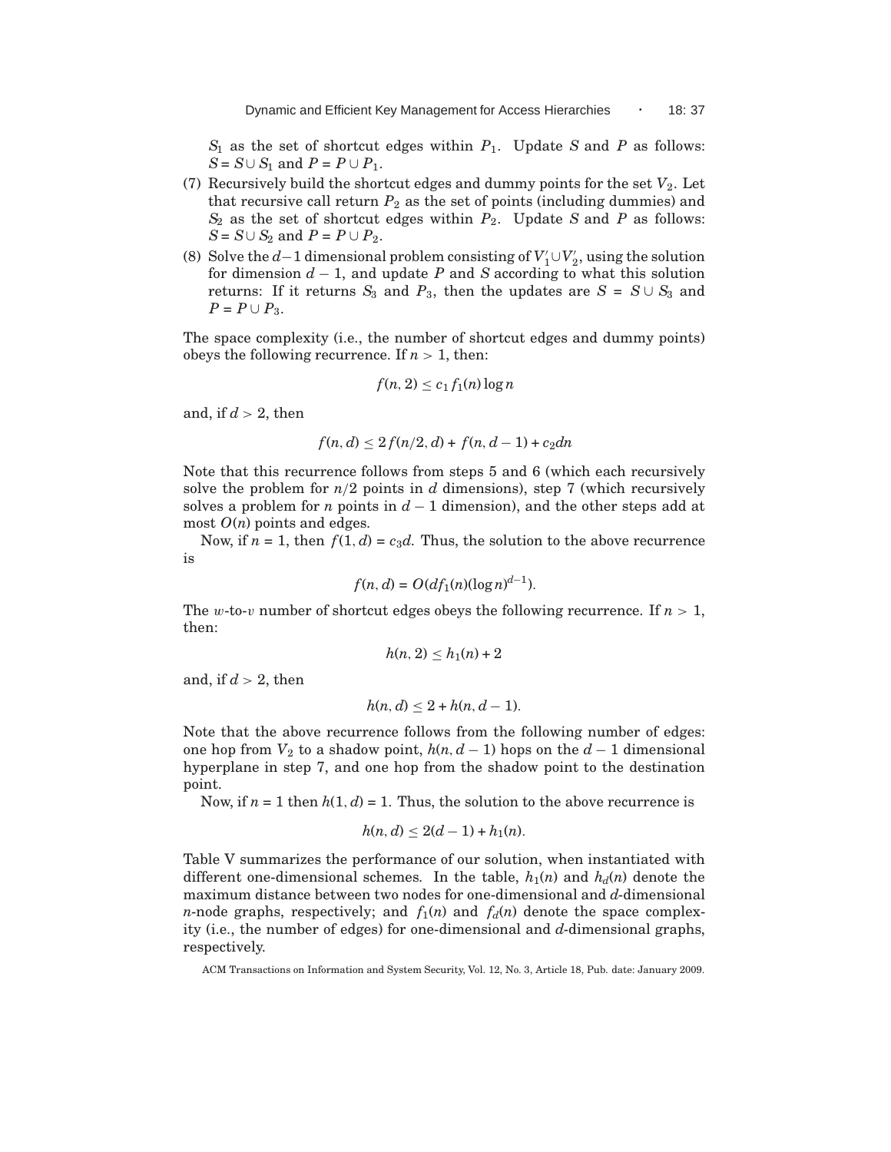$S_1$  as the set of shortcut edges within  $P_1$ . Update *S* and *P* as follows: *S* = *S*∪ *S*<sub>1</sub> and *P* = *P* ∪ *P*<sub>1</sub>.

- (7) Recursively build the shortcut edges and dummy points for the set  $V_2$ . Let that recursive call return  $P_2$  as the set of points (including dummies) and  $S_2$  as the set of shortcut edges within  $P_2$ . Update *S* and *P* as follows: *S* = *S*∪ *S*<sub>2</sub> and *P* = *P* ∪ *P*<sub>2</sub>.
- (8) Solve the *d*−1 dimensional problem consisting of  $V'_1 \cup V'_2$ , using the solution for dimension *d* − 1, and update *P* and *S* according to what this solution returns: If it returns  $S_3$  and  $P_3$ , then the updates are  $S = S \cup S_3$  and *P* = *P* ∪ *P*<sub>3</sub>.

The space complexity (i.e., the number of shortcut edges and dummy points) obeys the following recurrence. If  $n > 1$ , then:

$$
f(n, 2) \le c_1 f_1(n) \log n
$$

and, if  $d > 2$ , then

$$
f(n,d) \le 2f(n/2,d) + f(n,d-1) + c_2dn
$$

Note that this recurrence follows from steps 5 and 6 (which each recursively solve the problem for  $n/2$  points in  $d$  dimensions), step 7 (which recursively solves a problem for *n* points in  $d-1$  dimension), and the other steps add at most *O*(*n*) points and edges.

Now, if  $n = 1$ , then  $f(1, d) = c_3d$ . Thus, the solution to the above recurrence is

$$
f(n,d) = O(df1(n)(\log n)^{d-1}).
$$

The w-to-v number of shortcut edges obeys the following recurrence. If  $n > 1$ , then:

$$
h(n,2) \le h_1(n) + 2
$$

and, if  $d > 2$ , then

$$
h(n,d) \leq 2 + h(n,d-1).
$$

Note that the above recurrence follows from the following number of edges: one hop from  $V_2$  to a shadow point,  $h(n, d-1)$  hops on the  $d-1$  dimensional hyperplane in step 7, and one hop from the shadow point to the destination point.

Now, if  $n = 1$  then  $h(1, d) = 1$ . Thus, the solution to the above recurrence is

$$
h(n, d) \le 2(d - 1) + h_1(n).
$$

Table V summarizes the performance of our solution, when instantiated with different one-dimensional schemes. In the table,  $h_1(n)$  and  $h_d(n)$  denote the maximum distance between two nodes for one-dimensional and *d*-dimensional *n*-node graphs, respectively; and  $f_1(n)$  and  $f_d(n)$  denote the space complexity (i.e., the number of edges) for one-dimensional and *d*-dimensional graphs, respectively.

ACM Transactions on Information and System Security, Vol. 12, No. 3, Article 18, Pub. date: January 2009.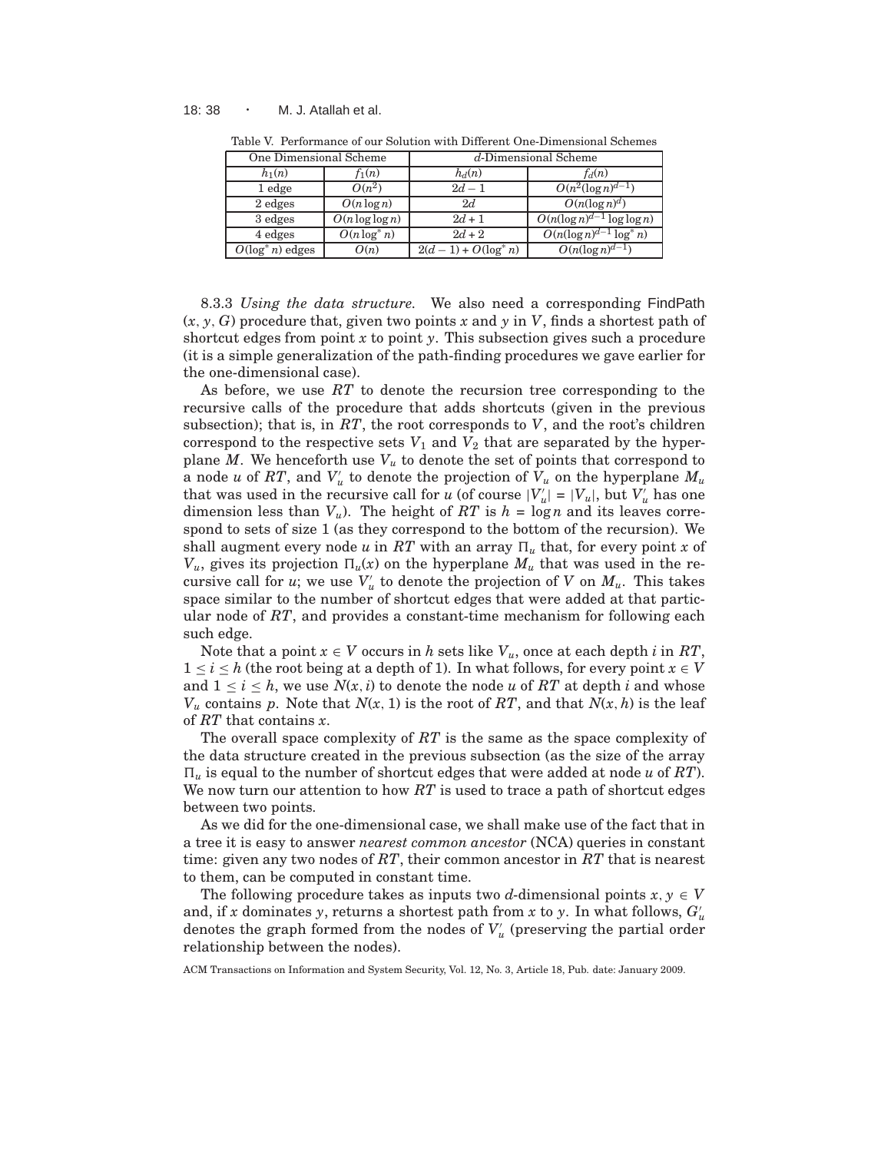#### 18: 38 · M. J. Atallah et al.

| One Dimensional Scheme |                    | $d$ -Dimensional Scheme |                                |  |  |
|------------------------|--------------------|-------------------------|--------------------------------|--|--|
| $h_1(n)$               | $f_1(n)$           | $h_d(n)$                | $f_d(n)$                       |  |  |
| 1 edge                 | $O(n^2)$           | $2d - 1$                | $O(n^2(\log n)^{d-1})$         |  |  |
| 2 edges                | $O(n \log n)$      | 2d                      | $O(n(\log n)^d)$               |  |  |
| 3 edges                | $O(n \log \log n)$ | $2d + 1$                | $O(n(\log n)^{d-1}\log\log n)$ |  |  |
| 4 edges                | $O(n \log^* n)$    | $2d + 2$                | $O(n(\log n)^{d-1}\log^* n)$   |  |  |
| $O(\log^* n)$ edges    | O(n)               | $2(d-1) + O(\log^* n)$  | $O(n(\log n)^{d-1})$           |  |  |

Table V. Performance of our Solution with Different One-Dimensional Schemes

8.3.3 *Using the data structure.* We also need a corresponding FindPath (*x*, *y*, *G*) procedure that, given two points *x* and *y* in *V*, finds a shortest path of shortcut edges from point *x* to point *y*. This subsection gives such a procedure (it is a simple generalization of the path-finding procedures we gave earlier for the one-dimensional case).

As before, we use *RT* to denote the recursion tree corresponding to the recursive calls of the procedure that adds shortcuts (given in the previous subsection); that is, in *RT*, the root corresponds to *V*, and the root's children correspond to the respective sets  $V_1$  and  $V_2$  that are separated by the hyperplane  $M$ . We henceforth use  $V<sub>u</sub>$  to denote the set of points that correspond to a node *u* of  $RT$ , and  $V'_u$  to denote the projection of  $V_u$  on the hyperplane  $M_u$ that was used in the recursive call for *u* (of course  $|V'_u| = |V_u|$ , but  $V'_u$  has one dimension less than  $V_u$ ). The height of RT is  $h = \log n$  and its leaves correspond to sets of size 1 (as they correspond to the bottom of the recursion). We shall augment every node *u* in *RT* with an array  $\Pi_u$  that, for every point *x* of  $V_u$ , gives its projection  $\Pi_u(x)$  on the hyperplane  $M_u$  that was used in the recursive call for *u*; we use  $V'_u$  to denote the projection of  $V$  on  $M_u$ . This takes space similar to the number of shortcut edges that were added at that particular node of *RT*, and provides a constant-time mechanism for following each such edge.

Note that a point  $x \in V$  occurs in *h* sets like  $V_u$ , once at each depth *i* in RT,  $1 \leq i \leq h$  (the root being at a depth of 1). In what follows, for every point  $x \in V$ and  $1 \leq i \leq h$ , we use  $N(x, i)$  to denote the node *u* of RT at depth *i* and whose  $V_u$  contains p. Note that  $N(x, 1)$  is the root of  $RT$ , and that  $N(x, h)$  is the leaf of *RT* that contains *x*.

The overall space complexity of *RT* is the same as the space complexity of the data structure created in the previous subsection (as the size of the array  $\Pi_u$  is equal to the number of shortcut edges that were added at node *u* of *RT*). We now turn our attention to how *RT* is used to trace a path of shortcut edges between two points.

As we did for the one-dimensional case, we shall make use of the fact that in a tree it is easy to answer *nearest common ancestor* (NCA) queries in constant time: given any two nodes of *RT*, their common ancestor in *RT* that is nearest to them, can be computed in constant time.

The following procedure takes as inputs two *d*-dimensional points  $x, y \in V$ and, if *x* dominates *y*, returns a shortest path from *x* to *y*. In what follows,  $G'_{u}$ denotes the graph formed from the nodes of  $V'_u$  (preserving the partial order relationship between the nodes).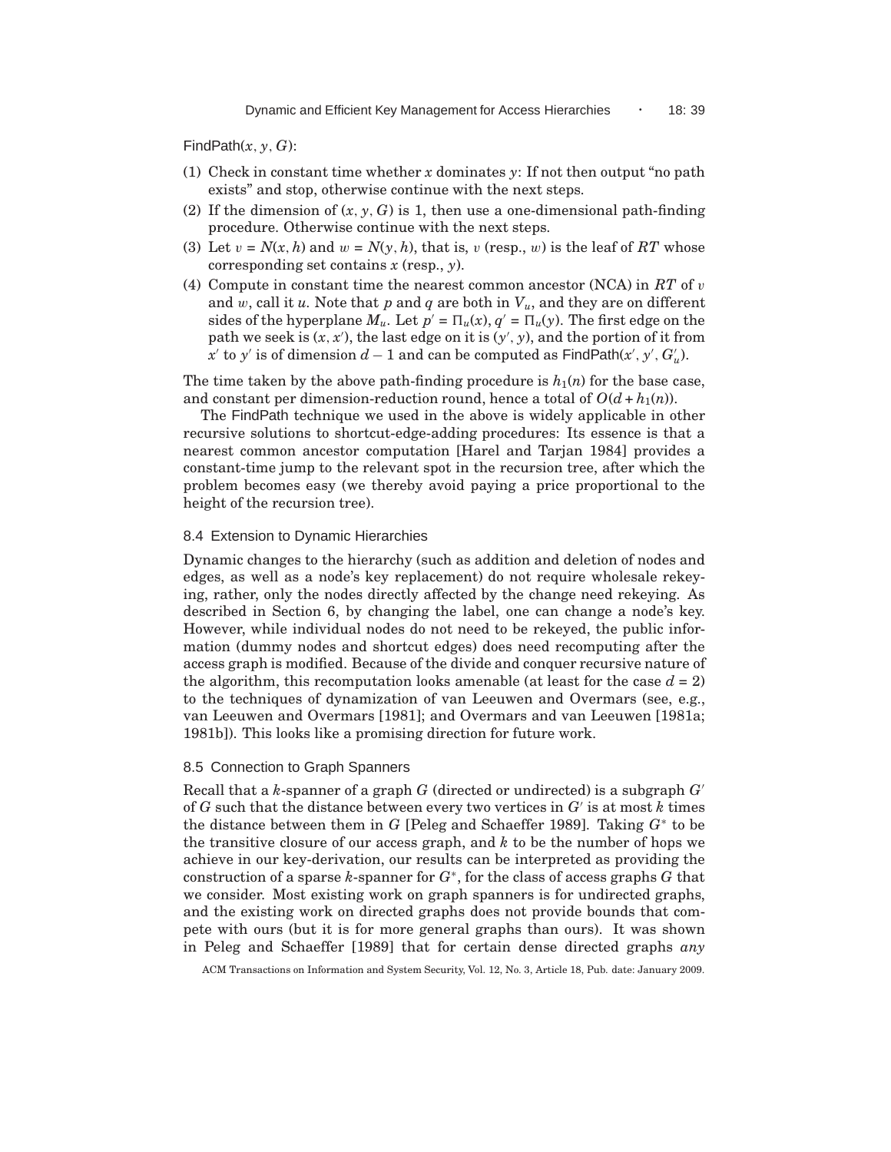FindPath $(x, y, G)$ :

- (1) Check in constant time whether *x* dominates *y*: If not then output "no path exists" and stop, otherwise continue with the next steps.
- (2) If the dimension of  $(x, y, G)$  is 1, then use a one-dimensional path-finding procedure. Otherwise continue with the next steps.
- (3) Let  $v = N(x, h)$  and  $w = N(y, h)$ , that is, v (resp., w) is the leaf of *RT* whose corresponding set contains *x* (resp., *y*).
- (4) Compute in constant time the nearest common ancestor (NCA) in *RT* of v and  $w$ , call it  $u$ . Note that  $p$  and  $q$  are both in  $V_u$ , and they are on different sides of the hyperplane  $M_u$ . Let  $p' = \Pi_u(x)$ ,  $q' = \Pi_u(y)$ . The first edge on the path we seek is  $(x, x')$ , the last edge on it is  $(y', y)$ , and the portion of it from *x*<sup>'</sup> to *y*<sup>'</sup> is of dimension *d* − 1 and can be computed as FindPath(*x'*, *y'*,  $G'_{u}$ ).

The time taken by the above path-finding procedure is  $h_1(n)$  for the base case, and constant per dimension-reduction round, hence a total of  $O(d + h_1(n))$ .

The FindPath technique we used in the above is widely applicable in other recursive solutions to shortcut-edge-adding procedures: Its essence is that a nearest common ancestor computation [Harel and Tarjan 1984] provides a constant-time jump to the relevant spot in the recursion tree, after which the problem becomes easy (we thereby avoid paying a price proportional to the height of the recursion tree).

#### 8.4 Extension to Dynamic Hierarchies

Dynamic changes to the hierarchy (such as addition and deletion of nodes and edges, as well as a node's key replacement) do not require wholesale rekeying, rather, only the nodes directly affected by the change need rekeying. As described in Section 6, by changing the label, one can change a node's key. However, while individual nodes do not need to be rekeyed, the public information (dummy nodes and shortcut edges) does need recomputing after the access graph is modified. Because of the divide and conquer recursive nature of the algorithm, this recomputation looks amenable (at least for the case  $d = 2$ ) to the techniques of dynamization of van Leeuwen and Overmars (see, e.g., van Leeuwen and Overmars [1981]; and Overmars and van Leeuwen [1981a; 1981b]). This looks like a promising direction for future work.

#### 8.5 Connection to Graph Spanners

Recall that a *k*-spanner of a graph *G* (directed or undirected) is a subgraph *G*′ of *G* such that the distance between every two vertices in *G*′ is at most *k* times the distance between them in *G* [Peleg and Schaeffer 1989]. Taking *G*<sup>∗</sup> to be the transitive closure of our access graph, and *k* to be the number of hops we achieve in our key-derivation, our results can be interpreted as providing the construction of a sparse *k*-spanner for *G*<sup>∗</sup> , for the class of access graphs *G* that we consider. Most existing work on graph spanners is for undirected graphs, and the existing work on directed graphs does not provide bounds that compete with ours (but it is for more general graphs than ours). It was shown in Peleg and Schaeffer [1989] that for certain dense directed graphs *any*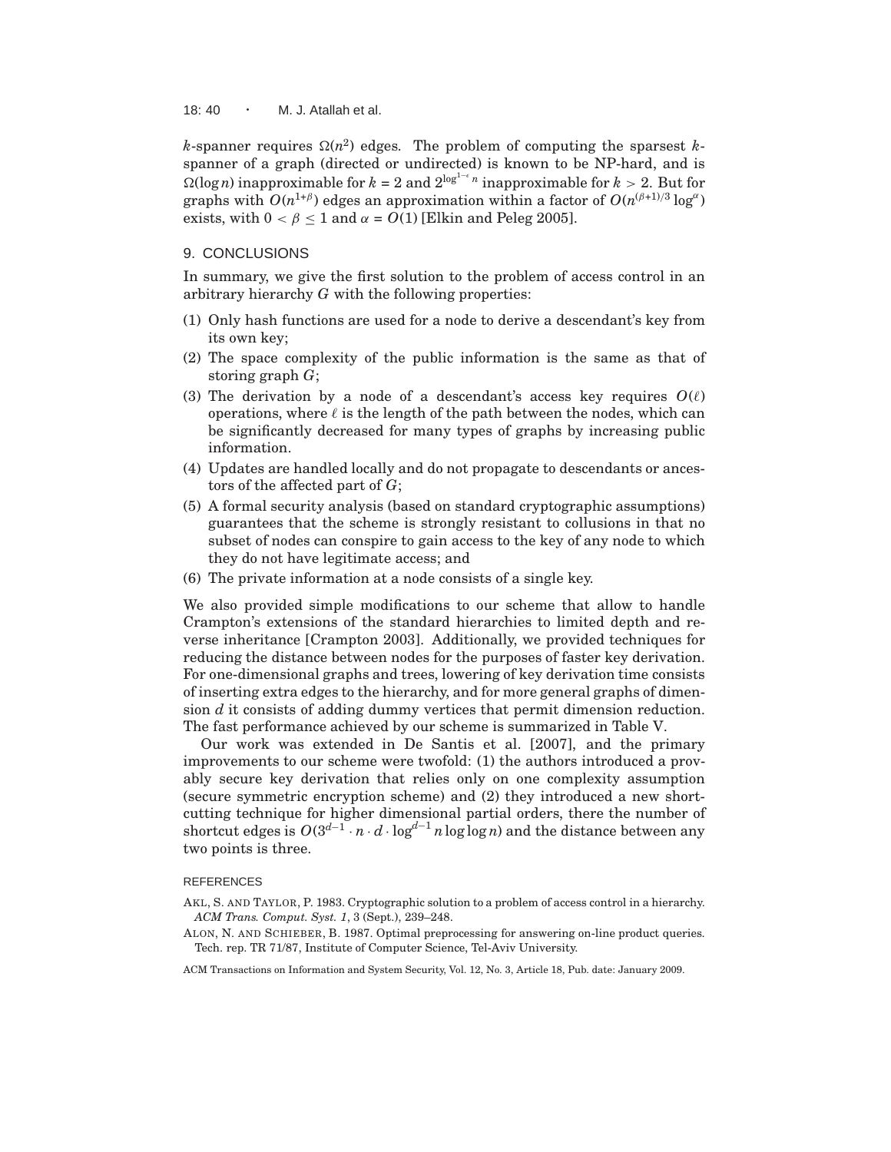18:  $40 \cdot M$ . J. Atallah et al.

 $k$ -spanner requires  $\Omega(n^2)$  edges. The problem of computing the sparsest  $k$ spanner of a graph (directed or undirected) is known to be NP-hard, and is  $\Omega(\log n)$  inapproximable for  $k = 2$  and  $2^{\log^{1-\epsilon} n}$  inapproximable for  $k > 2$ . But for graphs with  $O(n^{1+\beta})$  edges an approximation within a factor of  $O(n^{(\beta+1)/3} \log^{\alpha})$ exists, with  $0 < \beta < 1$  and  $\alpha = O(1)$  [Elkin and Peleg 2005].

#### 9. CONCLUSIONS

In summary, we give the first solution to the problem of access control in an arbitrary hierarchy *G* with the following properties:

- (1) Only hash functions are used for a node to derive a descendant's key from its own key;
- (2) The space complexity of the public information is the same as that of storing graph *G*;
- (3) The derivation by a node of a descendant's access key requires  $O(\ell)$ operations, where  $\ell$  is the length of the path between the nodes, which can be significantly decreased for many types of graphs by increasing public information.
- (4) Updates are handled locally and do not propagate to descendants or ancestors of the affected part of *G*;
- (5) A formal security analysis (based on standard cryptographic assumptions) guarantees that the scheme is strongly resistant to collusions in that no subset of nodes can conspire to gain access to the key of any node to which they do not have legitimate access; and
- (6) The private information at a node consists of a single key.

We also provided simple modifications to our scheme that allow to handle Crampton's extensions of the standard hierarchies to limited depth and reverse inheritance [Crampton 2003]. Additionally, we provided techniques for reducing the distance between nodes for the purposes of faster key derivation. For one-dimensional graphs and trees, lowering of key derivation time consists of inserting extra edges to the hierarchy, and for more general graphs of dimension *d* it consists of adding dummy vertices that permit dimension reduction. The fast performance achieved by our scheme is summarized in Table V.

Our work was extended in De Santis et al. [2007], and the primary improvements to our scheme were twofold: (1) the authors introduced a provably secure key derivation that relies only on one complexity assumption (secure symmetric encryption scheme) and (2) they introduced a new shortcutting technique for higher dimensional partial orders, there the number of shortcut edges is  $O(3^{d-1} \cdot n \cdot d \cdot \log^{d-1} n \log \log n)$  and the distance between any two points is three.

#### REFERENCES

- AKL, S. AND TAYLOR, P. 1983. Cryptographic solution to a problem of access control in a hierarchy. *ACM Trans. Comput. Syst. 1*, 3 (Sept.), 239–248.
- ALON, N. AND SCHIEBER, B. 1987. Optimal preprocessing for answering on-line product queries. Tech. rep. TR 71/87, Institute of Computer Science, Tel-Aviv University.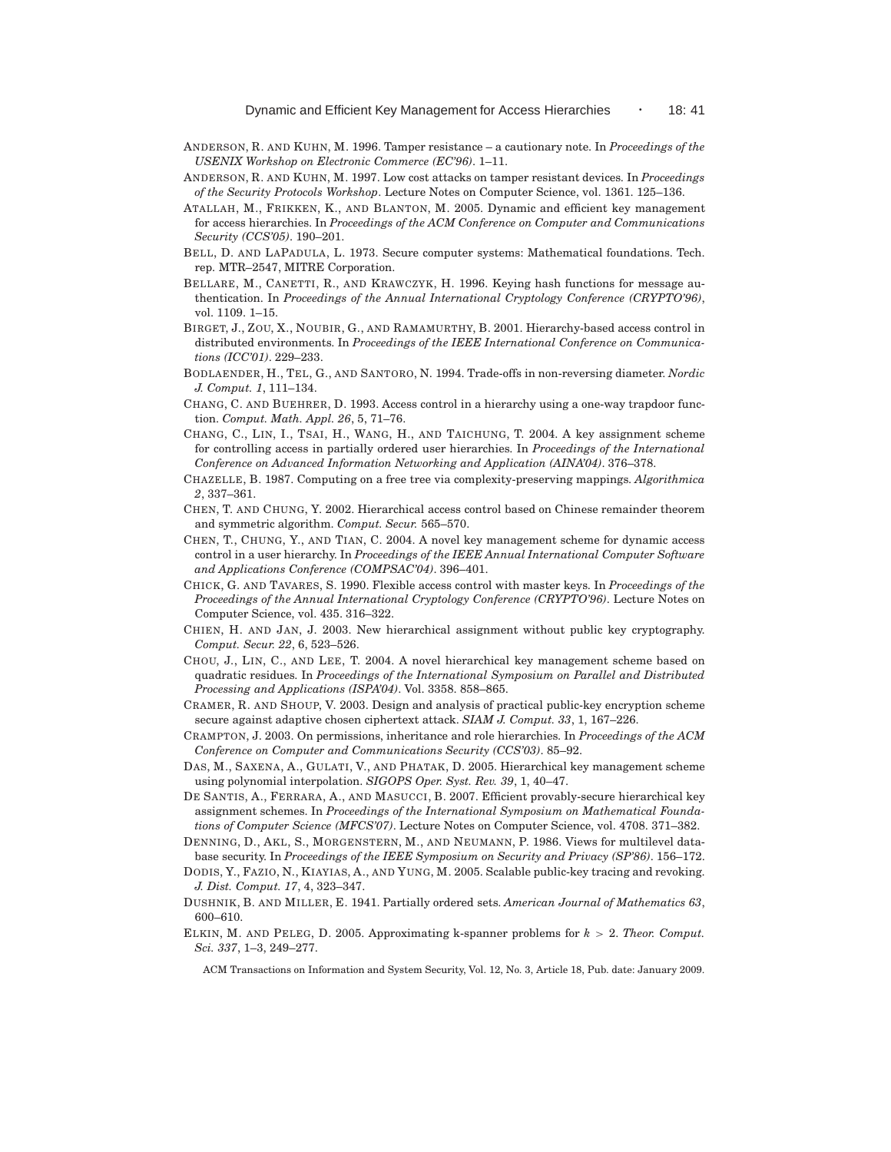- ANDERSON, R. AND KUHN, M. 1996. Tamper resistance a cautionary note. In *Proceedings of the USENIX Workshop on Electronic Commerce (EC'96)*. 1–11.
- ANDERSON, R. AND KUHN, M. 1997. Low cost attacks on tamper resistant devices. In *Proceedings of the Security Protocols Workshop*. Lecture Notes on Computer Science, vol. 1361. 125–136.
- ATALLAH, M., FRIKKEN, K., AND BLANTON, M. 2005. Dynamic and efficient key management for access hierarchies. In *Proceedings of the ACM Conference on Computer and Communications Security (CCS'05)*. 190–201.
- BELL, D. AND LAPADULA, L. 1973. Secure computer systems: Mathematical foundations. Tech. rep. MTR–2547, MITRE Corporation.
- BELLARE, M., CANETTI, R., AND KRAWCZYK, H. 1996. Keying hash functions for message authentication. In *Proceedings of the Annual International Cryptology Conference (CRYPTO'96)*, vol. 1109. 1–15.
- BIRGET, J., ZOU, X., NOUBIR, G., AND RAMAMURTHY, B. 2001. Hierarchy-based access control in distributed environments. In *Proceedings of the IEEE International Conference on Communications (ICC'01)*. 229–233.
- BODLAENDER, H., TEL, G., AND SANTORO, N. 1994. Trade-offs in non-reversing diameter. *Nordic J. Comput. 1*, 111–134.
- CHANG, C. AND BUEHRER, D. 1993. Access control in a hierarchy using a one-way trapdoor function. *Comput. Math. Appl. 26*, 5, 71–76.
- CHANG, C., LIN, I., TSAI, H., WANG, H., AND TAICHUNG, T. 2004. A key assignment scheme for controlling access in partially ordered user hierarchies. In *Proceedings of the International Conference on Advanced Information Networking and Application (AINA'04)*. 376–378.
- CHAZELLE, B. 1987. Computing on a free tree via complexity-preserving mappings. *Algorithmica 2*, 337–361.
- CHEN, T. AND CHUNG, Y. 2002. Hierarchical access control based on Chinese remainder theorem and symmetric algorithm. *Comput. Secur.* 565–570.
- CHEN, T., CHUNG, Y., AND TIAN, C. 2004. A novel key management scheme for dynamic access control in a user hierarchy. In *Proceedings of the IEEE Annual International Computer Software and Applications Conference (COMPSAC'04)*. 396–401.
- CHICK, G. AND TAVARES, S. 1990. Flexible access control with master keys. In *Proceedings of the Proceedings of the Annual International Cryptology Conference (CRYPTO'96)*. Lecture Notes on Computer Science, vol. 435. 316–322.
- CHIEN, H. AND JAN, J. 2003. New hierarchical assignment without public key cryptography. *Comput. Secur. 22*, 6, 523–526.
- CHOU, J., LIN, C., AND LEE, T. 2004. A novel hierarchical key management scheme based on quadratic residues. In *Proceedings of the International Symposium on Parallel and Distributed Processing and Applications (ISPA'04)*. Vol. 3358. 858–865.
- CRAMER, R. AND SHOUP, V. 2003. Design and analysis of practical public-key encryption scheme secure against adaptive chosen ciphertext attack. *SIAM J. Comput. 33*, 1, 167–226.
- CRAMPTON, J. 2003. On permissions, inheritance and role hierarchies. In *Proceedings of the ACM Conference on Computer and Communications Security (CCS'03)*. 85–92.
- DAS, M., SAXENA, A., GULATI, V., AND PHATAK, D. 2005. Hierarchical key management scheme using polynomial interpolation. *SIGOPS Oper. Syst. Rev. 39*, 1, 40–47.
- DE SANTIS, A., FERRARA, A., AND MASUCCI, B. 2007. Efficient provably-secure hierarchical key assignment schemes. In *Proceedings of the International Symposium on Mathematical Foundations of Computer Science (MFCS'07)*. Lecture Notes on Computer Science, vol. 4708. 371–382.
- DENNING, D., AKL, S., MORGENSTERN, M., AND NEUMANN, P. 1986. Views for multilevel database security. In *Proceedings of the IEEE Symposium on Security and Privacy (SP'86)*. 156–172.
- DODIS, Y., FAZIO, N., KIAYIAS, A., AND YUNG, M. 2005. Scalable public-key tracing and revoking. *J. Dist. Comput. 17*, 4, 323–347.
- DUSHNIK, B. AND MILLER, E. 1941. Partially ordered sets. *American Journal of Mathematics 63*, 600–610.
- ELKIN, M. AND PELEG, D. 2005. Approximating k-spanner problems for *k* > 2. *Theor. Comput. Sci. 337*, 1–3, 249–277.
	- ACM Transactions on Information and System Security, Vol. 12, No. 3, Article 18, Pub. date: January 2009.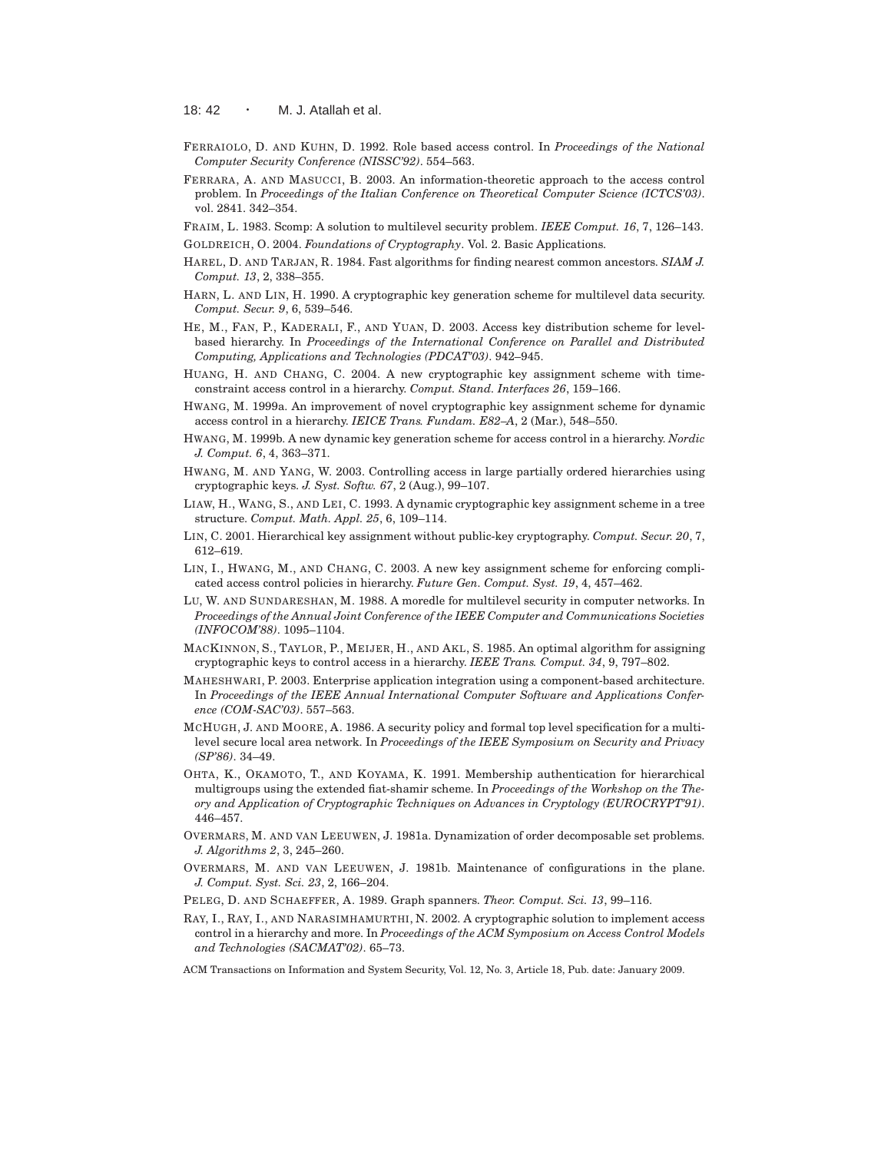18:  $42 \cdot M$ . J. Atallah et al.

- FERRAIOLO, D. AND KUHN, D. 1992. Role based access control. In *Proceedings of the National Computer Security Conference (NISSC'92)*. 554–563.
- FERRARA, A. AND MASUCCI, B. 2003. An information-theoretic approach to the access control problem. In *Proceedings of the Italian Conference on Theoretical Computer Science (ICTCS'03)*. vol. 2841. 342–354.
- FRAIM, L. 1983. Scomp: A solution to multilevel security problem. *IEEE Comput. 16*, 7, 126–143.
- GOLDREICH, O. 2004. *Foundations of Cryptography*. Vol. 2. Basic Applications.
- HAREL, D. AND TARJAN, R. 1984. Fast algorithms for finding nearest common ancestors. *SIAM J. Comput. 13*, 2, 338–355.
- HARN, L. AND LIN, H. 1990. A cryptographic key generation scheme for multilevel data security. *Comput. Secur. 9*, 6, 539–546.
- HE, M., FAN, P., KADERALI, F., AND YUAN, D. 2003. Access key distribution scheme for levelbased hierarchy. In *Proceedings of the International Conference on Parallel and Distributed Computing, Applications and Technologies (PDCAT'03)*. 942–945.
- HUANG, H. AND CHANG, C. 2004. A new cryptographic key assignment scheme with timeconstraint access control in a hierarchy. *Comput. Stand. Interfaces 26*, 159–166.
- HWANG, M. 1999a. An improvement of novel cryptographic key assignment scheme for dynamic access control in a hierarchy. *IEICE Trans. Fundam. E82–A*, 2 (Mar.), 548–550.
- HWANG, M. 1999b. A new dynamic key generation scheme for access control in a hierarchy. *Nordic J. Comput. 6*, 4, 363–371.
- HWANG, M. AND YANG, W. 2003. Controlling access in large partially ordered hierarchies using cryptographic keys. *J. Syst. Softw. 67*, 2 (Aug.), 99–107.
- LIAW, H., WANG, S., AND LEI, C. 1993. A dynamic cryptographic key assignment scheme in a tree structure. *Comput. Math. Appl. 25*, 6, 109–114.
- LIN, C. 2001. Hierarchical key assignment without public-key cryptography. *Comput. Secur. 20*, 7, 612–619.
- LIN, I., HWANG, M., AND CHANG, C. 2003. A new key assignment scheme for enforcing complicated access control policies in hierarchy. *Future Gen. Comput. Syst. 19*, 4, 457–462.
- LU, W. AND SUNDARESHAN, M. 1988. A moredle for multilevel security in computer networks. In *Proceedings of the Annual Joint Conference of the IEEE Computer and Communications Societies (INFOCOM'88)*. 1095–1104.
- MACKINNON, S., TAYLOR, P., MEIJER, H., AND AKL, S. 1985. An optimal algorithm for assigning cryptographic keys to control access in a hierarchy. *IEEE Trans. Comput. 34*, 9, 797–802.
- MAHESHWARI, P. 2003. Enterprise application integration using a component-based architecture. In *Proceedings of the IEEE Annual International Computer Software and Applications Conference (COM-SAC'03)*. 557–563.
- MCHUGH, J. AND MOORE, A. 1986. A security policy and formal top level specification for a multilevel secure local area network. In *Proceedings of the IEEE Symposium on Security and Privacy (SP'86)*. 34–49.
- OHTA, K., OKAMOTO, T., AND KOYAMA, K. 1991. Membership authentication for hierarchical multigroups using the extended fiat-shamir scheme. In *Proceedings of the Workshop on the Theory and Application of Cryptographic Techniques on Advances in Cryptology (EUROCRYPT'91)*. 446–457.
- OVERMARS, M. AND VAN LEEUWEN, J. 1981a. Dynamization of order decomposable set problems. *J. Algorithms 2*, 3, 245–260.
- OVERMARS, M. AND VAN LEEUWEN, J. 1981b. Maintenance of configurations in the plane. *J. Comput. Syst. Sci. 23*, 2, 166–204.
- PELEG, D. AND SCHAEFFER, A. 1989. Graph spanners. *Theor. Comput. Sci. 13*, 99–116.
- RAY, I., RAY, I., AND NARASIMHAMURTHI, N. 2002. A cryptographic solution to implement access control in a hierarchy and more. In *Proceedings of the ACM Symposium on Access Control Models and Technologies (SACMAT'02)*. 65–73.
- ACM Transactions on Information and System Security, Vol. 12, No. 3, Article 18, Pub. date: January 2009.